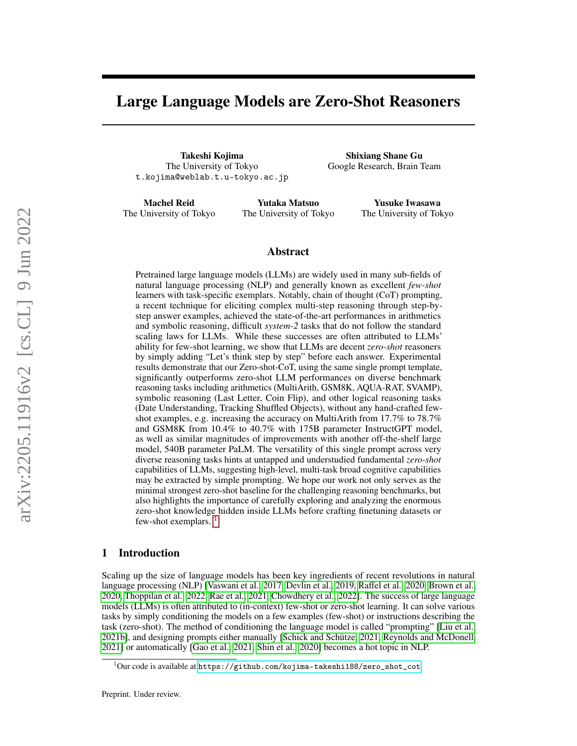# <span id="page-0-1"></span>Large Language Models are Zero-Shot Reasoners

Takeshi Kojima The University of Tokyo t.kojima@weblab.t.u-tokyo.ac.jp

Shixiang Shane Gu Google Research, Brain Team

Machel Reid The University of Tokyo

Yutaka Matsuo The University of Tokyo

Yusuke Iwasawa The University of Tokyo

#### Abstract

Pretrained large language models (LLMs) are widely used in many sub-fields of natural language processing (NLP) and generally known as excellent *few-shot* learners with task-specific exemplars. Notably, chain of thought (CoT) prompting, a recent technique for eliciting complex multi-step reasoning through step-bystep answer examples, achieved the state-of-the-art performances in arithmetics and symbolic reasoning, difficult *system-2* tasks that do not follow the standard scaling laws for LLMs. While these successes are often attributed to LLMs' ability for few-shot learning, we show that LLMs are decent *zero-shot* reasoners by simply adding "Let's think step by step" before each answer. Experimental results demonstrate that our Zero-shot-CoT, using the same single prompt template, significantly outperforms zero-shot LLM performances on diverse benchmark reasoning tasks including arithmetics (MultiArith, GSM8K, AQUA-RAT, SVAMP), symbolic reasoning (Last Letter, Coin Flip), and other logical reasoning tasks (Date Understanding, Tracking Shuffled Objects), without any hand-crafted fewshot examples, e.g. increasing the accuracy on MultiArith from 17.7% to 78.7% and GSM8K from 10.4% to 40.7% with 175B parameter InstructGPT model, as well as similar magnitudes of improvements with another off-the-shelf large model, 540B parameter PaLM. The versatility of this single prompt across very diverse reasoning tasks hints at untapped and understudied fundamental *zero-shot* capabilities of LLMs, suggesting high-level, multi-task broad cognitive capabilities may be extracted by simple prompting. We hope our work not only serves as the minimal strongest zero-shot baseline for the challenging reasoning benchmarks, but also highlights the importance of carefully exploring and analyzing the enormous zero-shot knowledge hidden inside LLMs before crafting finetuning datasets or few-shot exemplars. <sup>[1](#page-0-0)</sup>

## 1 Introduction

Scaling up the size of language models has been key ingredients of recent revolutions in natural language processing (NLP) [\[Vaswani et al., 2017,](#page-13-0) [Devlin et al., 2019,](#page-10-0) [Raffel et al., 2020,](#page-12-0) [Brown et al.,](#page-9-0) [2020,](#page-9-0) [Thoppilan et al., 2022,](#page-12-1) [Rae et al., 2021,](#page-11-0) [Chowdhery et al., 2022\]](#page-10-1). The success of large language models (LLMs) is often attributed to (in-context) few-shot or zero-shot learning. It can solve various tasks by simply conditioning the models on a few examples (few-shot) or instructions describing the task (zero-shot). The method of conditioning the language model is called "prompting" [\[Liu et al.,](#page-11-1) [2021b\]](#page-11-1), and designing prompts either manually [\[Schick and Schütze, 2021,](#page-12-2) [Reynolds and McDonell,](#page-12-3) [2021\]](#page-12-3) or automatically [\[Gao et al., 2021,](#page-10-2) [Shin et al., 2020\]](#page-12-4) becomes a hot topic in NLP.

<span id="page-0-0"></span> $^1\rm{O}$ ur code is available at <code>[https://github.com/kojima-takeshi188/zero\\_shot\\_cot](https://github.com/kojima-takeshi188/zero_shot_cot)</code>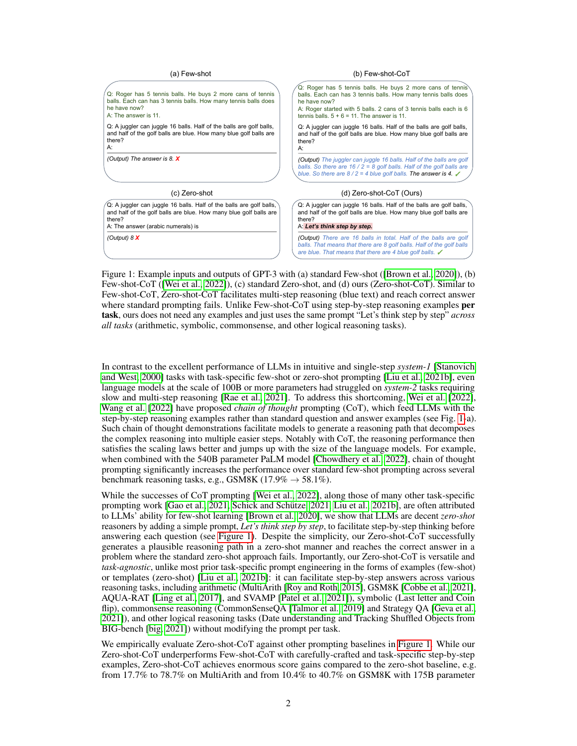<span id="page-1-0"></span>

Figure 1: Example inputs and outputs of GPT-3 with (a) standard Few-shot ([\[Brown et al., 2020\]](#page-9-0)), (b) Few-shot-CoT ([\[Wei et al., 2022\]](#page-13-1)), (c) standard Zero-shot, and (d) ours (Zero-shot-CoT). Similar to Few-shot-CoT, Zero-shot-CoT facilitates multi-step reasoning (blue text) and reach correct answer where standard prompting fails. Unlike Few-shot-CoT using step-by-step reasoning examples per task, ours does not need any examples and just uses the same prompt "Let's think step by step" *across all tasks* (arithmetic, symbolic, commonsense, and other logical reasoning tasks).

In contrast to the excellent performance of LLMs in intuitive and single-step *system-1* [\[Stanovich](#page-12-5) [and West, 2000\]](#page-12-5) tasks with task-specific few-shot or zero-shot prompting [\[Liu et al., 2021b\]](#page-11-1), even language models at the scale of 100B or more parameters had struggled on *system-2* tasks requiring slow and multi-step reasoning [\[Rae et al., 2021\]](#page-11-0). To address this shortcoming, [Wei et al.](#page-13-1) [\[2022\]](#page-13-1), [Wang et al.](#page-13-2) [\[2022\]](#page-13-2) have proposed *chain of thought* prompting (CoT), which feed LLMs with the step-by-step reasoning examples rather than standard question and answer examples (see Fig. [1-](#page-1-0)a). Such chain of thought demonstrations facilitate models to generate a reasoning path that decomposes the complex reasoning into multiple easier steps. Notably with CoT, the reasoning performance then satisfies the scaling laws better and jumps up with the size of the language models. For example, when combined with the 540B parameter PaLM model [\[Chowdhery et al., 2022\]](#page-10-1), chain of thought prompting significantly increases the performance over standard few-shot prompting across several benchmark reasoning tasks, e.g., GSM8K (17.9%  $\rightarrow$  58.1%).

While the successes of CoT prompting [\[Wei et al., 2022\]](#page-13-1), along those of many other task-specific prompting work [\[Gao et al., 2021,](#page-10-2) [Schick and Schütze, 2021,](#page-12-2) [Liu et al., 2021b\]](#page-11-1), are often attributed to LLMs' ability for few-shot learning [\[Brown et al., 2020\]](#page-9-0), we show that LLMs are decent *zero-shot* reasoners by adding a simple prompt, *Let's think step by step*, to facilitate step-by-step thinking before answering each question (see [Figure 1\)](#page-1-0). Despite the simplicity, our Zero-shot-CoT successfully generates a plausible reasoning path in a zero-shot manner and reaches the correct answer in a problem where the standard zero-shot approach fails. Importantly, our Zero-shot-CoT is versatile and *task-agnostic*, unlike most prior task-specific prompt engineering in the forms of examples (few-shot) or templates (zero-shot) [\[Liu et al., 2021b\]](#page-11-1): it can facilitate step-by-step answers across various reasoning tasks, including arithmetic (MultiArith [\[Roy and Roth, 2015\]](#page-12-6), GSM8K [\[Cobbe et al., 2021\]](#page-10-3), AQUA-RAT [\[Ling et al., 2017\]](#page-10-4), and SVAMP [\[Patel et al., 2021\]](#page-11-2)), symbolic (Last letter and Coin flip), commonsense reasoning (CommonSenseQA [\[Talmor et al., 2019\]](#page-12-7) and Strategy QA [\[Geva et al.,](#page-10-5) [2021\]](#page-10-5)), and other logical reasoning tasks (Date understanding and Tracking Shuffled Objects from BIG-bench [\[big, 2021\]](#page-9-1)) without modifying the prompt per task.

We empirically evaluate Zero-shot-CoT against other prompting baselines in [Figure 1.](#page-1-0) While our Zero-shot-CoT underperforms Few-shot-CoT with carefully-crafted and task-specific step-by-step examples, Zero-shot-CoT achieves enormous score gains compared to the zero-shot baseline, e.g. from 17.7% to 78.7% on MultiArith and from 10.4% to 40.7% on GSM8K with 175B parameter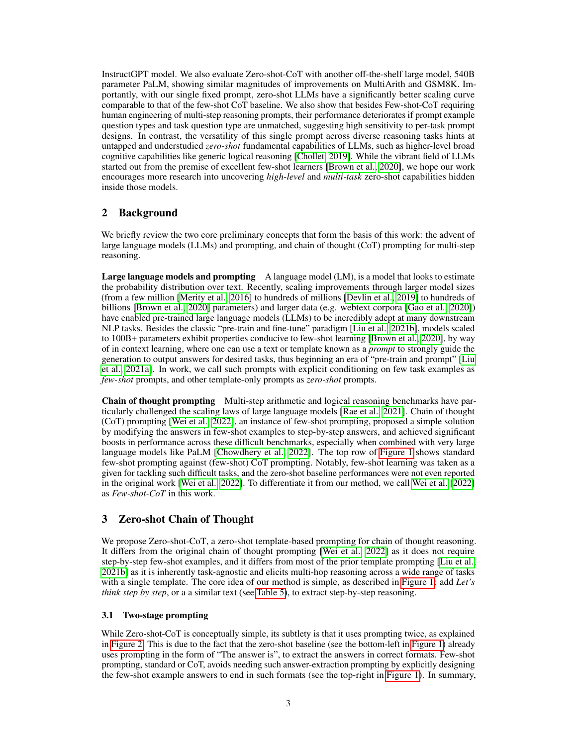InstructGPT model. We also evaluate Zero-shot-CoT with another off-the-shelf large model, 540B parameter PaLM, showing similar magnitudes of improvements on MultiArith and GSM8K. Importantly, with our single fixed prompt, zero-shot LLMs have a significantly better scaling curve comparable to that of the few-shot CoT baseline. We also show that besides Few-shot-CoT requiring human engineering of multi-step reasoning prompts, their performance deteriorates if prompt example question types and task question type are unmatched, suggesting high sensitivity to per-task prompt designs. In contrast, the versatility of this single prompt across diverse reasoning tasks hints at untapped and understudied *zero-shot* fundamental capabilities of LLMs, such as higher-level broad cognitive capabilities like generic logical reasoning [\[Chollet, 2019\]](#page-10-6). While the vibrant field of LLMs started out from the premise of excellent few-shot learners [\[Brown et al., 2020\]](#page-9-0), we hope our work encourages more research into uncovering *high-level* and *multi-task* zero-shot capabilities hidden inside those models.

# 2 Background

We briefly review the two core preliminary concepts that form the basis of this work: the advent of large language models (LLMs) and prompting, and chain of thought (CoT) prompting for multi-step reasoning.

Large language models and prompting A language model (LM), is a model that looks to estimate the probability distribution over text. Recently, scaling improvements through larger model sizes (from a few million [\[Merity et al., 2016\]](#page-11-3) to hundreds of millions [\[Devlin et al., 2019\]](#page-10-0) to hundreds of billions [\[Brown et al., 2020\]](#page-9-0) parameters) and larger data (e.g. webtext corpora [\[Gao et al., 2020\]](#page-10-7)) have enabled pre-trained large language models (LLMs) to be incredibly adept at many downstream NLP tasks. Besides the classic "pre-train and fine-tune" paradigm [\[Liu et al., 2021b\]](#page-11-1), models scaled to 100B+ parameters exhibit properties conducive to few-shot learning [\[Brown et al., 2020\]](#page-9-0), by way of in context learning, where one can use a text or template known as a *prompt* to strongly guide the generation to output answers for desired tasks, thus beginning an era of "pre-train and prompt" [\[Liu](#page-11-4) [et al., 2021a\]](#page-11-4). In work, we call such prompts with explicit conditioning on few task examples as *few-shot* prompts, and other template-only prompts as *zero-shot* prompts.

Chain of thought prompting Multi-step arithmetic and logical reasoning benchmarks have particularly challenged the scaling laws of large language models [\[Rae et al., 2021\]](#page-11-0). Chain of thought (CoT) prompting [\[Wei et al., 2022\]](#page-13-1), an instance of few-shot prompting, proposed a simple solution by modifying the answers in few-shot examples to step-by-step answers, and achieved significant boosts in performance across these difficult benchmarks, especially when combined with very large language models like PaLM [\[Chowdhery et al., 2022\]](#page-10-1). The top row of [Figure 1](#page-1-0) shows standard few-shot prompting against (few-shot) CoT prompting. Notably, few-shot learning was taken as a given for tackling such difficult tasks, and the zero-shot baseline performances were not even reported in the original work [\[Wei et al., 2022\]](#page-13-1). To differentiate it from our method, we call [Wei et al.](#page-13-1) [\[2022\]](#page-13-1) as *Few-shot-CoT* in this work.

# <span id="page-2-0"></span>3 Zero-shot Chain of Thought

We propose Zero-shot-CoT, a zero-shot template-based prompting for chain of thought reasoning. It differs from the original chain of thought prompting [\[Wei et al., 2022\]](#page-13-1) as it does not require step-by-step few-shot examples, and it differs from most of the prior template prompting [\[Liu et al.,](#page-11-1) [2021b\]](#page-11-1) as it is inherently task-agnostic and elicits multi-hop reasoning across a wide range of tasks with a single template. The core idea of our method is simple, as described in [Figure 1:](#page-1-0) add *Let's think step by step*, or a a similar text (see [Table 5\)](#page-7-0), to extract step-by-step reasoning.

#### 3.1 Two-stage prompting

While Zero-shot-CoT is conceptually simple, its subtlety is that it uses prompting twice, as explained in [Figure 2.](#page-3-0) This is due to the fact that the zero-shot baseline (see the bottom-left in [Figure 1\)](#page-1-0) already uses prompting in the form of "The answer is", to extract the answers in correct formats. Few-shot prompting, standard or CoT, avoids needing such answer-extraction prompting by explicitly designing the few-shot example answers to end in such formats (see the top-right in [Figure 1\)](#page-1-0). In summary,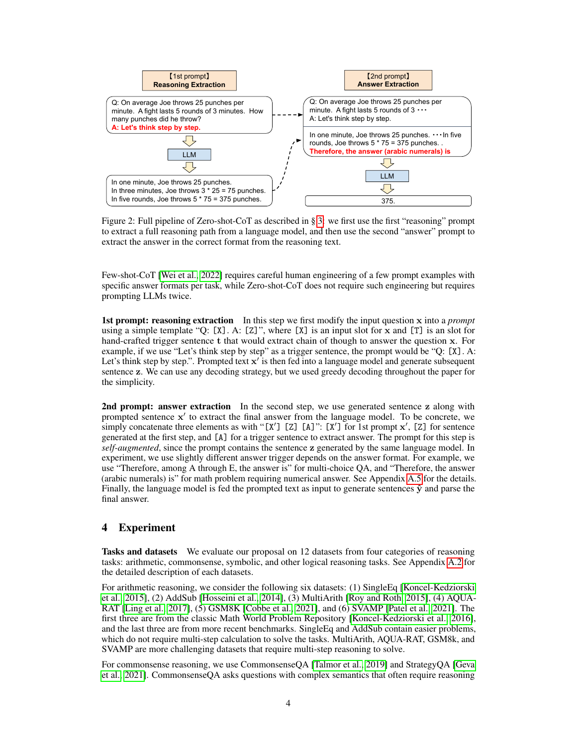<span id="page-3-0"></span>

Figure 2: Full pipeline of Zero-shot-CoT as described in § [3:](#page-2-0) we first use the first "reasoning" prompt to extract a full reasoning path from a language model, and then use the second "answer" prompt to extract the answer in the correct format from the reasoning text.

Few-shot-CoT [\[Wei et al., 2022\]](#page-13-1) requires careful human engineering of a few prompt examples with specific answer formats per task, while Zero-shot-CoT does not require such engineering but requires prompting LLMs twice.

1st prompt: reasoning extraction In this step we first modify the input question x into a *prompt* using a simple template " $\overline{O}$ : [X]. A: [Z]", where [X] is an input slot for x and [T] is an slot for hand-crafted trigger sentence t that would extract chain of though to answer the question x. For example, if we use "Let's think step by step" as a trigger sentence, the prompt would be "Q: [X]. A: Let's think step by step.". Prompted text  $x'$  is then fed into a language model and generate subsequent sentence z. We can use any decoding strategy, but we used greedy decoding throughout the paper for the simplicity.

2nd prompt: answer extraction In the second step, we use generated sentence z along with prompted sentence  $x'$  to extract the final answer from the language model. To be concrete, we simply concatenate three elements as with "[X'] [Z] [A]": [X'] for 1st prompt  $x'$ , [Z] for sentence generated at the first step, and [A] for a trigger sentence to extract answer. The prompt for this step is *self-augmented*, since the prompt contains the sentence z generated by the same language model. In experiment, we use slightly different answer trigger depends on the answer format. For example, we use "Therefore, among A through E, the answer is" for multi-choice QA, and "Therefore, the answer (arabic numerals) is" for math problem requiring numerical answer. See Appendix [A.5](#page-16-0) for the details. Finally, the language model is fed the prompted text as input to generate sentences  $\hat{y}$  and parse the final answer.

# 4 Experiment

Tasks and datasets We evaluate our proposal on 12 datasets from four categories of reasoning tasks: arithmetic, commonsense, symbolic, and other logical reasoning tasks. See Appendix [A.2](#page-15-0) for the detailed description of each datasets.

For arithmetic reasoning, we consider the following six datasets: (1) SingleEq [\[Koncel-Kedziorski](#page-10-8) [et al., 2015\]](#page-10-8), (2) AddSub [\[Hosseini et al., 2014\]](#page-10-9), (3) MultiArith [\[Roy and Roth, 2015\]](#page-12-6), (4) AQUA-RAT [\[Ling et al., 2017\]](#page-10-4), (5) GSM8K [\[Cobbe et al., 2021\]](#page-10-3), and (6) SVAMP [\[Patel et al., 2021\]](#page-11-2). The first three are from the classic Math World Problem Repository [\[Koncel-Kedziorski et al., 2016\]](#page-10-10), and the last three are from more recent benchmarks. SingleEq and AddSub contain easier problems, which do not require multi-step calculation to solve the tasks. MultiArith, AQUA-RAT, GSM8k, and SVAMP are more challenging datasets that require multi-step reasoning to solve.

For commonsense reasoning, we use CommonsenseQA [\[Talmor et al., 2019\]](#page-12-7) and StrategyQA [\[Geva](#page-10-5) [et al., 2021\]](#page-10-5). CommonsenseQA asks questions with complex semantics that often require reasoning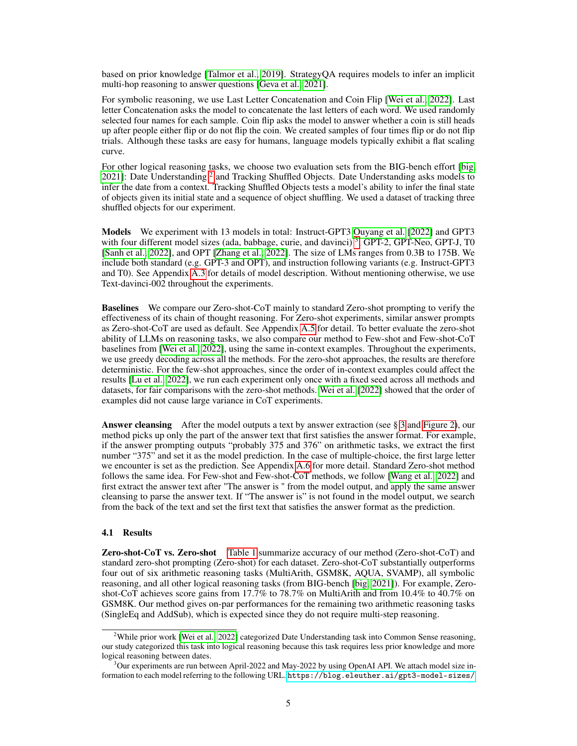based on prior knowledge [\[Talmor et al., 2019\]](#page-12-7). StrategyQA requires models to infer an implicit multi-hop reasoning to answer questions [\[Geva et al., 2021\]](#page-10-5).

For symbolic reasoning, we use Last Letter Concatenation and Coin Flip [\[Wei et al., 2022\]](#page-13-1). Last letter Concatenation asks the model to concatenate the last letters of each word. We used randomly selected four names for each sample. Coin flip asks the model to answer whether a coin is still heads up after people either flip or do not flip the coin. We created samples of four times flip or do not flip trials. Although these tasks are easy for humans, language models typically exhibit a flat scaling curve.

For other logical reasoning tasks, we choose two evaluation sets from the BIG-bench effort [\[big,](#page-9-1) [2021\]](#page-9-1): Date Understanding  $2$  and Tracking Shuffled Objects. Date Understanding asks models to infer the date from a context. Tracking Shuffled Objects tests a model's ability to infer the final state of objects given its initial state and a sequence of object shuffling. We used a dataset of tracking three shuffled objects for our experiment.

Models We experiment with 13 models in total: Instruct-GPT3 [Ouyang et al.](#page-11-5) [\[2022\]](#page-11-5) and GPT3 with four different model sizes (ada, babbage, curie, and davinci)<sup>[3](#page-4-1)</sup>, GPT-2, GPT-Neo, GPT-J, T0 [\[Sanh et al., 2022\]](#page-12-8), and OPT [\[Zhang et al., 2022\]](#page-13-3). The size of LMs ranges from 0.3B to 175B. We include both standard (e.g. GPT-3 and OPT), and instruction following variants (e.g. Instruct-GPT3 and T0). See Appendix [A.3](#page-15-1) for details of model description. Without mentioning otherwise, we use Text-davinci-002 throughout the experiments.

Baselines We compare our Zero-shot-CoT mainly to standard Zero-shot prompting to verify the effectiveness of its chain of thought reasoning. For Zero-shot experiments, similar answer prompts as Zero-shot-CoT are used as default. See Appendix [A.5](#page-16-0) for detail. To better evaluate the zero-shot ability of LLMs on reasoning tasks, we also compare our method to Few-shot and Few-shot-CoT baselines from [\[Wei et al., 2022\]](#page-13-1), using the same in-context examples. Throughout the experiments, we use greedy decoding across all the methods. For the zero-shot approaches, the results are therefore deterministic. For the few-shot approaches, since the order of in-context examples could affect the results [\[Lu et al., 2022\]](#page-11-6), we run each experiment only once with a fixed seed across all methods and datasets, for fair comparisons with the zero-shot methods. [Wei et al.](#page-13-1) [\[2022\]](#page-13-1) showed that the order of examples did not cause large variance in CoT experiments.

Answer cleansing After the model outputs a text by answer extraction (see § [3](#page-2-0) and [Figure 2\)](#page-3-0), our method picks up only the part of the answer text that first satisfies the answer format. For example, if the answer prompting outputs "probably 375 and 376" on arithmetic tasks, we extract the first number "375" and set it as the model prediction. In the case of multiple-choice, the first large letter we encounter is set as the prediction. See Appendix [A.6](#page-16-1) for more detail. Standard Zero-shot method follows the same idea. For Few-shot and Few-shot-CoT methods, we follow [\[Wang et al., 2022\]](#page-13-2) and first extract the answer text after "The answer is " from the model output, and apply the same answer cleansing to parse the answer text. If "The answer is" is not found in the model output, we search from the back of the text and set the first text that satisfies the answer format as the prediction.

#### 4.1 Results

Zero-shot-CoT vs. Zero-shot [Table 1](#page-5-0) summarize accuracy of our method (Zero-shot-CoT) and standard zero-shot prompting (Zero-shot) for each dataset. Zero-shot-CoT substantially outperforms four out of six arithmetic reasoning tasks (MultiArith, GSM8K, AQUA, SVAMP), all symbolic reasoning, and all other logical reasoning tasks (from BIG-bench [\[big, 2021\]](#page-9-1)). For example, Zeroshot-CoT achieves score gains from 17.7% to 78.7% on MultiArith and from 10.4% to 40.7% on GSM8K. Our method gives on-par performances for the remaining two arithmetic reasoning tasks (SingleEq and AddSub), which is expected since they do not require multi-step reasoning.

<span id="page-4-0"></span><sup>&</sup>lt;sup>2</sup>While prior work [\[Wei et al., 2022\]](#page-13-1) categorized Date Understanding task into Common Sense reasoning, our study categorized this task into logical reasoning because this task requires less prior knowledge and more logical reasoning between dates.

<span id="page-4-1"></span><sup>3</sup>Our experiments are run between April-2022 and May-2022 by using OpenAI API. We attach model size information to each model referring to the following URL. <https://blog.eleuther.ai/gpt3-model-sizes/>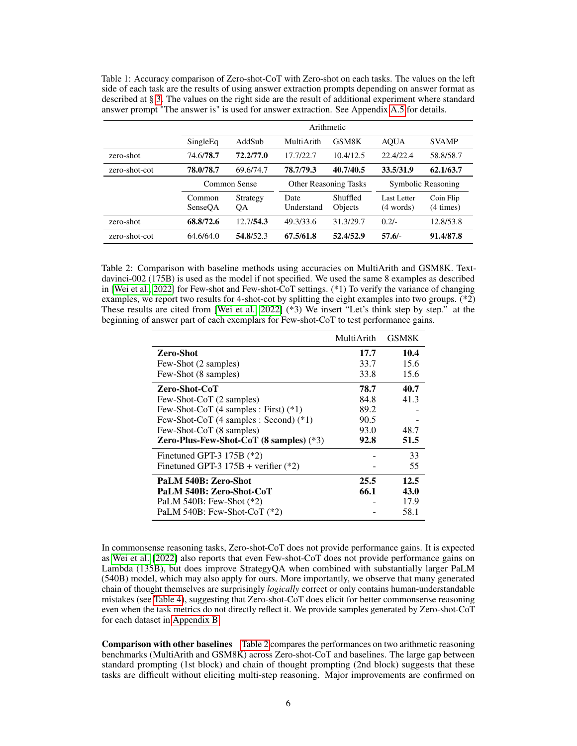|               | Arithmetic        |                |                              |                     |                          |                           |  |
|---------------|-------------------|----------------|------------------------------|---------------------|--------------------------|---------------------------|--|
|               | SingleEq          | AddSub         | MultiArith                   | GSM8K               | <b>AOUA</b>              | <b>SVAMP</b>              |  |
| zero-shot     | 74.6/78.7         | 72.2/77.0      | 17.7/22.7                    | 10.4/12.5           | 22.4/22.4                | 58.8/58.7                 |  |
| zero-shot-cot | 78.0/78.7         | 69.6/74.7      | 78.7/79.3                    | 40.7/40.5           | 33.5/31.9                | 62.1/63.7                 |  |
|               |                   | Common Sense   | <b>Other Reasoning Tasks</b> |                     | Symbolic Reasoning       |                           |  |
|               | Common<br>SenseOA | Strategy<br>QA | Date<br>Understand           | Shuffled<br>Objects | Last Letter<br>(4 words) | Coin Flip<br>$(4 \times)$ |  |
| zero-shot     | 68.8/72.6         | 12.7/54.3      | 49.3/33.6                    | 31.3/29.7           | $0.2/-$                  | 12.8/53.8                 |  |
| zero-shot-cot | 64.6/64.0         | 54.8/52.3      | 67.5/61.8                    | 52.4/52.9           | $57.6/-$                 | 91.4/87.8                 |  |

<span id="page-5-0"></span>Table 1: Accuracy comparison of Zero-shot-CoT with Zero-shot on each tasks. The values on the left side of each task are the results of using answer extraction prompts depending on answer format as described at § [3.](#page-2-0) The values on the right side are the result of additional experiment where standard answer prompt "The answer is" is used for answer extraction. See Appendix [A.5](#page-16-0) for details.

<span id="page-5-1"></span>Table 2: Comparison with baseline methods using accuracies on MultiArith and GSM8K. Textdavinci-002 (175B) is used as the model if not specified. We used the same 8 examples as described in [\[Wei et al., 2022\]](#page-13-1) for Few-shot and Few-shot-CoT settings. (\*1) To verify the variance of changing examples, we report two results for 4-shot-cot by splitting the eight examples into two groups. (\*2) These results are cited from [\[Wei et al., 2022\]](#page-13-1) (\*3) We insert "Let's think step by step." at the beginning of answer part of each exemplars for Few-shot-CoT to test performance gains.

|                                                  | MultiArith | GSM8K |
|--------------------------------------------------|------------|-------|
| Zero-Shot                                        | 17.7       | 10.4  |
| Few-Shot (2 samples)                             | 33.7       | 15.6  |
| Few-Shot (8 samples)                             | 33.8       | 15.6  |
| Zero-Shot-CoT                                    | 78.7       | 40.7  |
| Few-Shot-CoT (2 samples)                         | 84.8       | 41.3  |
| Few-Shot-CoT (4 samples : First) (*1)            | 89.2       |       |
| Few-Shot-CoT (4 samples : Second) (*1)           | 90.5       |       |
| Few-Shot-CoT (8 samples)                         | 93.0       | 48.7  |
| <b>Zero-Plus-Few-Shot-CoT</b> (8 samples) $(*3)$ | 92.8       | 51.5  |
| Finetuned GPT-3 175B $(*2)$                      |            | 33    |
| Finetuned GPT-3 $175B$ + verifier $(*2)$         |            | 55    |
| PaLM 540B: Zero-Shot                             | 25.5       | 12.5  |
| PaLM 540B: Zero-Shot-CoT                         | 66.1       | 43.0  |
| PaLM 540B: Few-Shot (*2)                         |            | 17.9  |
| PaLM 540B: Few-Shot-CoT $(*2)$                   |            | 58.1  |

In commonsense reasoning tasks, Zero-shot-CoT does not provide performance gains. It is expected as [Wei et al.](#page-13-1) [\[2022\]](#page-13-1) also reports that even Few-shot-CoT does not provide performance gains on Lambda (135B), but does improve StrategyQA when combined with substantially larger PaLM (540B) model, which may also apply for ours. More importantly, we observe that many generated chain of thought themselves are surprisingly *logically* correct or only contains human-understandable mistakes (see [Table 4\)](#page-6-0), suggesting that Zero-shot-CoT does elicit for better commonsense reasoning even when the task metrics do not directly reflect it. We provide samples generated by Zero-shot-CoT for each dataset in [Appendix B.](#page-17-0)

Comparison with other baselines [Table 2](#page-5-1) compares the performances on two arithmetic reasoning benchmarks (MultiArith and GSM8K) across Zero-shot-CoT and baselines. The large gap between standard prompting (1st block) and chain of thought prompting (2nd block) suggests that these tasks are difficult without eliciting multi-step reasoning. Major improvements are confirmed on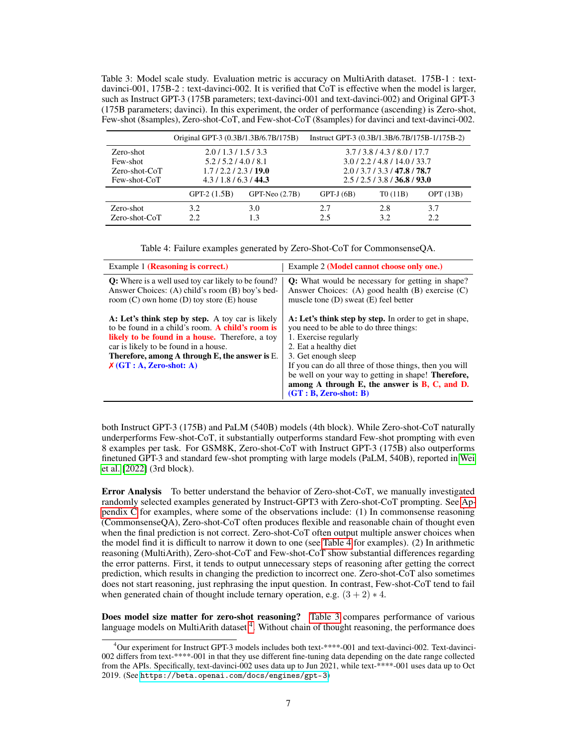<span id="page-6-1"></span>Table 3: Model scale study. Evaluation metric is accuracy on MultiArith dataset. 175B-1 : textdavinci-001, 175B-2 : text-davinci-002. It is verified that CoT is effective when the model is larger, such as Instruct GPT-3 (175B parameters; text-davinci-001 and text-davinci-002) and Original GPT-3 (175B parameters; davinci). In this experiment, the order of performance (ascending) is Zero-shot, Few-shot (8samples), Zero-shot-CoT, and Few-shot-CoT (8samples) for davinci and text-davinci-002.

|                 | Original GPT-3 (0.3B/1.3B/6.7B/175B) |                 | Instruct GPT-3 (0.3B/1.3B/6.7B/175B-1/175B-2) |         |          |
|-----------------|--------------------------------------|-----------------|-----------------------------------------------|---------|----------|
| Zero-shot       | 2.0/1.3/1.5/3.3                      |                 | 3.7/3.8/4.3/8.0/17.7                          |         |          |
| Few-shot        | 5.2/5.2/4.0/8.1                      |                 | 3.0/2.2/4.8/14.0/33.7                         |         |          |
| $Zero-shot-CoT$ | 1.7/2.2/2.3/19.0                     |                 | 2.0/3.7/3.3/47.8/78.7                         |         |          |
| Few-shot-CoT    | 4.3/1.8/6.3/44.3                     |                 | 2.5/2.5/3.8/36.8/93.0                         |         |          |
|                 | $GPT-2(1.5B)$                        | $GPT-Neo(2.7B)$ | $GPT-J(6B)$                                   | T0(11B) | OPT(13B) |
| Zero-shot       | 3.2.                                 | 3.0             | 2.7                                           | 2.8     | 3.7      |
| Zero-shot-CoT   | 22                                   | 1.3             | 2.5                                           | 3.2     | 2.2      |

| Table 4: Failure examples generated by Zero-Shot-CoT for CommonsenseQA. |  |  |  |  |  |  |  |  |
|-------------------------------------------------------------------------|--|--|--|--|--|--|--|--|
|-------------------------------------------------------------------------|--|--|--|--|--|--|--|--|

<span id="page-6-0"></span>

| Example 1 ( <b>Reasoning is correct.</b> )                                                                                                                                                                                                                                                     | Example 2 (Model cannot choose only one.)                                                                                                                                                                                                                                                                                                                                 |
|------------------------------------------------------------------------------------------------------------------------------------------------------------------------------------------------------------------------------------------------------------------------------------------------|---------------------------------------------------------------------------------------------------------------------------------------------------------------------------------------------------------------------------------------------------------------------------------------------------------------------------------------------------------------------------|
| <b>Q:</b> Where is a well used toy car likely to be found?<br>Answer Choices: (A) child's room (B) boy's bed-<br>room $(C)$ own home $(D)$ toy store $(E)$ house                                                                                                                               | <b>Q:</b> What would be necessary for getting in shape?<br>Answer Choices: $(A)$ good health $(B)$ exercise $(C)$<br>muscle tone $(D)$ sweat $(E)$ feel better                                                                                                                                                                                                            |
| A: Let's think step by step. A toy car is likely<br>to be found in a child's room. A child's room is<br><b>likely to be found in a house.</b> Therefore, a toy<br>car is likely to be found in a house.<br>Therefore, among $A$ through $E$ , the answer is $E$ .<br>$X(GT : A, Zero-shot: A)$ | A: Let's think step by step. In order to get in shape,<br>you need to be able to do three things:<br>1. Exercise regularly<br>2. Eat a healthy diet<br>3. Get enough sleep<br>If you can do all three of those things, then you will<br>be well on your way to getting in shape! Therefore,<br>among A through E, the answer is $B$ , C, and D.<br>$(GT:B, Zero-shot: B)$ |

both Instruct GPT-3 (175B) and PaLM (540B) models (4th block). While Zero-shot-CoT naturally underperforms Few-shot-CoT, it substantially outperforms standard Few-shot prompting with even 8 examples per task. For GSM8K, Zero-shot-CoT with Instruct GPT-3 (175B) also outperforms finetuned GPT-3 and standard few-shot prompting with large models (PaLM, 540B), reported in [Wei](#page-13-1) [et al.](#page-13-1) [\[2022\]](#page-13-1) (3rd block).

Error Analysis To better understand the behavior of Zero-shot-CoT, we manually investigated randomly selected examples generated by Instruct-GPT3 with Zero-shot-CoT prompting. See [Ap](#page-33-0)[pendix C](#page-33-0) for examples, where some of the observations include: (1) In commonsense reasoning (CommonsenseQA), Zero-shot-CoT often produces flexible and reasonable chain of thought even when the final prediction is not correct. Zero-shot-CoT often output multiple answer choices when the model find it is difficult to narrow it down to one (see [Table 4](#page-6-0) for examples). (2) In arithmetic reasoning (MultiArith), Zero-shot-CoT and Few-shot-CoT show substantial differences regarding the error patterns. First, it tends to output unnecessary steps of reasoning after getting the correct prediction, which results in changing the prediction to incorrect one. Zero-shot-CoT also sometimes does not start reasoning, just rephrasing the input question. In contrast, Few-shot-CoT tend to fail when generated chain of thought include ternary operation, e.g.  $(3 + 2) * 4$ .

Does model size matter for zero-shot reasoning? [Table 3](#page-6-1) compares performance of various language models on MultiArith dataset <sup>[4](#page-6-2)</sup>. Without chain of thought reasoning, the performance does

<span id="page-6-2"></span><sup>4</sup>Our experiment for Instruct GPT-3 models includes both text-\*\*\*\*-001 and text-davinci-002. Text-davinci-002 differs from text-\*\*\*\*-001 in that they use different fine-tuning data depending on the date range collected from the APIs. Specifically, text-davinci-002 uses data up to Jun 2021, while text-\*\*\*\*-001 uses data up to Oct 2019. (See <https://beta.openai.com/docs/engines/gpt-3>)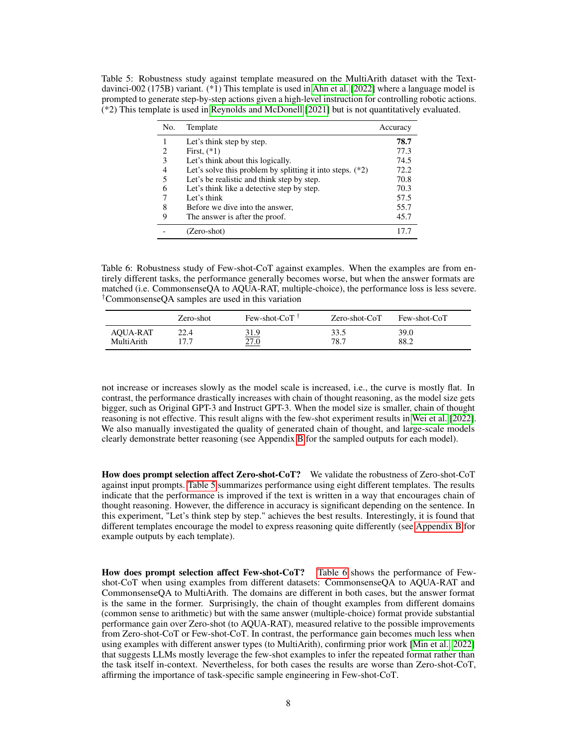<span id="page-7-0"></span>Table 5: Robustness study against template measured on the MultiArith dataset with the Textdavinci-002 (175B) variant. (\*1) This template is used in [Ahn et al.](#page-9-2) [\[2022\]](#page-9-2) where a language model is prompted to generate step-by-step actions given a high-level instruction for controlling robotic actions. (\*2) This template is used in [Reynolds and McDonell](#page-12-3) [\[2021\]](#page-12-3) but is not quantitatively evaluated.

| No.                         | Template                                                    | Accuracy |
|-----------------------------|-------------------------------------------------------------|----------|
|                             | Let's think step by step.                                   | 78.7     |
| $\mathcal{D}_{\mathcal{L}}$ | First, $(*1)$                                               | 77.3     |
|                             | Let's think about this logically.                           | 74.5     |
| 4                           | Let's solve this problem by splitting it into steps. $(*2)$ | 72.2     |
|                             | Let's be realistic and think step by step.                  | 70.8     |
| 6                           | Let's think like a detective step by step.                  | 70.3     |
|                             | Let's think                                                 | 57.5     |
| 8                           | Before we dive into the answer,                             | 55.7     |
| 9                           | The answer is after the proof.                              | 45.7     |
|                             | (Zero-shot)                                                 | 177      |

<span id="page-7-1"></span>Table 6: Robustness study of Few-shot-CoT against examples. When the examples are from entirely different tasks, the performance generally becomes worse, but when the answer formats are matched (i.e. CommonsenseQA to AQUA-RAT, multiple-choice), the performance loss is less severe. †CommonsenseQA samples are used in this variation

|                 | Zero-shot | Few-shot-CoT $T$ | $Zero-shot-CoT$ | Few-shot-CoT |
|-----------------|-----------|------------------|-----------------|--------------|
| <b>AQUA-RAT</b> | 22.4      | 31.9             | 33.5            | 39.0         |
| MultiArith      | 177       | <u> 27.0</u>     | 78.7            | 88.2         |

not increase or increases slowly as the model scale is increased, i.e., the curve is mostly flat. In contrast, the performance drastically increases with chain of thought reasoning, as the model size gets bigger, such as Original GPT-3 and Instruct GPT-3. When the model size is smaller, chain of thought reasoning is not effective. This result aligns with the few-shot experiment results in [Wei et al.](#page-13-1) [\[2022\]](#page-13-1). We also manually investigated the quality of generated chain of thought, and large-scale models clearly demonstrate better reasoning (see Appendix [B](#page-17-0) for the sampled outputs for each model).

How does prompt selection affect Zero-shot-CoT? We validate the robustness of Zero-shot-CoT against input prompts. [Table 5](#page-7-0) summarizes performance using eight different templates. The results indicate that the performance is improved if the text is written in a way that encourages chain of thought reasoning. However, the difference in accuracy is significant depending on the sentence. In this experiment, "Let's think step by step." achieves the best results. Interestingly, it is found that different templates encourage the model to express reasoning quite differently (see [Appendix B](#page-17-0) for example outputs by each template).

How does prompt selection affect Few-shot-CoT? [Table 6](#page-7-1) shows the performance of Fewshot-CoT when using examples from different datasets: CommonsenseQA to AQUA-RAT and CommonsenseQA to MultiArith. The domains are different in both cases, but the answer format is the same in the former. Surprisingly, the chain of thought examples from different domains (common sense to arithmetic) but with the same answer (multiple-choice) format provide substantial performance gain over Zero-shot (to AQUA-RAT), measured relative to the possible improvements from Zero-shot-CoT or Few-shot-CoT. In contrast, the performance gain becomes much less when using examples with different answer types (to MultiArith), confirming prior work [\[Min et al., 2022\]](#page-11-7) that suggests LLMs mostly leverage the few-shot examples to infer the repeated format rather than the task itself in-context. Nevertheless, for both cases the results are worse than Zero-shot-CoT, affirming the importance of task-specific sample engineering in Few-shot-CoT.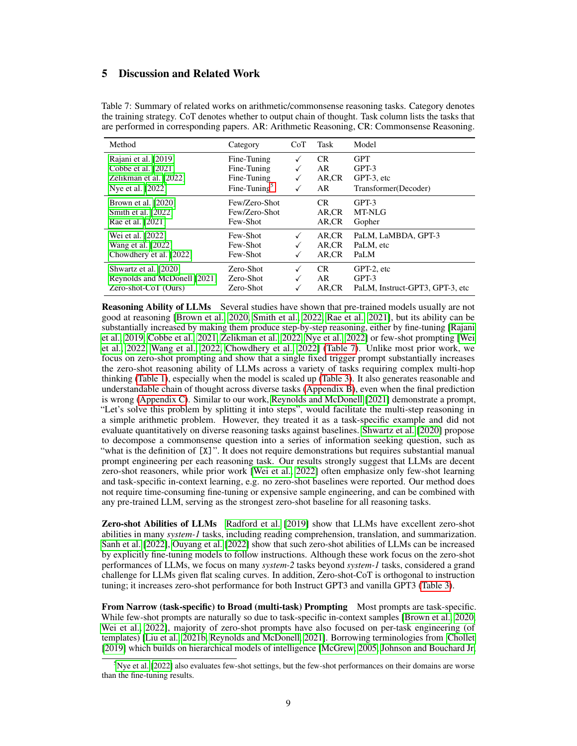## 5 Discussion and Related Work

| Method                       | Category        | CoT | Task  | Model                           |
|------------------------------|-----------------|-----|-------|---------------------------------|
| Rajani et al. [2019]         | Fine-Tuning     |     | CR    | <b>GPT</b>                      |
| Cobbe et al. [2021]          | Fine-Tuning     |     | AR    | GPT-3                           |
| Zelikman et al. [2022]       | Fine-Tuning     |     | AR,CR | GPT-3, etc                      |
| Nye et al. [2022]            | Fine-Tuning $5$ |     | AR    | Transformer(Decoder)            |
| Brown et al. [2020]          | Few/Zero-Shot   |     | CR    | $GPT-3$                         |
| Smith et al. [2022]          | Few/Zero-Shot   |     | AR,CR | MT-NLG                          |
| Rae et al. [2021]            | Few-Shot        |     | AR,CR | Gopher                          |
| Wei et al. [2022]            | Few-Shot        |     | AR,CR | PaLM, LaMBDA, GPT-3             |
| Wang et al. [2022]           | Few-Shot        |     | AR,CR | PaLM, etc                       |
| Chowdhery et al. [2022]      | Few-Shot        |     | AR,CR | PaLM                            |
| Shwartz et al. [2020]        | Zero-Shot       |     | CR.   | GPT-2, etc                      |
| Reynolds and McDonell [2021] | Zero-Shot       |     | AR    | GPT-3                           |
| Zero-shot-CoT (Ours)         | Zero-Shot       |     | AR,CR | PaLM. Instruct-GPT3, GPT-3, etc |

<span id="page-8-1"></span>Table 7: Summary of related works on arithmetic/commonsense reasoning tasks. Category denotes the training strategy. CoT denotes whether to output chain of thought. Task column lists the tasks that are performed in corresponding papers. AR: Arithmetic Reasoning, CR: Commonsense Reasoning.

**Reasoning Ability of LLMs** Several studies have shown that pre-trained models usually are not good at reasoning [\[Brown et al., 2020,](#page-9-0) [Smith et al., 2022,](#page-12-10) [Rae et al., 2021\]](#page-11-0), but its ability can be substantially increased by making them produce step-by-step reasoning, either by fine-tuning [\[Rajani](#page-12-9) [et al., 2019,](#page-12-9) [Cobbe et al., 2021,](#page-10-3) [Zelikman et al., 2022,](#page-13-4) [Nye et al., 2022\]](#page-11-8) or few-shot prompting [\[Wei](#page-13-1) [et al., 2022,](#page-13-1) [Wang et al., 2022,](#page-13-2) [Chowdhery et al., 2022\]](#page-10-1) [\(Table 7\)](#page-8-1). Unlike most prior work, we focus on zero-shot prompting and show that a single fixed trigger prompt substantially increases the zero-shot reasoning ability of LLMs across a variety of tasks requiring complex multi-hop thinking [\(Table 1\)](#page-5-0), especially when the model is scaled up [\(Table 3\)](#page-6-1). It also generates reasonable and understandable chain of thought across diverse tasks [\(Appendix B\)](#page-17-0), even when the final prediction is wrong [\(Appendix C\)](#page-33-0). Similar to our work, [Reynolds and McDonell](#page-12-3) [\[2021\]](#page-12-3) demonstrate a prompt, "Let's solve this problem by splitting it into steps", would facilitate the multi-step reasoning in a simple arithmetic problem. However, they treated it as a task-specific example and did not evaluate quantitatively on diverse reasoning tasks against baselines. [Shwartz et al.](#page-12-11) [\[2020\]](#page-12-11) propose to decompose a commonsense question into a series of information seeking question, such as "what is the definition of [X]". It does not require demonstrations but requires substantial manual prompt engineering per each reasoning task. Our results strongly suggest that LLMs are decent zero-shot reasoners, while prior work [\[Wei et al., 2022\]](#page-13-1) often emphasize only few-shot learning and task-specific in-context learning, e.g. no zero-shot baselines were reported. Our method does not require time-consuming fine-tuning or expensive sample engineering, and can be combined with any pre-trained LLM, serving as the strongest zero-shot baseline for all reasoning tasks.

Zero-shot Abilities of LLMs [Radford et al.](#page-11-9) [\[2019\]](#page-11-9) show that LLMs have excellent zero-shot abilities in many *system-1* tasks, including reading comprehension, translation, and summarization. [Sanh et al.](#page-12-8) [\[2022\]](#page-12-8), [Ouyang et al.](#page-11-5) [\[2022\]](#page-11-5) show that such zero-shot abilities of LLMs can be increased by explicitly fine-tuning models to follow instructions. Although these work focus on the zero-shot performances of LLMs, we focus on many *system-2* tasks beyond *system-1* tasks, considered a grand challenge for LLMs given flat scaling curves. In addition, Zero-shot-CoT is orthogonal to instruction tuning; it increases zero-shot performance for both Instruct GPT3 and vanilla GPT3 [\(Table 3\)](#page-6-1).

From Narrow (task-specific) to Broad (multi-task) Prompting Most prompts are task-specific. While few-shot prompts are naturally so due to task-specific in-context samples [\[Brown et al., 2020,](#page-9-0) [Wei et al., 2022\]](#page-13-1), majority of zero-shot prompts have also focused on per-task engineering (of templates) [\[Liu et al., 2021b,](#page-11-1) [Reynolds and McDonell, 2021\]](#page-12-3). Borrowing terminologies from [Chollet](#page-10-6) [\[2019\]](#page-10-6) which builds on hierarchical models of intelligence [\[McGrew, 2005,](#page-11-10) [Johnson and Bouchard Jr,](#page-10-11)

<span id="page-8-0"></span><sup>&</sup>lt;sup>5</sup>[Nye et al.](#page-11-8) [\[2022\]](#page-11-8) also evaluates few-shot settings, but the few-shot performances on their domains are worse than the fine-tuning results.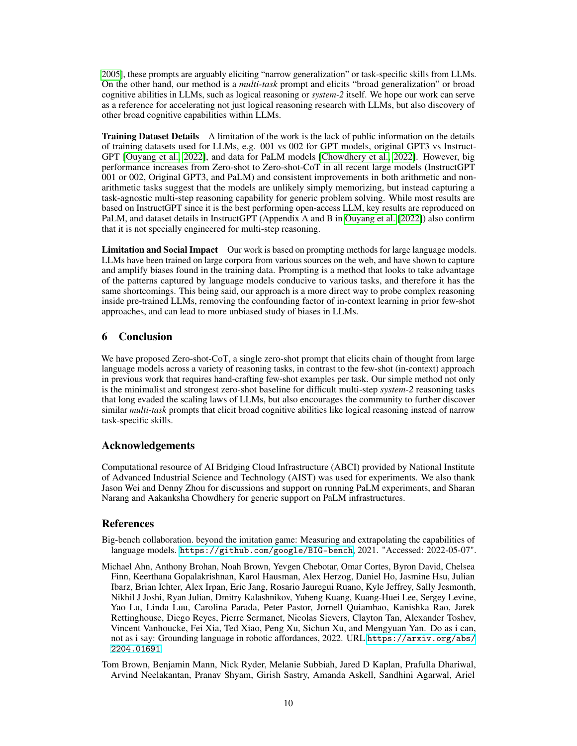[2005\]](#page-10-11), these prompts are arguably eliciting "narrow generalization" or task-specific skills from LLMs. On the other hand, our method is a *multi-task* prompt and elicits "broad generalization" or broad cognitive abilities in LLMs, such as logical reasoning or *system-2* itself. We hope our work can serve as a reference for accelerating not just logical reasoning research with LLMs, but also discovery of other broad cognitive capabilities within LLMs.

**Training Dataset Details** A limitation of the work is the lack of public information on the details of training datasets used for LLMs, e.g. 001 vs 002 for GPT models, original GPT3 vs Instruct-GPT [\[Ouyang et al., 2022\]](#page-11-5), and data for PaLM models [\[Chowdhery et al., 2022\]](#page-10-1). However, big performance increases from Zero-shot to Zero-shot-CoT in all recent large models (InstructGPT 001 or 002, Original GPT3, and PaLM) and consistent improvements in both arithmetic and nonarithmetic tasks suggest that the models are unlikely simply memorizing, but instead capturing a task-agnostic multi-step reasoning capability for generic problem solving. While most results are based on InstructGPT since it is the best performing open-access LLM, key results are reproduced on PaLM, and dataset details in InstructGPT (Appendix A and B in [Ouyang et al.](#page-11-5) [\[2022\]](#page-11-5)) also confirm that it is not specially engineered for multi-step reasoning.

Limitation and Social Impact Our work is based on prompting methods for large language models. LLMs have been trained on large corpora from various sources on the web, and have shown to capture and amplify biases found in the training data. Prompting is a method that looks to take advantage of the patterns captured by language models conducive to various tasks, and therefore it has the same shortcomings. This being said, our approach is a more direct way to probe complex reasoning inside pre-trained LLMs, removing the confounding factor of in-context learning in prior few-shot approaches, and can lead to more unbiased study of biases in LLMs.

# 6 Conclusion

We have proposed Zero-shot-CoT, a single zero-shot prompt that elicits chain of thought from large language models across a variety of reasoning tasks, in contrast to the few-shot (in-context) approach in previous work that requires hand-crafting few-shot examples per task. Our simple method not only is the minimalist and strongest zero-shot baseline for difficult multi-step *system-2* reasoning tasks that long evaded the scaling laws of LLMs, but also encourages the community to further discover similar *multi-task* prompts that elicit broad cognitive abilities like logical reasoning instead of narrow task-specific skills.

## Acknowledgements

Computational resource of AI Bridging Cloud Infrastructure (ABCI) provided by National Institute of Advanced Industrial Science and Technology (AIST) was used for experiments. We also thank Jason Wei and Denny Zhou for discussions and support on running PaLM experiments, and Sharan Narang and Aakanksha Chowdhery for generic support on PaLM infrastructures.

## References

- <span id="page-9-1"></span>Big-bench collaboration. beyond the imitation game: Measuring and extrapolating the capabilities of language models. <https://github.com/google/BIG-bench>, 2021. "Accessed: 2022-05-07".
- <span id="page-9-2"></span>Michael Ahn, Anthony Brohan, Noah Brown, Yevgen Chebotar, Omar Cortes, Byron David, Chelsea Finn, Keerthana Gopalakrishnan, Karol Hausman, Alex Herzog, Daniel Ho, Jasmine Hsu, Julian Ibarz, Brian Ichter, Alex Irpan, Eric Jang, Rosario Jauregui Ruano, Kyle Jeffrey, Sally Jesmonth, Nikhil J Joshi, Ryan Julian, Dmitry Kalashnikov, Yuheng Kuang, Kuang-Huei Lee, Sergey Levine, Yao Lu, Linda Luu, Carolina Parada, Peter Pastor, Jornell Quiambao, Kanishka Rao, Jarek Rettinghouse, Diego Reyes, Pierre Sermanet, Nicolas Sievers, Clayton Tan, Alexander Toshev, Vincent Vanhoucke, Fei Xia, Ted Xiao, Peng Xu, Sichun Xu, and Mengyuan Yan. Do as i can, not as i say: Grounding language in robotic affordances, 2022. URL [https://arxiv.org/abs/](https://arxiv.org/abs/2204.01691) [2204.01691](https://arxiv.org/abs/2204.01691).
- <span id="page-9-0"></span>Tom Brown, Benjamin Mann, Nick Ryder, Melanie Subbiah, Jared D Kaplan, Prafulla Dhariwal, Arvind Neelakantan, Pranav Shyam, Girish Sastry, Amanda Askell, Sandhini Agarwal, Ariel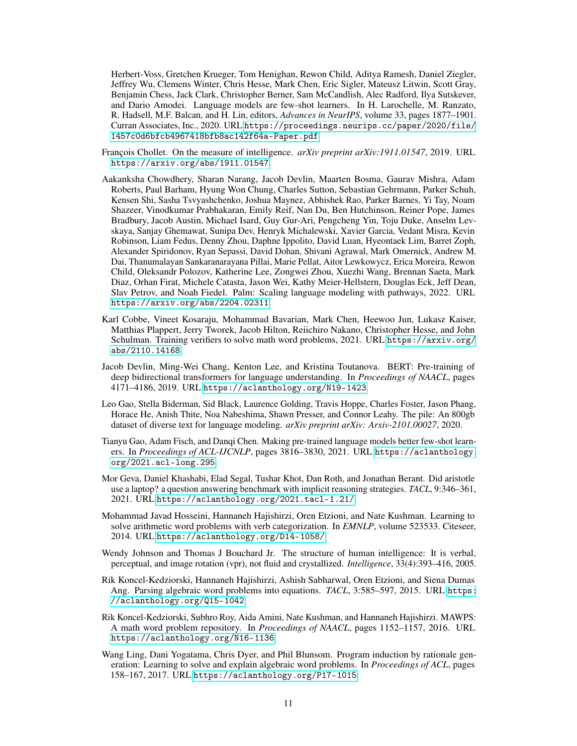Herbert-Voss, Gretchen Krueger, Tom Henighan, Rewon Child, Aditya Ramesh, Daniel Ziegler, Jeffrey Wu, Clemens Winter, Chris Hesse, Mark Chen, Eric Sigler, Mateusz Litwin, Scott Gray, Benjamin Chess, Jack Clark, Christopher Berner, Sam McCandlish, Alec Radford, Ilya Sutskever, and Dario Amodei. Language models are few-shot learners. In H. Larochelle, M. Ranzato, R. Hadsell, M.F. Balcan, and H. Lin, editors, *Advances in NeurIPS*, volume 33, pages 1877–1901. Curran Associates, Inc., 2020. URL [https://proceedings.neurips.cc/paper/2020/file/](https://proceedings.neurips.cc/paper/2020/file/1457c0d6bfcb4967418bfb8ac142f64a-Paper.pdf) [1457c0d6bfcb4967418bfb8ac142f64a-Paper.pdf](https://proceedings.neurips.cc/paper/2020/file/1457c0d6bfcb4967418bfb8ac142f64a-Paper.pdf).

- <span id="page-10-6"></span>François Chollet. On the measure of intelligence. *arXiv preprint arXiv:1911.01547*, 2019. URL <https://arxiv.org/abs/1911.01547>.
- <span id="page-10-1"></span>Aakanksha Chowdhery, Sharan Narang, Jacob Devlin, Maarten Bosma, Gaurav Mishra, Adam Roberts, Paul Barham, Hyung Won Chung, Charles Sutton, Sebastian Gehrmann, Parker Schuh, Kensen Shi, Sasha Tsvyashchenko, Joshua Maynez, Abhishek Rao, Parker Barnes, Yi Tay, Noam Shazeer, Vinodkumar Prabhakaran, Emily Reif, Nan Du, Ben Hutchinson, Reiner Pope, James Bradbury, Jacob Austin, Michael Isard, Guy Gur-Ari, Pengcheng Yin, Toju Duke, Anselm Levskaya, Sanjay Ghemawat, Sunipa Dev, Henryk Michalewski, Xavier Garcia, Vedant Misra, Kevin Robinson, Liam Fedus, Denny Zhou, Daphne Ippolito, David Luan, Hyeontaek Lim, Barret Zoph, Alexander Spiridonov, Ryan Sepassi, David Dohan, Shivani Agrawal, Mark Omernick, Andrew M. Dai, Thanumalayan Sankaranarayana Pillai, Marie Pellat, Aitor Lewkowycz, Erica Moreira, Rewon Child, Oleksandr Polozov, Katherine Lee, Zongwei Zhou, Xuezhi Wang, Brennan Saeta, Mark Diaz, Orhan Firat, Michele Catasta, Jason Wei, Kathy Meier-Hellstern, Douglas Eck, Jeff Dean, Slav Petrov, and Noah Fiedel. Palm: Scaling language modeling with pathways, 2022. URL <https://arxiv.org/abs/2204.02311>.
- <span id="page-10-3"></span>Karl Cobbe, Vineet Kosaraju, Mohammad Bavarian, Mark Chen, Heewoo Jun, Lukasz Kaiser, Matthias Plappert, Jerry Tworek, Jacob Hilton, Reiichiro Nakano, Christopher Hesse, and John Schulman. Training verifiers to solve math word problems, 2021. URL [https://arxiv.org/](https://arxiv.org/abs/2110.14168) [abs/2110.14168](https://arxiv.org/abs/2110.14168).
- <span id="page-10-0"></span>Jacob Devlin, Ming-Wei Chang, Kenton Lee, and Kristina Toutanova. BERT: Pre-training of deep bidirectional transformers for language understanding. In *Proceedings of NAACL*, pages 4171–4186, 2019. URL <https://aclanthology.org/N19-1423>.
- <span id="page-10-7"></span>Leo Gao, Stella Biderman, Sid Black, Laurence Golding, Travis Hoppe, Charles Foster, Jason Phang, Horace He, Anish Thite, Noa Nabeshima, Shawn Presser, and Connor Leahy. The pile: An 800gb dataset of diverse text for language modeling. *arXiv preprint arXiv: Arxiv-2101.00027*, 2020.
- <span id="page-10-2"></span>Tianyu Gao, Adam Fisch, and Danqi Chen. Making pre-trained language models better few-shot learners. In *Proceedings of ACL-IJCNLP*, pages 3816–3830, 2021. URL [https://aclanthology.](https://aclanthology.org/2021.acl-long.295) [org/2021.acl-long.295](https://aclanthology.org/2021.acl-long.295).
- <span id="page-10-5"></span>Mor Geva, Daniel Khashabi, Elad Segal, Tushar Khot, Dan Roth, and Jonathan Berant. Did aristotle use a laptop? a question answering benchmark with implicit reasoning strategies. *TACL*, 9:346–361, 2021. URL <https://aclanthology.org/2021.tacl-1.21/>.
- <span id="page-10-9"></span>Mohammad Javad Hosseini, Hannaneh Hajishirzi, Oren Etzioni, and Nate Kushman. Learning to solve arithmetic word problems with verb categorization. In *EMNLP*, volume 523533. Citeseer, 2014. URL <https://aclanthology.org/D14-1058/>.
- <span id="page-10-11"></span>Wendy Johnson and Thomas J Bouchard Jr. The structure of human intelligence: It is verbal, perceptual, and image rotation (vpr), not fluid and crystallized. *Intelligence*, 33(4):393–416, 2005.
- <span id="page-10-8"></span>Rik Koncel-Kedziorski, Hannaneh Hajishirzi, Ashish Sabharwal, Oren Etzioni, and Siena Dumas Ang. Parsing algebraic word problems into equations. *TACL*, 3:585–597, 2015. URL [https:](https://aclanthology.org/Q15-1042) [//aclanthology.org/Q15-1042](https://aclanthology.org/Q15-1042).
- <span id="page-10-10"></span>Rik Koncel-Kedziorski, Subhro Roy, Aida Amini, Nate Kushman, and Hannaneh Hajishirzi. MAWPS: A math word problem repository. In *Proceedings of NAACL*, pages 1152–1157, 2016. URL <https://aclanthology.org/N16-1136>.
- <span id="page-10-4"></span>Wang Ling, Dani Yogatama, Chris Dyer, and Phil Blunsom. Program induction by rationale generation: Learning to solve and explain algebraic word problems. In *Proceedings of ACL*, pages 158–167, 2017. URL <https://aclanthology.org/P17-1015>.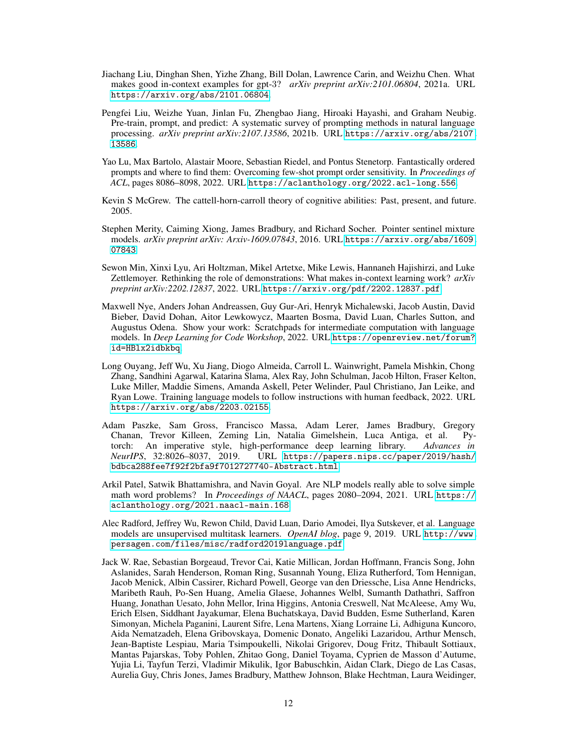- <span id="page-11-4"></span>Jiachang Liu, Dinghan Shen, Yizhe Zhang, Bill Dolan, Lawrence Carin, and Weizhu Chen. What makes good in-context examples for gpt-3? *arXiv preprint arXiv:2101.06804*, 2021a. URL <https://arxiv.org/abs/2101.06804>.
- <span id="page-11-1"></span>Pengfei Liu, Weizhe Yuan, Jinlan Fu, Zhengbao Jiang, Hiroaki Hayashi, and Graham Neubig. Pre-train, prompt, and predict: A systematic survey of prompting methods in natural language processing. *arXiv preprint arXiv:2107.13586*, 2021b. URL [https://arxiv.org/abs/2107.](https://arxiv.org/abs/2107.13586) [13586](https://arxiv.org/abs/2107.13586).
- <span id="page-11-6"></span>Yao Lu, Max Bartolo, Alastair Moore, Sebastian Riedel, and Pontus Stenetorp. Fantastically ordered prompts and where to find them: Overcoming few-shot prompt order sensitivity. In *Proceedings of ACL*, pages 8086–8098, 2022. URL <https://aclanthology.org/2022.acl-long.556>.
- <span id="page-11-10"></span>Kevin S McGrew. The cattell-horn-carroll theory of cognitive abilities: Past, present, and future. 2005.
- <span id="page-11-3"></span>Stephen Merity, Caiming Xiong, James Bradbury, and Richard Socher. Pointer sentinel mixture models. *arXiv preprint arXiv: Arxiv-1609.07843*, 2016. URL [https://arxiv.org/abs/1609.](https://arxiv.org/abs/1609.07843) [07843](https://arxiv.org/abs/1609.07843).
- <span id="page-11-7"></span>Sewon Min, Xinxi Lyu, Ari Holtzman, Mikel Artetxe, Mike Lewis, Hannaneh Hajishirzi, and Luke Zettlemoyer. Rethinking the role of demonstrations: What makes in-context learning work? *arXiv preprint arXiv:2202.12837*, 2022. URL <https://arxiv.org/pdf/2202.12837.pdf>.
- <span id="page-11-8"></span>Maxwell Nye, Anders Johan Andreassen, Guy Gur-Ari, Henryk Michalewski, Jacob Austin, David Bieber, David Dohan, Aitor Lewkowycz, Maarten Bosma, David Luan, Charles Sutton, and Augustus Odena. Show your work: Scratchpads for intermediate computation with language models. In *Deep Learning for Code Workshop*, 2022. URL [https://openreview.net/forum?](https://openreview.net/forum?id=HBlx2idbkbq) [id=HBlx2idbkbq](https://openreview.net/forum?id=HBlx2idbkbq).
- <span id="page-11-5"></span>Long Ouyang, Jeff Wu, Xu Jiang, Diogo Almeida, Carroll L. Wainwright, Pamela Mishkin, Chong Zhang, Sandhini Agarwal, Katarina Slama, Alex Ray, John Schulman, Jacob Hilton, Fraser Kelton, Luke Miller, Maddie Simens, Amanda Askell, Peter Welinder, Paul Christiano, Jan Leike, and Ryan Lowe. Training language models to follow instructions with human feedback, 2022. URL <https://arxiv.org/abs/2203.02155>.
- <span id="page-11-11"></span>Adam Paszke, Sam Gross, Francisco Massa, Adam Lerer, James Bradbury, Gregory Chanan, Trevor Killeen, Zeming Lin, Natalia Gimelshein, Luca Antiga, et al. Pytorch: An imperative style, high-performance deep learning library. *Advances in* URL [https://papers.nips.cc/paper/2019/hash/](https://papers.nips.cc/paper/2019/hash/bdbca288fee7f92f2bfa9f7012727740-Abstract.html) [bdbca288fee7f92f2bfa9f7012727740-Abstract.html](https://papers.nips.cc/paper/2019/hash/bdbca288fee7f92f2bfa9f7012727740-Abstract.html).
- <span id="page-11-2"></span>Arkil Patel, Satwik Bhattamishra, and Navin Goyal. Are NLP models really able to solve simple math word problems? In *Proceedings of NAACL*, pages 2080–2094, 2021. URL [https://](https://aclanthology.org/2021.naacl-main.168) [aclanthology.org/2021.naacl-main.168](https://aclanthology.org/2021.naacl-main.168).
- <span id="page-11-9"></span>Alec Radford, Jeffrey Wu, Rewon Child, David Luan, Dario Amodei, Ilya Sutskever, et al. Language models are unsupervised multitask learners. *OpenAI blog*, page 9, 2019. URL [http://www.](http://www.persagen.com/files/misc/radford2019language.pdf) [persagen.com/files/misc/radford2019language.pdf](http://www.persagen.com/files/misc/radford2019language.pdf).
- <span id="page-11-0"></span>Jack W. Rae, Sebastian Borgeaud, Trevor Cai, Katie Millican, Jordan Hoffmann, Francis Song, John Aslanides, Sarah Henderson, Roman Ring, Susannah Young, Eliza Rutherford, Tom Hennigan, Jacob Menick, Albin Cassirer, Richard Powell, George van den Driessche, Lisa Anne Hendricks, Maribeth Rauh, Po-Sen Huang, Amelia Glaese, Johannes Welbl, Sumanth Dathathri, Saffron Huang, Jonathan Uesato, John Mellor, Irina Higgins, Antonia Creswell, Nat McAleese, Amy Wu, Erich Elsen, Siddhant Jayakumar, Elena Buchatskaya, David Budden, Esme Sutherland, Karen Simonyan, Michela Paganini, Laurent Sifre, Lena Martens, Xiang Lorraine Li, Adhiguna Kuncoro, Aida Nematzadeh, Elena Gribovskaya, Domenic Donato, Angeliki Lazaridou, Arthur Mensch, Jean-Baptiste Lespiau, Maria Tsimpoukelli, Nikolai Grigorev, Doug Fritz, Thibault Sottiaux, Mantas Pajarskas, Toby Pohlen, Zhitao Gong, Daniel Toyama, Cyprien de Masson d'Autume, Yujia Li, Tayfun Terzi, Vladimir Mikulik, Igor Babuschkin, Aidan Clark, Diego de Las Casas, Aurelia Guy, Chris Jones, James Bradbury, Matthew Johnson, Blake Hechtman, Laura Weidinger,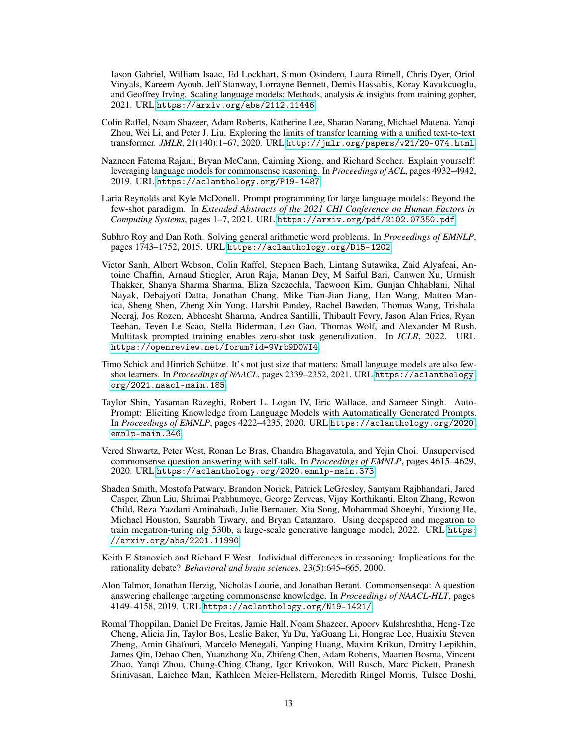Iason Gabriel, William Isaac, Ed Lockhart, Simon Osindero, Laura Rimell, Chris Dyer, Oriol Vinyals, Kareem Ayoub, Jeff Stanway, Lorrayne Bennett, Demis Hassabis, Koray Kavukcuoglu, and Geoffrey Irving. Scaling language models: Methods, analysis & insights from training gopher, 2021. URL <https://arxiv.org/abs/2112.11446>.

- <span id="page-12-0"></span>Colin Raffel, Noam Shazeer, Adam Roberts, Katherine Lee, Sharan Narang, Michael Matena, Yanqi Zhou, Wei Li, and Peter J. Liu. Exploring the limits of transfer learning with a unified text-to-text transformer. *JMLR*, 21(140):1–67, 2020. URL <http://jmlr.org/papers/v21/20-074.html>.
- <span id="page-12-9"></span>Nazneen Fatema Rajani, Bryan McCann, Caiming Xiong, and Richard Socher. Explain yourself! leveraging language models for commonsense reasoning. In *Proceedings of ACL*, pages 4932–4942, 2019. URL <https://aclanthology.org/P19-1487>.
- <span id="page-12-3"></span>Laria Reynolds and Kyle McDonell. Prompt programming for large language models: Beyond the few-shot paradigm. In *Extended Abstracts of the 2021 CHI Conference on Human Factors in Computing Systems*, pages 1–7, 2021. URL <https://arxiv.org/pdf/2102.07350.pdf>.
- <span id="page-12-6"></span>Subhro Roy and Dan Roth. Solving general arithmetic word problems. In *Proceedings of EMNLP*, pages 1743–1752, 2015. URL <https://aclanthology.org/D15-1202>.
- <span id="page-12-8"></span>Victor Sanh, Albert Webson, Colin Raffel, Stephen Bach, Lintang Sutawika, Zaid Alyafeai, Antoine Chaffin, Arnaud Stiegler, Arun Raja, Manan Dey, M Saiful Bari, Canwen Xu, Urmish Thakker, Shanya Sharma Sharma, Eliza Szczechla, Taewoon Kim, Gunjan Chhablani, Nihal Nayak, Debajyoti Datta, Jonathan Chang, Mike Tian-Jian Jiang, Han Wang, Matteo Manica, Sheng Shen, Zheng Xin Yong, Harshit Pandey, Rachel Bawden, Thomas Wang, Trishala Neeraj, Jos Rozen, Abheesht Sharma, Andrea Santilli, Thibault Fevry, Jason Alan Fries, Ryan Teehan, Teven Le Scao, Stella Biderman, Leo Gao, Thomas Wolf, and Alexander M Rush. Multitask prompted training enables zero-shot task generalization. In *ICLR*, 2022. URL <https://openreview.net/forum?id=9Vrb9D0WI4>.
- <span id="page-12-2"></span>Timo Schick and Hinrich Schütze. It's not just size that matters: Small language models are also fewshot learners. In *Proceedings of NAACL*, pages 2339–2352, 2021. URL [https://aclanthology.](https://aclanthology.org/2021.naacl-main.185) [org/2021.naacl-main.185](https://aclanthology.org/2021.naacl-main.185).
- <span id="page-12-4"></span>Taylor Shin, Yasaman Razeghi, Robert L. Logan IV, Eric Wallace, and Sameer Singh. Auto-Prompt: Eliciting Knowledge from Language Models with Automatically Generated Prompts. In *Proceedings of EMNLP*, pages 4222–4235, 2020. URL [https://aclanthology.org/2020.](https://aclanthology.org/2020.emnlp-main.346) [emnlp-main.346](https://aclanthology.org/2020.emnlp-main.346).
- <span id="page-12-11"></span>Vered Shwartz, Peter West, Ronan Le Bras, Chandra Bhagavatula, and Yejin Choi. Unsupervised commonsense question answering with self-talk. In *Proceedings of EMNLP*, pages 4615–4629, 2020. URL <https://aclanthology.org/2020.emnlp-main.373>.
- <span id="page-12-10"></span>Shaden Smith, Mostofa Patwary, Brandon Norick, Patrick LeGresley, Samyam Rajbhandari, Jared Casper, Zhun Liu, Shrimai Prabhumoye, George Zerveas, Vijay Korthikanti, Elton Zhang, Rewon Child, Reza Yazdani Aminabadi, Julie Bernauer, Xia Song, Mohammad Shoeybi, Yuxiong He, Michael Houston, Saurabh Tiwary, and Bryan Catanzaro. Using deepspeed and megatron to train megatron-turing nlg 530b, a large-scale generative language model, 2022. URL [https:](https://arxiv.org/abs/2201.11990) [//arxiv.org/abs/2201.11990](https://arxiv.org/abs/2201.11990).
- <span id="page-12-5"></span>Keith E Stanovich and Richard F West. Individual differences in reasoning: Implications for the rationality debate? *Behavioral and brain sciences*, 23(5):645–665, 2000.
- <span id="page-12-7"></span>Alon Talmor, Jonathan Herzig, Nicholas Lourie, and Jonathan Berant. Commonsenseqa: A question answering challenge targeting commonsense knowledge. In *Proceedings of NAACL-HLT*, pages 4149–4158, 2019. URL <https://aclanthology.org/N19-1421/>.
- <span id="page-12-1"></span>Romal Thoppilan, Daniel De Freitas, Jamie Hall, Noam Shazeer, Apoorv Kulshreshtha, Heng-Tze Cheng, Alicia Jin, Taylor Bos, Leslie Baker, Yu Du, YaGuang Li, Hongrae Lee, Huaixiu Steven Zheng, Amin Ghafouri, Marcelo Menegali, Yanping Huang, Maxim Krikun, Dmitry Lepikhin, James Qin, Dehao Chen, Yuanzhong Xu, Zhifeng Chen, Adam Roberts, Maarten Bosma, Vincent Zhao, Yanqi Zhou, Chung-Ching Chang, Igor Krivokon, Will Rusch, Marc Pickett, Pranesh Srinivasan, Laichee Man, Kathleen Meier-Hellstern, Meredith Ringel Morris, Tulsee Doshi,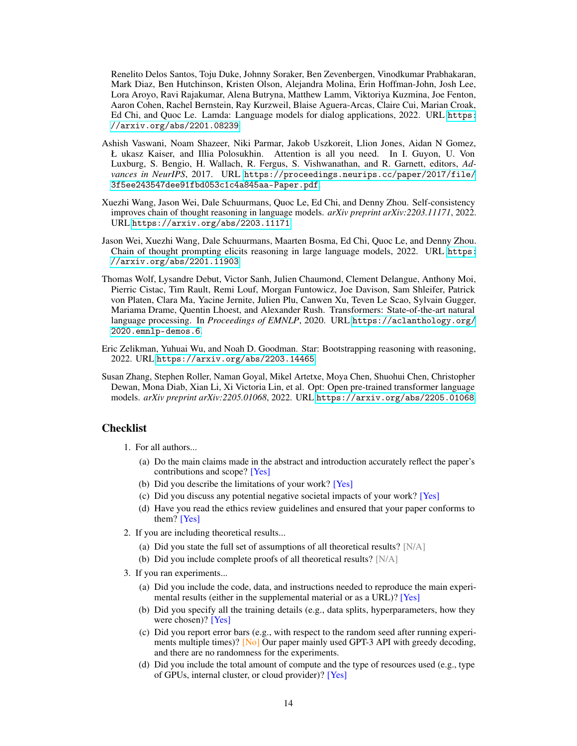Renelito Delos Santos, Toju Duke, Johnny Soraker, Ben Zevenbergen, Vinodkumar Prabhakaran, Mark Diaz, Ben Hutchinson, Kristen Olson, Alejandra Molina, Erin Hoffman-John, Josh Lee, Lora Aroyo, Ravi Rajakumar, Alena Butryna, Matthew Lamm, Viktoriya Kuzmina, Joe Fenton, Aaron Cohen, Rachel Bernstein, Ray Kurzweil, Blaise Aguera-Arcas, Claire Cui, Marian Croak, Ed Chi, and Quoc Le. Lamda: Language models for dialog applications, 2022. URL [https:](https://arxiv.org/abs/2201.08239) [//arxiv.org/abs/2201.08239](https://arxiv.org/abs/2201.08239).

- <span id="page-13-0"></span>Ashish Vaswani, Noam Shazeer, Niki Parmar, Jakob Uszkoreit, Llion Jones, Aidan N Gomez, Ł ukasz Kaiser, and Illia Polosukhin. Attention is all you need. In I. Guyon, U. Von Luxburg, S. Bengio, H. Wallach, R. Fergus, S. Vishwanathan, and R. Garnett, editors, *Advances in NeurIPS*, 2017. URL [https://proceedings.neurips.cc/paper/2017/file/](https://proceedings.neurips.cc/paper/2017/file/3f5ee243547dee91fbd053c1c4a845aa-Paper.pdf) [3f5ee243547dee91fbd053c1c4a845aa-Paper.pdf](https://proceedings.neurips.cc/paper/2017/file/3f5ee243547dee91fbd053c1c4a845aa-Paper.pdf).
- <span id="page-13-2"></span>Xuezhi Wang, Jason Wei, Dale Schuurmans, Quoc Le, Ed Chi, and Denny Zhou. Self-consistency improves chain of thought reasoning in language models. *arXiv preprint arXiv:2203.11171*, 2022. URL <https://arxiv.org/abs/2203.11171>.
- <span id="page-13-1"></span>Jason Wei, Xuezhi Wang, Dale Schuurmans, Maarten Bosma, Ed Chi, Quoc Le, and Denny Zhou. Chain of thought prompting elicits reasoning in large language models, 2022. URL [https:](https://arxiv.org/abs/2201.11903) [//arxiv.org/abs/2201.11903](https://arxiv.org/abs/2201.11903).
- <span id="page-13-5"></span>Thomas Wolf, Lysandre Debut, Victor Sanh, Julien Chaumond, Clement Delangue, Anthony Moi, Pierric Cistac, Tim Rault, Remi Louf, Morgan Funtowicz, Joe Davison, Sam Shleifer, Patrick von Platen, Clara Ma, Yacine Jernite, Julien Plu, Canwen Xu, Teven Le Scao, Sylvain Gugger, Mariama Drame, Quentin Lhoest, and Alexander Rush. Transformers: State-of-the-art natural language processing. In *Proceedings of EMNLP*, 2020. URL [https://aclanthology.org/](https://aclanthology.org/2020.emnlp-demos.6) [2020.emnlp-demos.6](https://aclanthology.org/2020.emnlp-demos.6).
- <span id="page-13-4"></span>Eric Zelikman, Yuhuai Wu, and Noah D. Goodman. Star: Bootstrapping reasoning with reasoning, 2022. URL <https://arxiv.org/abs/2203.14465>.
- <span id="page-13-3"></span>Susan Zhang, Stephen Roller, Naman Goyal, Mikel Artetxe, Moya Chen, Shuohui Chen, Christopher Dewan, Mona Diab, Xian Li, Xi Victoria Lin, et al. Opt: Open pre-trained transformer language models. *arXiv preprint arXiv:2205.01068*, 2022. URL <https://arxiv.org/abs/2205.01068>.

## **Checklist**

- 1. For all authors...
	- (a) Do the main claims made in the abstract and introduction accurately reflect the paper's contributions and scope? [Yes]
	- (b) Did you describe the limitations of your work? [Yes]
	- (c) Did you discuss any potential negative societal impacts of your work? [Yes]
	- (d) Have you read the ethics review guidelines and ensured that your paper conforms to them? [Yes]
- 2. If you are including theoretical results...
	- (a) Did you state the full set of assumptions of all theoretical results?  $[N/A]$
	- (b) Did you include complete proofs of all theoretical results? [N/A]
- 3. If you ran experiments...
	- (a) Did you include the code, data, and instructions needed to reproduce the main experimental results (either in the supplemental material or as a URL)? [Yes]
	- (b) Did you specify all the training details (e.g., data splits, hyperparameters, how they were chosen)? [Yes]
	- (c) Did you report error bars (e.g., with respect to the random seed after running experiments multiple times)? [No] Our paper mainly used GPT-3 API with greedy decoding, and there are no randomness for the experiments.
	- (d) Did you include the total amount of compute and the type of resources used (e.g., type of GPUs, internal cluster, or cloud provider)? [Yes]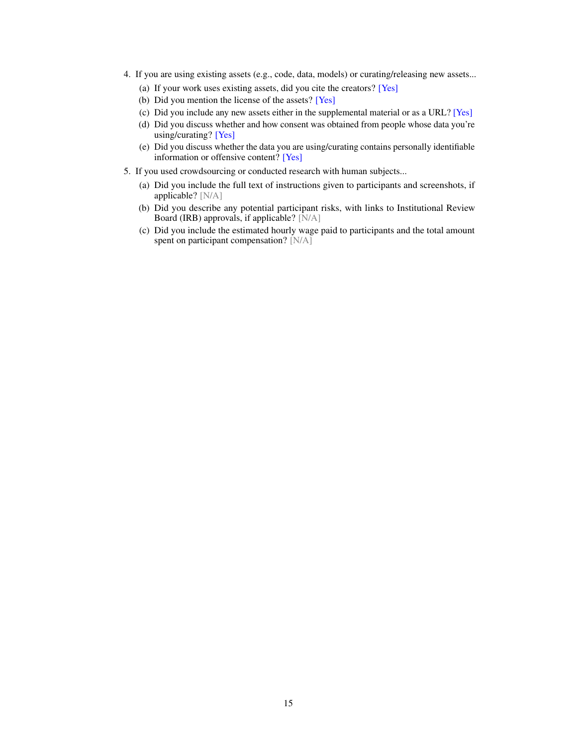- 4. If you are using existing assets (e.g., code, data, models) or curating/releasing new assets...
	- (a) If your work uses existing assets, did you cite the creators? [Yes]
	- (b) Did you mention the license of the assets? [Yes]
	- (c) Did you include any new assets either in the supplemental material or as a URL? [Yes]
	- (d) Did you discuss whether and how consent was obtained from people whose data you're using/curating? [Yes]
	- (e) Did you discuss whether the data you are using/curating contains personally identifiable information or offensive content? [Yes]
- 5. If you used crowdsourcing or conducted research with human subjects...
	- (a) Did you include the full text of instructions given to participants and screenshots, if applicable? [N/A]
	- (b) Did you describe any potential participant risks, with links to Institutional Review Board (IRB) approvals, if applicable? [N/A]
	- (c) Did you include the estimated hourly wage paid to participants and the total amount spent on participant compensation? [N/A]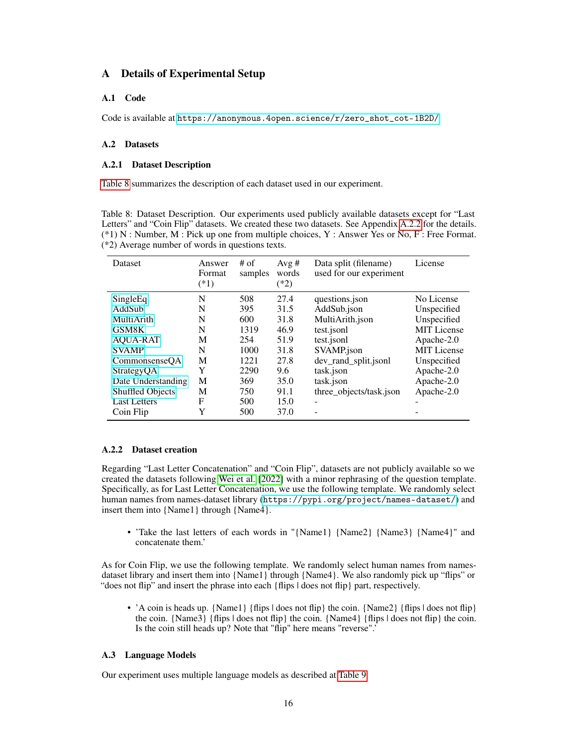## A Details of Experimental Setup

#### A.1 Code

Code is available at [https://anonymous.4open.science/r/zero\\_shot\\_cot-1B2D/](https://anonymous.4open.science/r/zero_shot_cot-1B2D/)

#### <span id="page-15-0"></span>A.2 Datasets

## A.2.1 Dataset Description

[Table 8](#page-15-2) summarizes the description of each dataset used in our experiment.

<span id="page-15-2"></span>Table 8: Dataset Description. Our experiments used publicly available datasets except for "Last Letters" and "Coin Flip" datasets. We created these two datasets. See Appendix [A.2.2](#page-15-3) for the details. (\*1) N : Number, M : Pick up one from multiple choices, Y : Answer Yes or No, F : Free Format. (\*2) Average number of words in questions texts.

| <b>Dataset</b>          | Answer<br>Format<br>$(*1)$ | # of<br>samples | Avg#<br>words<br>$(*2)$ | Data split (filename)<br>used for our experiment | License            |
|-------------------------|----------------------------|-----------------|-------------------------|--------------------------------------------------|--------------------|
| SingleEq                | N                          | 508             | 27.4                    | questions.json                                   | No License         |
| AddSub                  | N                          | 395             | 31.5                    | AddSub.json                                      | Unspecified        |
| MultiArith              | N                          | 600             | 31.8                    | MultiArith.json                                  | Unspecified        |
| GSM8K                   | N                          | 1319            | 46.9                    | test.jsonl                                       | <b>MIT</b> License |
| <b>AQUA-RAT</b>         | М                          | 254             | 51.9                    | test.jsonl                                       | Apache-2.0         |
| <b>SVAMP</b>            | N                          | 1000            | 31.8                    | SVAMP.json                                       | <b>MIT</b> License |
| CommonsenseQA           | M                          | 1221            | 27.8                    | dev_rand_split.jsonl                             | Unspecified        |
| StrategyQA              | Y                          | 2290            | 9.6                     | task.json                                        | Apache-2.0         |
| Date Understanding      | M                          | 369             | 35.0                    | task.json                                        | Apache-2.0         |
| <b>Shuffled Objects</b> | M                          | 750             | 91.1                    | three_objects/task.json                          | Apache-2.0         |
| <b>Last Letters</b>     | F                          | 500             | 15.0                    |                                                  |                    |
| Coin Flip               | Y                          | 500             | 37.0                    |                                                  |                    |

#### <span id="page-15-3"></span>A.2.2 Dataset creation

Regarding "Last Letter Concatenation" and "Coin Flip", datasets are not publicly available so we created the datasets following [Wei et al.](#page-13-1) [\[2022\]](#page-13-1) with a minor rephrasing of the question template. Specifically, as for Last Letter Concatenation, we use the following template. We randomly select human names from names-dataset library (<https://pypi.org/project/names-dataset/>) and insert them into {Name1} through {Name4}.

• 'Take the last letters of each words in "{Name1} {Name2} {Name3} {Name4}" and concatenate them.'

As for Coin Flip, we use the following template. We randomly select human names from namesdataset library and insert them into {Name1} through {Name4}. We also randomly pick up "flips" or "does not flip" and insert the phrase into each {flips | does not flip} part, respectively.

• 'A coin is heads up. {Name1} {flips | does not flip} the coin. {Name2} {flips | does not flip} the coin. {Name3} {flips | does not flip} the coin. {Name4} {flips | does not flip} the coin. Is the coin still heads up? Note that "flip" here means "reverse".'

## <span id="page-15-1"></span>A.3 Language Models

Our experiment uses multiple language models as described at [Table 9](#page-16-2)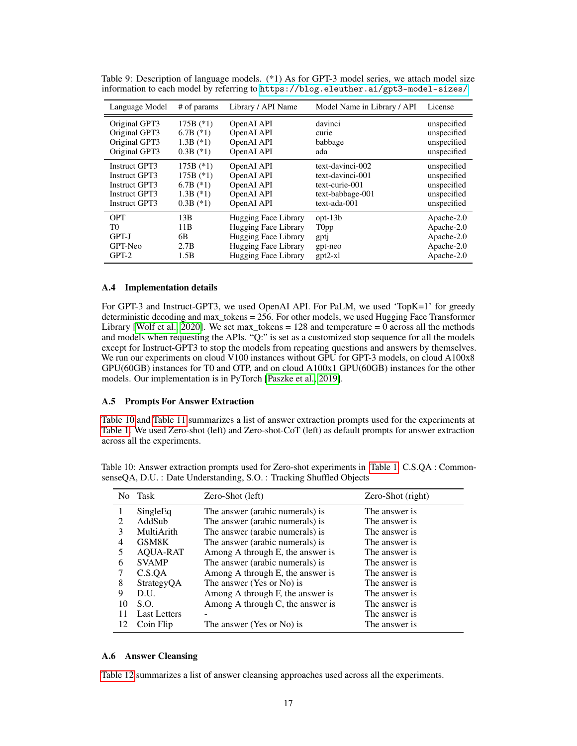| Language Model       | # of params | Library / API Name          | Model Name in Library / API | License     |
|----------------------|-------------|-----------------------------|-----------------------------|-------------|
| Original GPT3        | $175B$ (*1) | OpenAI API                  | davinci                     | unspecified |
| Original GPT3        | $6.7B$ (*1) | OpenAI API                  | curie                       | unspecified |
| Original GPT3        | $1.3B$ (*1) | OpenAI API                  | babbage                     | unspecified |
| Original GPT3        | $0.3B$ (*1) | OpenAI API                  | ada                         | unspecified |
| <b>Instruct GPT3</b> | $175B$ (*1) | OpenAI API                  | text-davinci-002            | unspecified |
| <b>Instruct GPT3</b> | $175B$ (*1) | OpenAI API                  | text-davinci-001            | unspecified |
| <b>Instruct GPT3</b> | $6.7B$ (*1) | OpenAI API                  | text-curie-001              | unspecified |
| <b>Instruct GPT3</b> | $1.3B$ (*1) | OpenAI API                  | text-babbage-001            | unspecified |
| <b>Instruct GPT3</b> | $0.3B$ (*1) | OpenAI API                  | text-ada-001                | unspecified |
| <b>OPT</b>           | 13B         | <b>Hugging Face Library</b> | $opt-13b$                   | Apache-2.0  |
| T0                   | 11B         | <b>Hugging Face Library</b> | T <sub>0</sub> pp           | Apache-2.0  |
| GPT-J                | 6B          | Hugging Face Library        | gptj                        | Apache-2.0  |
| GPT-Neo              | 2.7B        | <b>Hugging Face Library</b> | gpt-neo                     | Apache-2.0  |
| $GPT-2$              | 1.5B        | Hugging Face Library        | $gpt2-xl$                   | Apache-2.0  |

<span id="page-16-2"></span>Table 9: Description of language models. (\*1) As for GPT-3 model series, we attach model size information to each model by referring to <https://blog.eleuther.ai/gpt3-model-sizes/>

#### A.4 Implementation details

For GPT-3 and Instruct-GPT3, we used OpenAI API. For PaLM, we used 'TopK=1' for greedy deterministic decoding and max\_tokens = 256. For other models, we used Hugging Face Transformer Library [\[Wolf et al., 2020\]](#page-13-5). We set max\_tokens = 128 and temperature = 0 across all the methods and models when requesting the APIs. "Q:" is set as a customized stop sequence for all the models except for Instruct-GPT3 to stop the models from repeating questions and answers by themselves. We run our experiments on cloud V100 instances without GPU for GPT-3 models, on cloud A100x8 GPU(60GB) instances for T0 and OTP, and on cloud A100x1 GPU(60GB) instances for the other models. Our implementation is in PyTorch [\[Paszke et al., 2019\]](#page-11-11).

#### <span id="page-16-0"></span>A.5 Prompts For Answer Extraction

[Table 10](#page-16-3) and [Table 11](#page-17-1) summarizes a list of answer extraction prompts used for the experiments at [Table 1.](#page-5-0) We used Zero-shot (left) and Zero-shot-CoT (left) as default prompts for answer extraction across all the experiments.

|    | No Task             | Zero-Shot (left)                 | Zero-Shot (right) |
|----|---------------------|----------------------------------|-------------------|
|    | SingleEq            | The answer (arabic numerals) is  | The answer is     |
| 2  | AddSub              | The answer (arabic numerals) is  | The answer is     |
| 3  | MultiArith          | The answer (arabic numerals) is  | The answer is     |
| 4  | GSM8K               | The answer (arabic numerals) is  | The answer is     |
| 5  | <b>AQUA-RAT</b>     | Among A through E, the answer is | The answer is     |
| 6  | <b>SVAMP</b>        | The answer (arabic numerals) is  | The answer is     |
| 7  | C.S.QA              | Among A through E, the answer is | The answer is     |
| 8  | StrategyQA          | The answer (Yes or No) is        | The answer is     |
| 9  | D.U.                | Among A through F, the answer is | The answer is     |
| 10 | S.O.                | Among A through C, the answer is | The answer is     |
|    | <b>Last Letters</b> | -                                | The answer is     |
| 12 | Coin Flip           | The answer (Yes or No) is        | The answer is     |

<span id="page-16-3"></span>Table 10: Answer extraction prompts used for Zero-shot experiments in [Table 1.](#page-5-0) C.S.QA : CommonsenseQA, D.U. : Date Understanding, S.O. : Tracking Shuffled Objects

#### <span id="page-16-1"></span>A.6 Answer Cleansing

[Table 12](#page-17-2) summarizes a list of answer cleansing approaches used across all the experiments.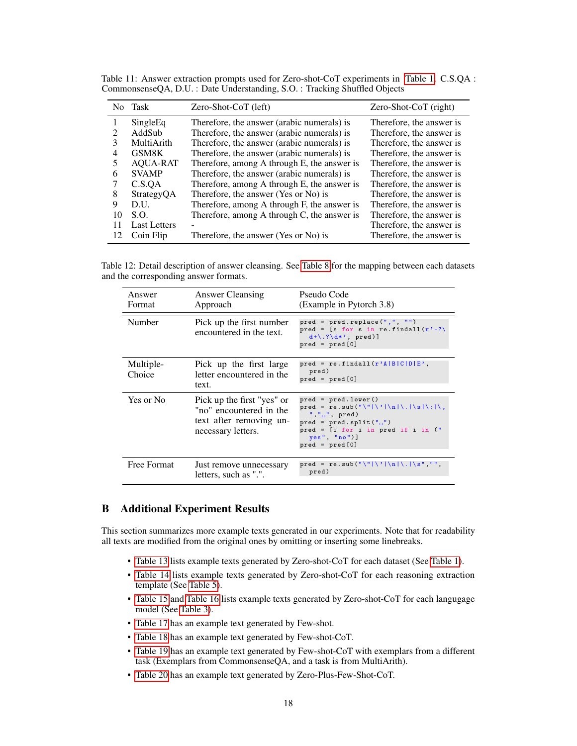|    | No Task             | $Zero-Short-CoT$ (left)                     | $Zero-Short-CoT$ (right) |
|----|---------------------|---------------------------------------------|--------------------------|
|    | SingleEq            | Therefore, the answer (arabic numerals) is  | Therefore, the answer is |
|    | AddSub              | Therefore, the answer (arabic numerals) is  | Therefore, the answer is |
| 3  | MultiArith          | Therefore, the answer (arabic numerals) is  | Therefore, the answer is |
| 4  | GSM8K               | Therefore, the answer (arabic numerals) is  | Therefore, the answer is |
| 5  | <b>AQUA-RAT</b>     | Therefore, among A through E, the answer is | Therefore, the answer is |
| 6  | <b>SVAMP</b>        | Therefore, the answer (arabic numerals) is  | Therefore, the answer is |
|    | C.S.QA              | Therefore, among A through E, the answer is | Therefore, the answer is |
| 8  | StrategyQA          | Therefore, the answer (Yes or No) is        | Therefore, the answer is |
| 9  | D.U.                | Therefore, among A through F, the answer is | Therefore, the answer is |
| 10 | S.O.                | Therefore, among A through C, the answer is | Therefore, the answer is |
| 11 | <b>Last Letters</b> |                                             | Therefore, the answer is |
| 12 | Coin Flip           | Therefore, the answer (Yes or No) is        | Therefore, the answer is |

<span id="page-17-1"></span>Table 11: Answer extraction prompts used for Zero-shot-CoT experiments in [Table 1.](#page-5-0) C.S.QA : CommonsenseQA, D.U. : Date Understanding, S.O. : Tracking Shuffled Objects

<span id="page-17-2"></span>Table 12: Detail description of answer cleansing. See [Table 8](#page-15-2) for the mapping between each datasets and the corresponding answer formats.

| Answer<br>Format    | <b>Answer Cleansing</b><br>Approach                                                                    | Pseudo Code<br>(Example in Pytorch 3.8)                                                                                                                                                            |
|---------------------|--------------------------------------------------------------------------------------------------------|----------------------------------------------------------------------------------------------------------------------------------------------------------------------------------------------------|
| Number              | Pick up the first number<br>encountered in the text.                                                   | $pred = pred.replace("," "")$<br>pred = [s for s in re.findall( $r'$ -?)<br>$d+\$ .? $d*$ ', pred)]<br>$pred = pred[0]$                                                                            |
| Multiple-<br>Choice | Pick up the first large<br>letter encountered in the<br>text.                                          | $pred = re.findall(r'A B C D E',$<br>pred)<br>$pred = pred[0]$                                                                                                                                     |
| Yes or No           | Pick up the first "yes" or<br>"no" encountered in the<br>text after removing un-<br>necessary letters. | $pred = pred.lower()$<br>pred = re.sub("\" \' \n \. \s \: \,<br>"," $\mathsf{u}$ ", pred)<br>$pred = pred.split("u")$<br>pred = [i for i in pred if i in ("<br>$yes", "no")$ ]<br>$pred = pred[0]$ |
| Free Format         | Just remove unnecessary<br>letters, such as ".".                                                       | pred = re.sub("\" \' \n \. \s","",<br>pred)                                                                                                                                                        |

# <span id="page-17-0"></span>B Additional Experiment Results

This section summarizes more example texts generated in our experiments. Note that for readability all texts are modified from the original ones by omitting or inserting some linebreaks.

- [Table 13](#page-18-0) lists example texts generated by Zero-shot-CoT for each dataset (See [Table 1\)](#page-5-0).
- [Table 14](#page-23-0) lists example texts generated by Zero-shot-CoT for each reasoning extraction template (See [Table 5\)](#page-7-0).
- [Table 15](#page-24-0) and [Table 16](#page-25-0) lists example texts generated by Zero-shot-CoT for each langugage model (See [Table 3\)](#page-6-1).
- [Table 17](#page-26-0) has an example text generated by Few-shot.
- [Table 18](#page-27-0) has an example text generated by Few-shot-CoT.
- [Table 19](#page-28-0) has an example text generated by Few-shot-CoT with exemplars from a different task (Exemplars from CommonsenseQA, and a task is from MultiArith).
- [Table 20](#page-29-0) has an example text generated by Zero-Plus-Few-Shot-CoT.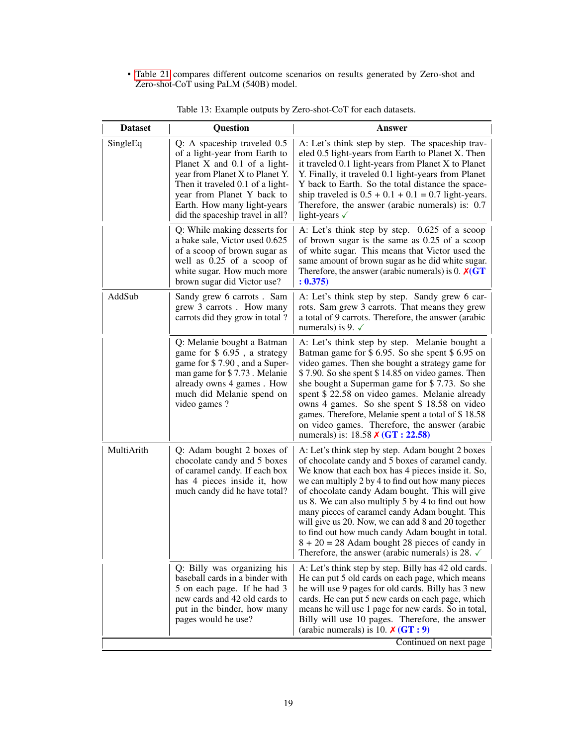• [Table 21](#page-30-0) compares different outcome scenarios on results generated by Zero-shot and Zero-shot-CoT using PaLM (540B) model.

<span id="page-18-0"></span>

| <b>Dataset</b> | <b>Question</b>                                                                                                                                                                                                                                                        | Answer                                                                                                                                                                                                                                                                                                                                                                                                                                                                                                                                                                                               |
|----------------|------------------------------------------------------------------------------------------------------------------------------------------------------------------------------------------------------------------------------------------------------------------------|------------------------------------------------------------------------------------------------------------------------------------------------------------------------------------------------------------------------------------------------------------------------------------------------------------------------------------------------------------------------------------------------------------------------------------------------------------------------------------------------------------------------------------------------------------------------------------------------------|
| SingleEq       | Q: A spaceship traveled 0.5<br>of a light-year from Earth to<br>Planet $X$ and 0.1 of a light-<br>year from Planet X to Planet Y.<br>Then it traveled 0.1 of a light-<br>year from Planet Y back to<br>Earth. How many light-years<br>did the spaceship travel in all? | A: Let's think step by step. The spaceship trav-<br>eled 0.5 light-years from Earth to Planet X. Then<br>it traveled 0.1 light-years from Planet X to Planet<br>Y. Finally, it traveled 0.1 light-years from Planet<br>Y back to Earth. So the total distance the space-<br>ship traveled is $0.5 + 0.1 + 0.1 = 0.7$ light-years.<br>Therefore, the answer (arabic numerals) is: 0.7<br>light-years $\sqrt{}$                                                                                                                                                                                        |
|                | Q: While making desserts for<br>a bake sale, Victor used 0.625<br>of a scoop of brown sugar as<br>well as $0.25$ of a scoop of<br>white sugar. How much more<br>brown sugar did Victor use?                                                                            | A: Let's think step by step. 0.625 of a scoop<br>of brown sugar is the same as $0.25$ of a scoop<br>of white sugar. This means that Victor used the<br>same amount of brown sugar as he did white sugar.<br>Therefore, the answer (arabic numerals) is 0. $\chi$ (GT)<br>: 0.375)                                                                                                                                                                                                                                                                                                                    |
| AddSub         | Sandy grew 6 carrots. Sam<br>grew 3 carrots. How many<br>carrots did they grow in total?                                                                                                                                                                               | A: Let's think step by step. Sandy grew 6 car-<br>rots. Sam grew 3 carrots. That means they grew<br>a total of 9 carrots. Therefore, the answer (arabic<br>numerals) is 9. $\checkmark$                                                                                                                                                                                                                                                                                                                                                                                                              |
|                | Q: Melanie bought a Batman<br>game for \$6.95, a strategy<br>game for \$7.90, and a Super-<br>man game for \$7.73. Melanie<br>already owns 4 games . How<br>much did Melanie spend on<br>video games ?                                                                 | A: Let's think step by step. Melanie bought a<br>Batman game for \$6.95. So she spent \$6.95 on<br>video games. Then she bought a strategy game for<br>\$7.90. So she spent \$14.85 on video games. Then<br>she bought a Superman game for \$7.73. So she<br>spent \$ 22.58 on video games. Melanie already<br>owns 4 games. So she spent \$ 18.58 on video<br>games. Therefore, Melanie spent a total of \$18.58<br>on video games. Therefore, the answer (arabic<br>numerals) is: $18.58 \times (GT : 22.58)$                                                                                      |
| MultiArith     | Q: Adam bought 2 boxes of<br>chocolate candy and 5 boxes<br>of caramel candy. If each box<br>has 4 pieces inside it, how<br>much candy did he have total?                                                                                                              | A: Let's think step by step. Adam bought 2 boxes<br>of chocolate candy and 5 boxes of caramel candy.<br>We know that each box has 4 pieces inside it. So,<br>we can multiply 2 by 4 to find out how many pieces<br>of chocolate candy Adam bought. This will give<br>us 8. We can also multiply 5 by 4 to find out how<br>many pieces of caramel candy Adam bought. This<br>will give us 20. Now, we can add 8 and 20 together<br>to find out how much candy Adam bought in total.<br>$8 + 20 = 28$ Adam bought 28 pieces of candy in<br>Therefore, the answer (arabic numerals) is 28. $\checkmark$ |
|                | Q: Billy was organizing his<br>baseball cards in a binder with<br>5 on each page. If he had 3<br>new cards and 42 old cards to<br>put in the binder, how many<br>pages would he use?                                                                                   | A: Let's think step by step. Billy has 42 old cards.<br>He can put 5 old cards on each page, which means<br>he will use 9 pages for old cards. Billy has 3 new<br>cards. He can put 5 new cards on each page, which<br>means he will use 1 page for new cards. So in total,<br>Billy will use 10 pages. Therefore, the answer<br>(arabic numerals) is 10. $\times$ (GT: 9)<br>Continued on next page                                                                                                                                                                                                 |

Table 13: Example outputs by Zero-shot-CoT for each datasets.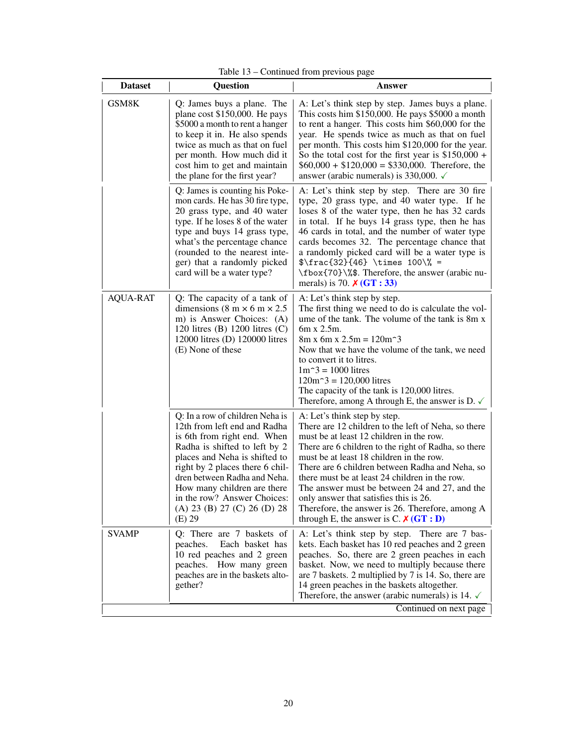| <b>Dataset</b>  | <b>Question</b>                                                                                                                                                                                                                                                                                                                                | Answer                                                                                                                                                                                                                                                                                                                                                                                                                                                                                                                                |
|-----------------|------------------------------------------------------------------------------------------------------------------------------------------------------------------------------------------------------------------------------------------------------------------------------------------------------------------------------------------------|---------------------------------------------------------------------------------------------------------------------------------------------------------------------------------------------------------------------------------------------------------------------------------------------------------------------------------------------------------------------------------------------------------------------------------------------------------------------------------------------------------------------------------------|
| GSM8K           | Q: James buys a plane. The<br>plane cost \$150,000. He pays<br>\$5000 a month to rent a hanger<br>to keep it in. He also spends<br>twice as much as that on fuel<br>per month. How much did it<br>cost him to get and maintain<br>the plane for the first year?                                                                                | A: Let's think step by step. James buys a plane.<br>This costs him $$150,000$ . He pays $$5000$ a month<br>to rent a hanger. This costs him \$60,000 for the<br>year. He spends twice as much as that on fuel<br>per month. This costs him \$120,000 for the year.<br>So the total cost for the first year is $$150,000 +$<br>$$60,000 + $120,000 = $330,000$ . Therefore, the<br>answer (arabic numerals) is 330,000. $\checkmark$                                                                                                   |
|                 | Q: James is counting his Poke-<br>mon cards. He has 30 fire type,<br>20 grass type, and 40 water<br>type. If he loses 8 of the water<br>type and buys 14 grass type,<br>what's the percentage chance<br>(rounded to the nearest inte-<br>ger) that a randomly picked<br>card will be a water type?                                             | A: Let's think step by step. There are 30 fire<br>type, 20 grass type, and 40 water type. If he<br>loses 8 of the water type, then he has 32 cards<br>in total. If he buys 14 grass type, then he has<br>46 cards in total, and the number of water type<br>cards becomes 32. The percentage chance that<br>a randomly picked card will be a water type is<br>$\frac{32}{46} \times 100\% =$<br>\fbox{70}\%\$. Therefore, the answer (arabic nu-<br>merals) is 70. $\times$ (GT:33)                                                   |
| <b>AQUA-RAT</b> | Q: The capacity of a tank of<br>dimensions $(8 \text{ m} \times 6 \text{ m} \times 2.5)$<br>m) is Answer Choices: (A)<br>120 litres $(B)$ 1200 litres $(C)$<br>12000 litres (D) 120000 litres<br>(E) None of these                                                                                                                             | A: Let's think step by step.<br>The first thing we need to do is calculate the vol-<br>ume of the tank. The volume of the tank is 8m x<br>6m x 2.5m.<br>$8m \times 6m \times 2.5m = 120m^3$<br>Now that we have the volume of the tank, we need<br>to convert it to litres.<br>$1m-3 = 1000$ litres<br>$120m^3 = 120,000$ litres<br>The capacity of the tank is 120,000 litres.<br>Therefore, among A through E, the answer is D. $\checkmark$                                                                                        |
|                 | Q: In a row of children Neha is<br>12th from left end and Radha<br>is 6th from right end. When<br>Radha is shifted to left by 2<br>places and Neha is shifted to<br>right by 2 places there 6 chil-<br>dren between Radha and Neha.<br>How many children are there<br>in the row? Answer Choices:<br>$(A)$ 23 (B) 27 (C) 26 (D) 28<br>$(E)$ 29 | A: Let's think step by step.<br>There are 12 children to the left of Neha, so there<br>must be at least 12 children in the row.<br>There are 6 children to the right of Radha, so there<br>must be at least 18 children in the row.<br>There are 6 children between Radha and Neha, so<br>there must be at least 24 children in the row.<br>The answer must be between 24 and 27, and the<br>only answer that satisfies this is 26.<br>Therefore, the answer is 26. Therefore, among A<br>through E, the answer is C. $\chi$ (GT : D) |
| <b>SVAMP</b>    | Q: There are 7 baskets of<br>Each basket has<br>peaches.<br>10 red peaches and 2 green<br>peaches. How many green<br>peaches are in the baskets alto-<br>gether?                                                                                                                                                                               | A: Let's think step by step. There are 7 bas-<br>kets. Each basket has 10 red peaches and 2 green<br>peaches. So, there are 2 green peaches in each<br>basket. Now, we need to multiply because there<br>are 7 baskets. 2 multiplied by 7 is 14. So, there are<br>14 green peaches in the baskets altogether.<br>Therefore, the answer (arabic numerals) is 14. $\checkmark$<br>Continued on next page                                                                                                                                |

Table 13 – Continued from previous page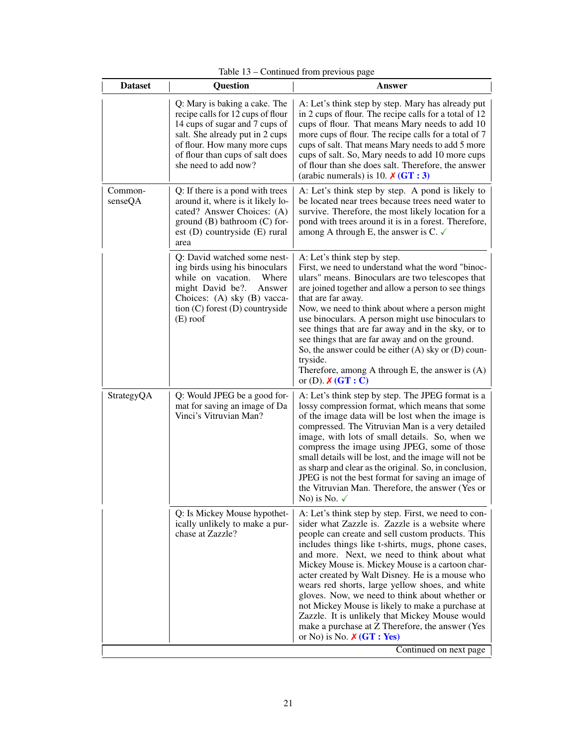| <b>Dataset</b>     | <b>Question</b>                                                                                                                                                                                                                    | Answer                                                                                                                                                                                                                                                                                                                                                                                                                                                                                                                                                                                                                                                                 |
|--------------------|------------------------------------------------------------------------------------------------------------------------------------------------------------------------------------------------------------------------------------|------------------------------------------------------------------------------------------------------------------------------------------------------------------------------------------------------------------------------------------------------------------------------------------------------------------------------------------------------------------------------------------------------------------------------------------------------------------------------------------------------------------------------------------------------------------------------------------------------------------------------------------------------------------------|
|                    | Q: Mary is baking a cake. The<br>recipe calls for 12 cups of flour<br>14 cups of sugar and 7 cups of<br>salt. She already put in 2 cups<br>of flour. How many more cups<br>of flour than cups of salt does<br>she need to add now? | A: Let's think step by step. Mary has already put<br>in 2 cups of flour. The recipe calls for a total of 12<br>cups of flour. That means Mary needs to add 10<br>more cups of flour. The recipe calls for a total of 7<br>cups of salt. That means Mary needs to add 5 more<br>cups of salt. So, Mary needs to add 10 more cups<br>of flour than she does salt. Therefore, the answer<br>(arabic numerals) is 10. $\times$ (GT:3)                                                                                                                                                                                                                                      |
| Common-<br>senseQA | Q: If there is a pond with trees<br>around it, where is it likely lo-<br>cated? Answer Choices: (A)<br>ground $(B)$ bathroom $(C)$ for-<br>est (D) countryside (E) rural<br>area                                                   | A: Let's think step by step. A pond is likely to<br>be located near trees because trees need water to<br>survive. Therefore, the most likely location for a<br>pond with trees around it is in a forest. Therefore,<br>among A through E, the answer is C. $\checkmark$                                                                                                                                                                                                                                                                                                                                                                                                |
|                    | Q: David watched some nest-<br>ing birds using his binoculars<br>while on vacation.<br>Where<br>might David be?.<br>Answer<br>Choices: $(A)$ sky $(B)$ vacca-<br>tion $(C)$ forest $(D)$ countryside<br>$(E)$ roof                 | A: Let's think step by step.<br>First, we need to understand what the word "binoc-<br>ulars" means. Binoculars are two telescopes that<br>are joined together and allow a person to see things<br>that are far away.<br>Now, we need to think about where a person might<br>use binoculars. A person might use binoculars to<br>see things that are far away and in the sky, or to<br>see things that are far away and on the ground.<br>So, the answer could be either $(A)$ sky or $(D)$ coun-<br>tryside.<br>Therefore, among A through E, the answer is $(A)$<br>or (D). $\chi$ (GT : C)                                                                           |
| StrategyQA         | Q: Would JPEG be a good for-<br>mat for saving an image of Da<br>Vinci's Vitruvian Man?                                                                                                                                            | A: Let's think step by step. The JPEG format is a<br>lossy compression format, which means that some<br>of the image data will be lost when the image is<br>compressed. The Vitruvian Man is a very detailed<br>image, with lots of small details. So, when we<br>compress the image using JPEG, some of those<br>small details will be lost, and the image will not be<br>as sharp and clear as the original. So, in conclusion,<br>JPEG is not the best format for saving an image of<br>the Vitruvian Man. Therefore, the answer (Yes or<br>No) is No. $\checkmark$                                                                                                 |
|                    | Q: Is Mickey Mouse hypothet-<br>ically unlikely to make a pur-<br>chase at Zazzle?                                                                                                                                                 | A: Let's think step by step. First, we need to con-<br>sider what Zazzle is. Zazzle is a website where<br>people can create and sell custom products. This<br>includes things like t-shirts, mugs, phone cases,<br>and more. Next, we need to think about what<br>Mickey Mouse is. Mickey Mouse is a cartoon char-<br>acter created by Walt Disney. He is a mouse who<br>wears red shorts, large yellow shoes, and white<br>gloves. Now, we need to think about whether or<br>not Mickey Mouse is likely to make a purchase at<br>Zazzle. It is unlikely that Mickey Mouse would<br>make a purchase at Z Therefore, the answer (Yes<br>or No) is No. $\chi$ (GT : Yes) |
|                    |                                                                                                                                                                                                                                    | Continued on next page                                                                                                                                                                                                                                                                                                                                                                                                                                                                                                                                                                                                                                                 |

Table 13 – Continued from previous page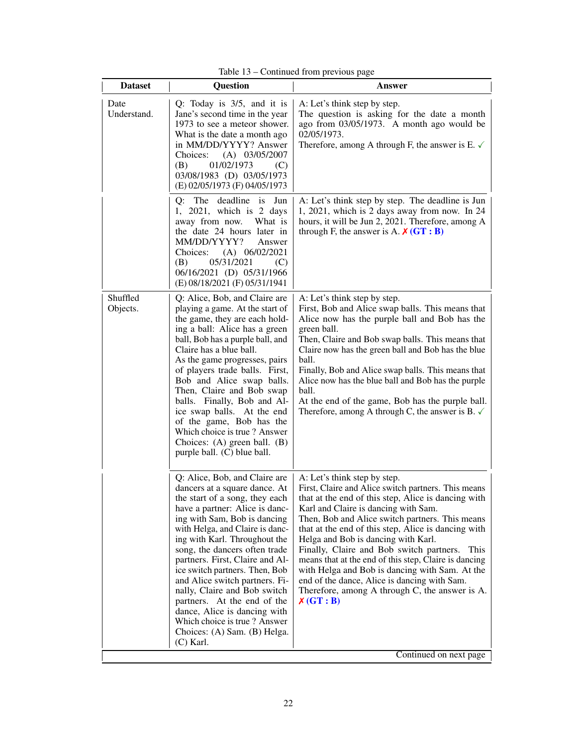| <b>Dataset</b>       | <b>Question</b>                                                                                                                                                                                                                                                                                                                                                                                                                                                                                                                                              | Answer                                                                                                                                                                                                                                                                                                                                                                                                                                                                                                                                                                                                          |
|----------------------|--------------------------------------------------------------------------------------------------------------------------------------------------------------------------------------------------------------------------------------------------------------------------------------------------------------------------------------------------------------------------------------------------------------------------------------------------------------------------------------------------------------------------------------------------------------|-----------------------------------------------------------------------------------------------------------------------------------------------------------------------------------------------------------------------------------------------------------------------------------------------------------------------------------------------------------------------------------------------------------------------------------------------------------------------------------------------------------------------------------------------------------------------------------------------------------------|
| Date<br>Understand.  | Q: Today is $3/5$ , and it is<br>Jane's second time in the year<br>1973 to see a meteor shower.<br>What is the date a month ago<br>in MM/DD/YYYY? Answer<br>$(A)$ 03/05/2007<br>Choices:<br>01/02/1973<br>(B)<br>(C)<br>03/08/1983 (D) 03/05/1973<br>(E) 02/05/1973 (F) 04/05/1973                                                                                                                                                                                                                                                                           | A: Let's think step by step.<br>The question is asking for the date a month<br>ago from 03/05/1973. A month ago would be<br>02/05/1973.<br>Therefore, among A through F, the answer is E. $\checkmark$                                                                                                                                                                                                                                                                                                                                                                                                          |
|                      | The deadline is<br>Q:<br>Jun<br>1, 2021, which is 2 days<br>away from now.<br>What is<br>the date 24 hours later in<br>MM/DD/YYYY?<br>Answer<br>Choices: (A) 06/02/2021<br>05/31/2021<br>(B)<br>(C)<br>06/16/2021 (D) 05/31/1966<br>(E) 08/18/2021 (F) 05/31/1941                                                                                                                                                                                                                                                                                            | A: Let's think step by step. The deadline is Jun<br>1, 2021, which is 2 days away from now. In 24<br>hours, it will be Jun 2, 2021. Therefore, among A<br>through F, the answer is A. $\chi$ (GT : B)                                                                                                                                                                                                                                                                                                                                                                                                           |
| Shuffled<br>Objects. | Q: Alice, Bob, and Claire are<br>playing a game. At the start of<br>the game, they are each hold-<br>ing a ball: Alice has a green<br>ball, Bob has a purple ball, and<br>Claire has a blue ball.<br>As the game progresses, pairs<br>of players trade balls. First,<br>Bob and Alice swap balls.<br>Then, Claire and Bob swap<br>balls. Finally, Bob and Al-<br>ice swap balls. At the end<br>of the game, Bob has the<br>Which choice is true? Answer<br>Choices: $(A)$ green ball. $(B)$<br>purple ball. (C) blue ball.                                   | A: Let's think step by step.<br>First, Bob and Alice swap balls. This means that<br>Alice now has the purple ball and Bob has the<br>green ball.<br>Then, Claire and Bob swap balls. This means that<br>Claire now has the green ball and Bob has the blue<br>ball.<br>Finally, Bob and Alice swap balls. This means that<br>Alice now has the blue ball and Bob has the purple<br>ball.<br>At the end of the game, Bob has the purple ball.<br>Therefore, among A through C, the answer is B. $\checkmark$                                                                                                     |
|                      | Q: Alice, Bob, and Claire are<br>dancers at a square dance. At<br>the start of a song, they each<br>have a partner: Alice is danc-<br>ing with Sam, Bob is dancing<br>with Helga, and Claire is danc-<br>ing with Karl. Throughout the<br>song, the dancers often trade<br>partners. First, Claire and Al-<br>ice switch partners. Then, Bob<br>and Alice switch partners. Fi-<br>nally, Claire and Bob switch<br>partners. At the end of the<br>dance, Alice is dancing with<br>Which choice is true? Answer<br>Choices: (A) Sam. (B) Helga.<br>$(C)$ Karl. | A: Let's think step by step.<br>First, Claire and Alice switch partners. This means<br>that at the end of this step, Alice is dancing with<br>Karl and Claire is dancing with Sam.<br>Then, Bob and Alice switch partners. This means<br>that at the end of this step, Alice is dancing with<br>Helga and Bob is dancing with Karl.<br>Finally, Claire and Bob switch partners.<br>This<br>means that at the end of this step, Claire is dancing<br>with Helga and Bob is dancing with Sam. At the<br>end of the dance, Alice is dancing with Sam.<br>Therefore, among A through C, the answer is A.<br>X(GT:B) |
|                      |                                                                                                                                                                                                                                                                                                                                                                                                                                                                                                                                                              | Continued on next page                                                                                                                                                                                                                                                                                                                                                                                                                                                                                                                                                                                          |

Table 13 – Continued from previous page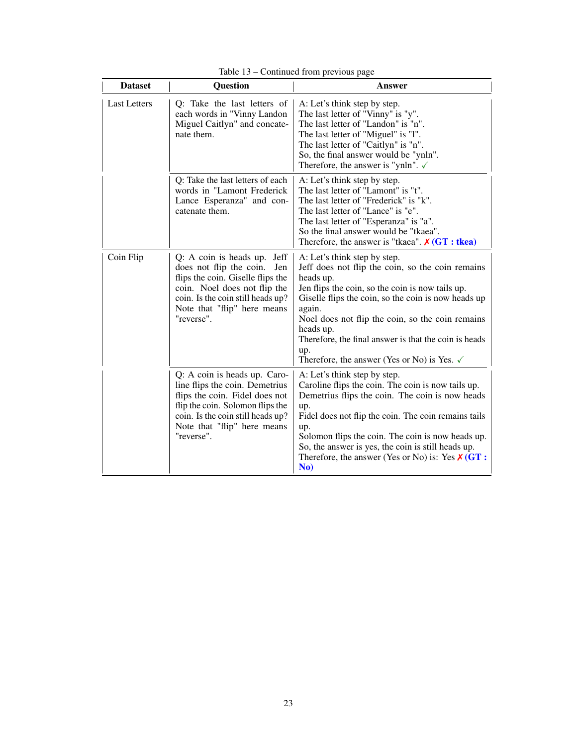| <b>Dataset</b>      | <b>Question</b>                                                                                                                                                                                                        | <b>Answer</b>                                                                                                                                                                                                                                                                                                                                                                                                 |
|---------------------|------------------------------------------------------------------------------------------------------------------------------------------------------------------------------------------------------------------------|---------------------------------------------------------------------------------------------------------------------------------------------------------------------------------------------------------------------------------------------------------------------------------------------------------------------------------------------------------------------------------------------------------------|
| <b>Last Letters</b> | Q: Take the last letters of<br>each words in "Vinny Landon<br>Miguel Caitlyn" and concate-<br>nate them.                                                                                                               | A: Let's think step by step.<br>The last letter of "Vinny" is "y".<br>The last letter of "Landon" is "n".<br>The last letter of "Miguel" is "l".<br>The last letter of "Caitlyn" is "n".<br>So, the final answer would be "ynln".<br>Therefore, the answer is "ynln". $\checkmark$                                                                                                                            |
|                     | Q: Take the last letters of each<br>words in "Lamont Frederick<br>Lance Esperanza" and con-<br>catenate them.                                                                                                          | A: Let's think step by step.<br>The last letter of "Lamont" is "t".<br>The last letter of "Frederick" is "k".<br>The last letter of "Lance" is "e".<br>The last letter of "Esperanza" is "a".<br>So the final answer would be "tkaea".<br>Therefore, the answer is "tkaea". $\chi$ (GT : tkea)                                                                                                                |
| Coin Flip           | Q: A coin is heads up. Jeff<br>does not flip the coin.<br>Jen<br>flips the coin. Giselle flips the<br>coin. Noel does not flip the<br>coin. Is the coin still heads up?<br>Note that "flip" here means<br>"reverse".   | A: Let's think step by step.<br>Jeff does not flip the coin, so the coin remains<br>heads up.<br>Jen flips the coin, so the coin is now tails up.<br>Giselle flips the coin, so the coin is now heads up<br>again.<br>Noel does not flip the coin, so the coin remains<br>heads up.<br>Therefore, the final answer is that the coin is heads<br>up.<br>Therefore, the answer (Yes or No) is Yes. $\checkmark$ |
|                     | Q: A coin is heads up. Caro-<br>line flips the coin. Demetrius<br>flips the coin. Fidel does not<br>flip the coin. Solomon flips the<br>coin. Is the coin still heads up?<br>Note that "flip" here means<br>"reverse". | A: Let's think step by step.<br>Caroline flips the coin. The coin is now tails up.<br>Demetrius flips the coin. The coin is now heads<br>up.<br>Fidel does not flip the coin. The coin remains tails<br>up.<br>Solomon flips the coin. The coin is now heads up.<br>So, the answer is yes, the coin is still heads up.<br>Therefore, the answer (Yes or No) is: Yes $\chi$ (GT:<br>No)                        |

Table 13 – Continued from previous page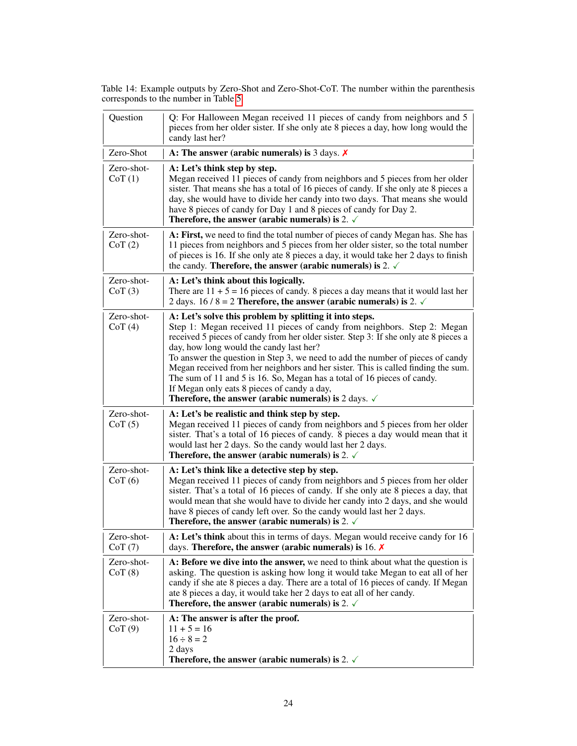<span id="page-23-0"></span>

| Table 14: Example outputs by Zero-Shot and Zero-Shot-CoT. The number within the parenthesis |  |
|---------------------------------------------------------------------------------------------|--|
| corresponds to the number in Table 5.                                                       |  |

| Question             | Q: For Halloween Megan received 11 pieces of candy from neighbors and 5<br>pieces from her older sister. If she only ate 8 pieces a day, how long would the<br>candy last her?                                                                                                                                                                                                                                                                                                                                                                                                                                                            |
|----------------------|-------------------------------------------------------------------------------------------------------------------------------------------------------------------------------------------------------------------------------------------------------------------------------------------------------------------------------------------------------------------------------------------------------------------------------------------------------------------------------------------------------------------------------------------------------------------------------------------------------------------------------------------|
| Zero-Shot            | A: The answer (arabic numerals) is 3 days. $\chi$                                                                                                                                                                                                                                                                                                                                                                                                                                                                                                                                                                                         |
| Zero-shot-<br>CoT(1) | A: Let's think step by step.<br>Megan received 11 pieces of candy from neighbors and 5 pieces from her older<br>sister. That means she has a total of 16 pieces of candy. If she only ate 8 pieces a<br>day, she would have to divide her candy into two days. That means she would<br>have 8 pieces of candy for Day 1 and 8 pieces of candy for Day 2.<br>Therefore, the answer (arabic numerals) is 2. $\checkmark$                                                                                                                                                                                                                    |
| Zero-shot-<br>CoT(2) | A: First, we need to find the total number of pieces of candy Megan has. She has<br>11 pieces from neighbors and 5 pieces from her older sister, so the total number<br>of pieces is 16. If she only ate 8 pieces a day, it would take her 2 days to finish<br>the candy. Therefore, the answer (arabic numerals) is 2. $\checkmark$                                                                                                                                                                                                                                                                                                      |
| Zero-shot-<br>CoT(3) | A: Let's think about this logically.<br>There are $11 + 5 = 16$ pieces of candy. 8 pieces a day means that it would last her<br>2 days. 16/8 = 2 Therefore, the answer (arabic numerals) is 2. $\checkmark$                                                                                                                                                                                                                                                                                                                                                                                                                               |
| Zero-shot-<br>CoT(4) | A: Let's solve this problem by splitting it into steps.<br>Step 1: Megan received 11 pieces of candy from neighbors. Step 2: Megan<br>received 5 pieces of candy from her older sister. Step 3: If she only ate 8 pieces a<br>day, how long would the candy last her?<br>To answer the question in Step 3, we need to add the number of pieces of candy<br>Megan received from her neighbors and her sister. This is called finding the sum.<br>The sum of 11 and 5 is 16. So, Megan has a total of 16 pieces of candy.<br>If Megan only eats 8 pieces of candy a day,<br>Therefore, the answer (arabic numerals) is 2 days. $\checkmark$ |
| Zero-shot-<br>CoT(5) | A: Let's be realistic and think step by step.<br>Megan received 11 pieces of candy from neighbors and 5 pieces from her older<br>sister. That's a total of 16 pieces of candy. 8 pieces a day would mean that it<br>would last her 2 days. So the candy would last her 2 days.<br>Therefore, the answer (arabic numerals) is 2. $\checkmark$                                                                                                                                                                                                                                                                                              |
| Zero-shot-<br>CoT(6) | A: Let's think like a detective step by step.<br>Megan received 11 pieces of candy from neighbors and 5 pieces from her older<br>sister. That's a total of 16 pieces of candy. If she only ate 8 pieces a day, that<br>would mean that she would have to divide her candy into 2 days, and she would<br>have 8 pieces of candy left over. So the candy would last her 2 days.<br>Therefore, the answer (arabic numerals) is 2. $\checkmark$                                                                                                                                                                                               |
| Zero-shot-<br>CoT(7) | A: Let's think about this in terms of days. Megan would receive candy for 16<br>days. Therefore, the answer (arabic numerals) is 16. $\times$                                                                                                                                                                                                                                                                                                                                                                                                                                                                                             |
| Zero-shot-<br>CoT(8) | A: Before we dive into the answer, we need to think about what the question is<br>asking. The question is asking how long it would take Megan to eat all of her<br>candy if she ate 8 pieces a day. There are a total of 16 pieces of candy. If Megan<br>ate 8 pieces a day, it would take her 2 days to eat all of her candy.<br>Therefore, the answer (arabic numerals) is 2. $\checkmark$                                                                                                                                                                                                                                              |
| Zero-shot-<br>CoT(9) | A: The answer is after the proof.<br>$11 + 5 = 16$<br>$16 \div 8 = 2$<br>2 days<br>Therefore, the answer (arabic numerals) is 2. $\checkmark$                                                                                                                                                                                                                                                                                                                                                                                                                                                                                             |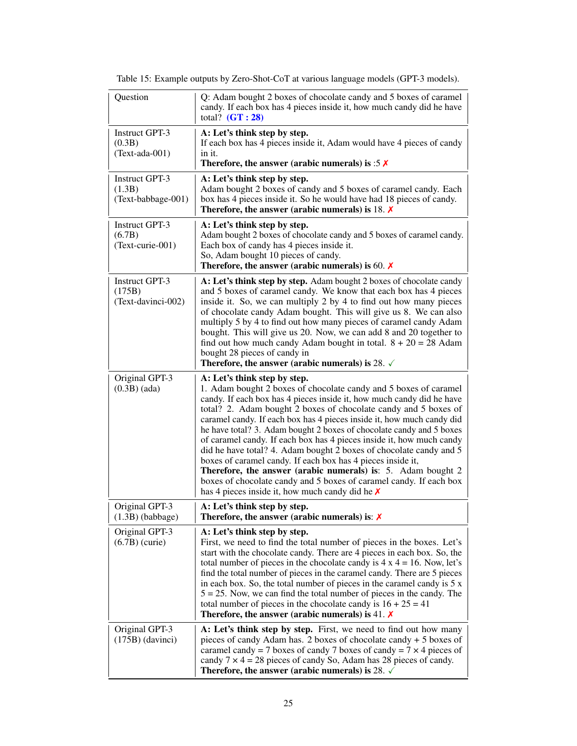<span id="page-24-0"></span>

|  |  |  |  |  | Table 15: Example outputs by Zero-Shot-CoT at various language models (GPT-3 models). |  |
|--|--|--|--|--|---------------------------------------------------------------------------------------|--|
|  |  |  |  |  |                                                                                       |  |

| Question                                       | Q: Adam bought 2 boxes of chocolate candy and 5 boxes of caramel<br>candy. If each box has 4 pieces inside it, how much candy did he have<br>total? $(GT: 28)$                                                                                                                                                                                                                                                                                                                                                                                                                                                                                                                                                                                                                                             |
|------------------------------------------------|------------------------------------------------------------------------------------------------------------------------------------------------------------------------------------------------------------------------------------------------------------------------------------------------------------------------------------------------------------------------------------------------------------------------------------------------------------------------------------------------------------------------------------------------------------------------------------------------------------------------------------------------------------------------------------------------------------------------------------------------------------------------------------------------------------|
| Instruct GPT-3<br>(0.3B)<br>(Text-ada-001)     | A: Let's think step by step.<br>If each box has 4 pieces inside it, Adam would have 4 pieces of candy<br>in it.<br>Therefore, the answer (arabic numerals) is :5 $\times$                                                                                                                                                                                                                                                                                                                                                                                                                                                                                                                                                                                                                                  |
| Instruct GPT-3<br>(1.3B)<br>(Text-babbage-001) | A: Let's think step by step.<br>Adam bought 2 boxes of candy and 5 boxes of caramel candy. Each<br>box has 4 pieces inside it. So he would have had 18 pieces of candy.<br>Therefore, the answer (arabic numerals) is 18. $\chi$                                                                                                                                                                                                                                                                                                                                                                                                                                                                                                                                                                           |
| Instruct GPT-3<br>(6.7B)<br>(Text-curie-001)   | A: Let's think step by step.<br>Adam bought 2 boxes of chocolate candy and 5 boxes of caramel candy.<br>Each box of candy has 4 pieces inside it.<br>So, Adam bought 10 pieces of candy.<br>Therefore, the answer (arabic numerals) is 60. $\chi$                                                                                                                                                                                                                                                                                                                                                                                                                                                                                                                                                          |
| Instruct GPT-3<br>(175B)<br>(Text-davinci-002) | A: Let's think step by step. Adam bought 2 boxes of chocolate candy<br>and 5 boxes of caramel candy. We know that each box has 4 pieces<br>inside it. So, we can multiply 2 by 4 to find out how many pieces<br>of chocolate candy Adam bought. This will give us 8. We can also<br>multiply 5 by 4 to find out how many pieces of caramel candy Adam<br>bought. This will give us 20. Now, we can add 8 and 20 together to<br>find out how much candy Adam bought in total. $8 + 20 = 28$ Adam<br>bought 28 pieces of candy in<br>Therefore, the answer (arabic numerals) is 28. $\checkmark$                                                                                                                                                                                                             |
| Original GPT-3<br>$(0.3B)$ (ada)               | A: Let's think step by step.<br>1. Adam bought 2 boxes of chocolate candy and 5 boxes of caramel<br>candy. If each box has 4 pieces inside it, how much candy did he have<br>total? 2. Adam bought 2 boxes of chocolate candy and 5 boxes of<br>caramel candy. If each box has 4 pieces inside it, how much candy did<br>he have total? 3. Adam bought 2 boxes of chocolate candy and 5 boxes<br>of caramel candy. If each box has 4 pieces inside it, how much candy<br>did he have total? 4. Adam bought 2 boxes of chocolate candy and 5<br>boxes of caramel candy. If each box has 4 pieces inside it,<br>Therefore, the answer (arabic numerals) is: 5. Adam bought 2<br>boxes of chocolate candy and 5 boxes of caramel candy. If each box<br>has 4 pieces inside it, how much candy did he $\times$ |
| Original GPT-3<br>$(1.3B)$ (babbage)           | A: Let's think step by step.<br>Therefore, the answer (arabic numerals) is: $\chi$                                                                                                                                                                                                                                                                                                                                                                                                                                                                                                                                                                                                                                                                                                                         |
| Original GPT-3<br>$(6.7B)$ (curie)             | A: Let's think step by step.<br>First, we need to find the total number of pieces in the boxes. Let's<br>start with the chocolate candy. There are 4 pieces in each box. So, the<br>total number of pieces in the chocolate candy is $4 \times 4 = 16$ . Now, let's<br>find the total number of pieces in the caramel candy. There are 5 pieces<br>in each box. So, the total number of pieces in the caramel candy is $5 x$<br>$5 = 25$ . Now, we can find the total number of pieces in the candy. The<br>total number of pieces in the chocolate candy is $16 + 25 = 41$<br>Therefore, the answer (arabic numerals) is 41. $\chi$                                                                                                                                                                       |
| Original GPT-3<br>$(175B)$ (davinci)           | A: Let's think step by step. First, we need to find out how many<br>pieces of candy Adam has. 2 boxes of chocolate candy $+ 5$ boxes of<br>caramel candy = 7 boxes of candy 7 boxes of candy = $7 \times 4$ pieces of<br>candy $7 \times 4 = 28$ pieces of candy So, Adam has 28 pieces of candy.<br>Therefore, the answer (arabic numerals) is 28. $\checkmark$                                                                                                                                                                                                                                                                                                                                                                                                                                           |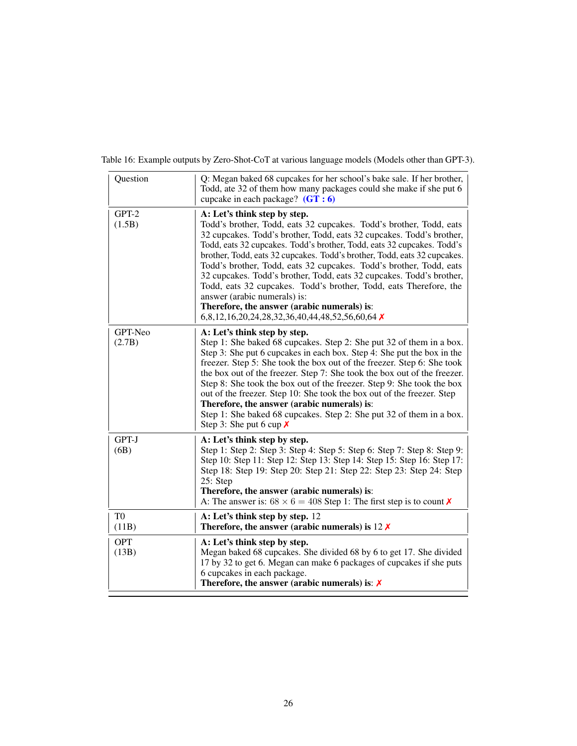<span id="page-25-0"></span>

|  | Table 16: Example outputs by Zero-Shot-CoT at various language models (Models other than GPT-3). |  |  |
|--|--------------------------------------------------------------------------------------------------|--|--|
|  |                                                                                                  |  |  |

| Question            | Q: Megan baked 68 cupcakes for her school's bake sale. If her brother,<br>Todd, ate 32 of them how many packages could she make if she put 6<br>cupcake in each package? $(GT: 6)$                                                                                                                                                                                                                                                                                                                                                                                                                                                                                                    |
|---------------------|---------------------------------------------------------------------------------------------------------------------------------------------------------------------------------------------------------------------------------------------------------------------------------------------------------------------------------------------------------------------------------------------------------------------------------------------------------------------------------------------------------------------------------------------------------------------------------------------------------------------------------------------------------------------------------------|
| GPT-2<br>(1.5B)     | A: Let's think step by step.<br>Todd's brother, Todd, eats 32 cupcakes. Todd's brother, Todd, eats<br>32 cupcakes. Todd's brother, Todd, eats 32 cupcakes. Todd's brother,<br>Todd, eats 32 cupcakes. Todd's brother, Todd, eats 32 cupcakes. Todd's<br>brother, Todd, eats 32 cupcakes. Todd's brother, Todd, eats 32 cupcakes.<br>Todd's brother, Todd, eats 32 cupcakes. Todd's brother, Todd, eats<br>32 cupcakes. Todd's brother, Todd, eats 32 cupcakes. Todd's brother,<br>Todd, eats 32 cupcakes. Todd's brother, Todd, eats Therefore, the<br>answer (arabic numerals) is:<br>Therefore, the answer (arabic numerals) is:<br>6,8,12,16,20,24,28,32,36,40,44,48,52,56,60,64 X |
| GPT-Neo<br>(2.7B)   | A: Let's think step by step.<br>Step 1: She baked 68 cupcakes. Step 2: She put 32 of them in a box.<br>Step 3: She put 6 cupcakes in each box. Step 4: She put the box in the<br>freezer. Step 5: She took the box out of the freezer. Step 6: She took<br>the box out of the freezer. Step 7: She took the box out of the freezer.<br>Step 8: She took the box out of the freezer. Step 9: She took the box<br>out of the freezer. Step 10: She took the box out of the freezer. Step<br>Therefore, the answer (arabic numerals) is:<br>Step 1: She baked 68 cupcakes. Step 2: She put 32 of them in a box.<br>Step 3: She put 6 cup $\chi$                                          |
| GPT-J<br>(6B)       | A: Let's think step by step.<br>Step 1: Step 2: Step 3: Step 4: Step 5: Step 6: Step 7: Step 8: Step 9:<br>Step 10: Step 11: Step 12: Step 13: Step 14: Step 15: Step 16: Step 17:<br>Step 18: Step 19: Step 20: Step 21: Step 22: Step 23: Step 24: Step<br>25: Step<br>Therefore, the answer (arabic numerals) is:<br>A: The answer is: $68 \times 6 = 408$ Step 1: The first step is to count X                                                                                                                                                                                                                                                                                    |
| T0<br>(11B)         | A: Let's think step by step. 12<br>Therefore, the answer (arabic numerals) is $12 X$                                                                                                                                                                                                                                                                                                                                                                                                                                                                                                                                                                                                  |
| <b>OPT</b><br>(13B) | A: Let's think step by step.<br>Megan baked 68 cupcakes. She divided 68 by 6 to get 17. She divided<br>17 by 32 to get 6. Megan can make 6 packages of cupcakes if she puts<br>6 cupcakes in each package.<br>Therefore, the answer (arabic numerals) is: $\chi$                                                                                                                                                                                                                                                                                                                                                                                                                      |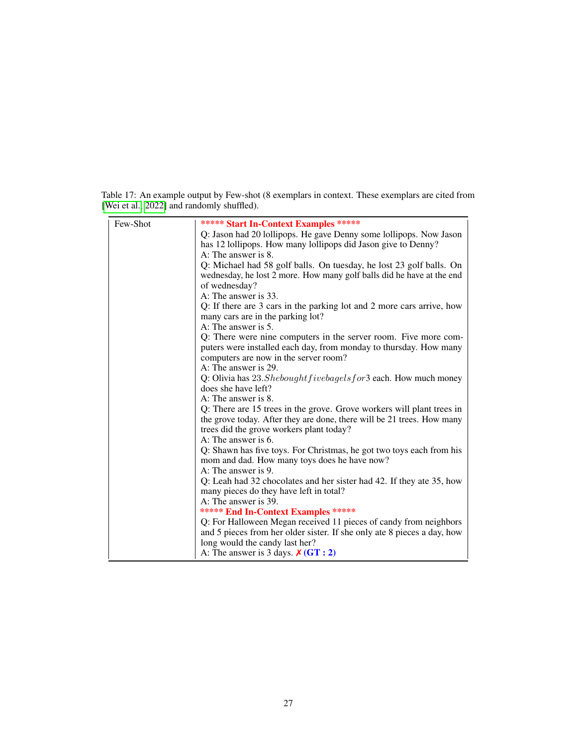<span id="page-26-0"></span>Table 17: An example output by Few-shot (8 exemplars in context. These exemplars are cited from [\[Wei et al., 2022\]](#page-13-1) and randomly shuffled).

| Few-Shot | ***** Start In-Context Examples *****                                                    |
|----------|------------------------------------------------------------------------------------------|
|          | Q: Jason had 20 lollipops. He gave Denny some lollipops. Now Jason                       |
|          | has 12 lollipops. How many lollipops did Jason give to Denny?                            |
|          | A: The answer is 8.                                                                      |
|          | Q: Michael had 58 golf balls. On tuesday, he lost 23 golf balls. On                      |
|          | wednesday, he lost 2 more. How many golf balls did he have at the end                    |
|          | of wednesday?                                                                            |
|          | A: The answer is 33.                                                                     |
|          | Q: If there are 3 cars in the parking lot and 2 more cars arrive, how                    |
|          | many cars are in the parking lot?                                                        |
|          | A: The answer is 5.                                                                      |
|          | Q: There were nine computers in the server room. Five more com-                          |
|          | puters were installed each day, from monday to thursday. How many                        |
|          | computers are now in the server room?                                                    |
|          | A: The answer is 29.                                                                     |
|          | Q: Olivia has 23. Shebought fivebagels for 3 each. How much money<br>does she have left? |
|          | A: The answer is 8.                                                                      |
|          | Q: There are 15 trees in the grove. Grove workers will plant trees in                    |
|          | the grove today. After they are done, there will be 21 trees. How many                   |
|          | trees did the grove workers plant today?                                                 |
|          | A: The answer is 6.                                                                      |
|          | Q: Shawn has five toys. For Christmas, he got two toys each from his                     |
|          | mom and dad. How many toys does he have now?                                             |
|          | A: The answer is 9.                                                                      |
|          | Q: Leah had 32 chocolates and her sister had 42. If they ate 35, how                     |
|          | many pieces do they have left in total?                                                  |
|          | A: The answer is 39.                                                                     |
|          | ***** End In-Context Examples *****                                                      |
|          | Q: For Halloween Megan received 11 pieces of candy from neighbors                        |
|          | and 5 pieces from her older sister. If she only ate 8 pieces a day, how                  |
|          | long would the candy last her?                                                           |
|          | A: The answer is 3 days. $\times$ (GT : 2)                                               |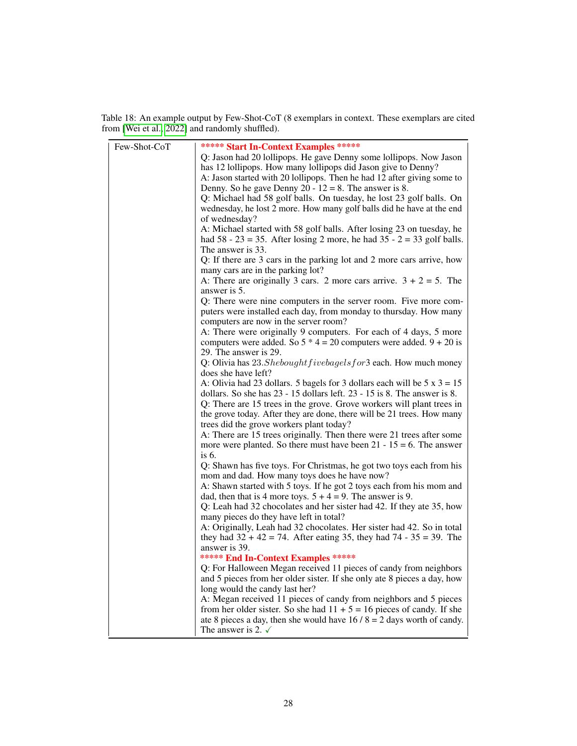<span id="page-27-0"></span>Table 18: An example output by Few-Shot-CoT (8 exemplars in context. These exemplars are cited from [\[Wei et al., 2022\]](#page-13-1) and randomly shuffled).

| Few-Shot-CoT | ***** Start In-Context Examples *****                                                                     |
|--------------|-----------------------------------------------------------------------------------------------------------|
|              | Q: Jason had 20 lollipops. He gave Denny some lollipops. Now Jason                                        |
|              | has 12 lollipops. How many lollipops did Jason give to Denny?                                             |
|              | A: Jason started with 20 lollipops. Then he had 12 after giving some to                                   |
|              | Denny. So he gave Denny 20 - $12 = 8$ . The answer is 8.                                                  |
|              | Q: Michael had 58 golf balls. On tuesday, he lost 23 golf balls. On                                       |
|              | wednesday, he lost 2 more. How many golf balls did he have at the end                                     |
|              | of wednesday?                                                                                             |
|              | A: Michael started with 58 golf balls. After losing 23 on tuesday, he                                     |
|              | had $58 - 23 = 35$ . After losing 2 more, he had $35 - 2 = 33$ golf balls.                                |
|              | The answer is 33.                                                                                         |
|              | Q: If there are 3 cars in the parking lot and 2 more cars arrive, how                                     |
|              | many cars are in the parking lot?                                                                         |
|              | A: There are originally 3 cars. 2 more cars arrive. $3 + 2 = 5$ . The                                     |
|              | answer is 5.                                                                                              |
|              |                                                                                                           |
|              | Q: There were nine computers in the server room. Five more com-                                           |
|              | puters were installed each day, from monday to thursday. How many                                         |
|              | computers are now in the server room?<br>A: There were originally 9 computers. For each of 4 days, 5 more |
|              |                                                                                                           |
|              | computers were added. So $5 * 4 = 20$ computers were added. $9 + 20$ is                                   |
|              | 29. The answer is 29.                                                                                     |
|              | Q: Olivia has 23. Shebought fivebagels for 3 each. How much money                                         |
|              | does she have left?                                                                                       |
|              | A: Olivia had 23 dollars. 5 bagels for 3 dollars each will be $5 \times 3 = 15$                           |
|              | dollars. So she has 23 - 15 dollars left. 23 - 15 is 8. The answer is 8.                                  |
|              | Q: There are 15 trees in the grove. Grove workers will plant trees in                                     |
|              | the grove today. After they are done, there will be 21 trees. How many                                    |
|              | trees did the grove workers plant today?                                                                  |
|              | A: There are 15 trees originally. Then there were 21 trees after some                                     |
|              | more were planted. So there must have been $21 - 15 = 6$ . The answer                                     |
|              | is $6.$                                                                                                   |
|              | Q: Shawn has five toys. For Christmas, he got two toys each from his                                      |
|              | mom and dad. How many toys does he have now?                                                              |
|              | A: Shawn started with 5 toys. If he got 2 toys each from his mom and                                      |
|              | dad, then that is 4 more toys. $5 + 4 = 9$ . The answer is 9.                                             |
|              | Q: Leah had 32 chocolates and her sister had 42. If they ate 35, how                                      |
|              | many pieces do they have left in total?                                                                   |
|              | A: Originally, Leah had 32 chocolates. Her sister had 42. So in total                                     |
|              | they had $32 + 42 = 74$ . After eating 35, they had $74 - 35 = 39$ . The                                  |
|              | answer is 39.                                                                                             |
|              | ***** End In-Context Examples *****                                                                       |
|              | Q: For Halloween Megan received 11 pieces of candy from neighbors                                         |
|              | and 5 pieces from her older sister. If she only ate 8 pieces a day, how                                   |
|              | long would the candy last her?                                                                            |
|              | A: Megan received 11 pieces of candy from neighbors and 5 pieces                                          |
|              | from her older sister. So she had $11 + 5 = 16$ pieces of candy. If she                                   |
|              | ate 8 pieces a day, then she would have $16 / 8 = 2$ days worth of candy.                                 |
|              | The answer is 2. $\checkmark$                                                                             |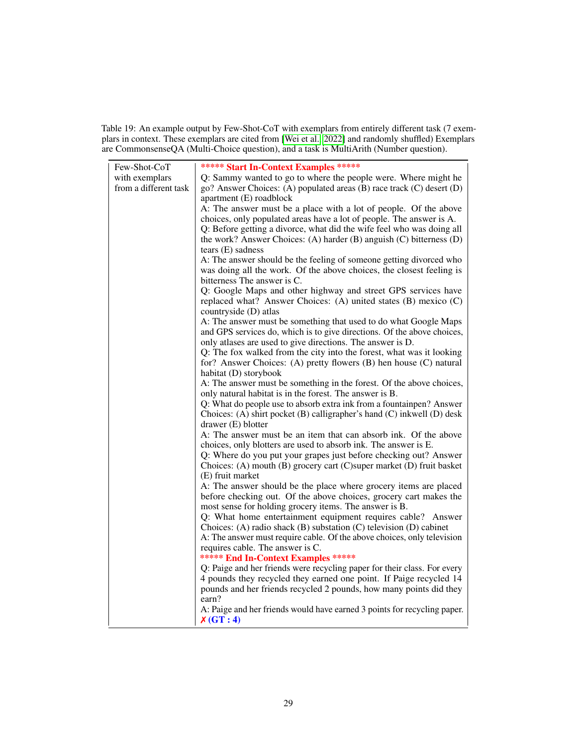<span id="page-28-0"></span>Table 19: An example output by Few-Shot-CoT with exemplars from entirely different task (7 exemplars in context. These exemplars are cited from [\[Wei et al., 2022\]](#page-13-1) and randomly shuffled) Exemplars are CommonsenseQA (Multi-Choice question), and a task is MultiArith (Number question).

| Few-Shot-CoT          | ***** Start In-Context Examples *****                                                                                                       |
|-----------------------|---------------------------------------------------------------------------------------------------------------------------------------------|
| with exemplars        | Q: Sammy wanted to go to where the people were. Where might he                                                                              |
| from a different task | go? Answer Choices: (A) populated areas (B) race track (C) desert (D)                                                                       |
|                       | apartment (E) roadblock                                                                                                                     |
|                       | A: The answer must be a place with a lot of people. Of the above                                                                            |
|                       | choices, only populated areas have a lot of people. The answer is A.                                                                        |
|                       | Q: Before getting a divorce, what did the wife feel who was doing all                                                                       |
|                       | the work? Answer Choices: (A) harder (B) anguish (C) bitterness (D)                                                                         |
|                       | tears $(E)$ sadness                                                                                                                         |
|                       | A: The answer should be the feeling of someone getting divorced who<br>was doing all the work. Of the above choices, the closest feeling is |
|                       | bitterness The answer is C.                                                                                                                 |
|                       | Q: Google Maps and other highway and street GPS services have                                                                               |
|                       | replaced what? Answer Choices: (A) united states (B) mexico (C)                                                                             |
|                       | countryside (D) atlas                                                                                                                       |
|                       | A: The answer must be something that used to do what Google Maps                                                                            |
|                       | and GPS services do, which is to give directions. Of the above choices,                                                                     |
|                       | only atlases are used to give directions. The answer is D.                                                                                  |
|                       | Q: The fox walked from the city into the forest, what was it looking                                                                        |
|                       | for? Answer Choices: (A) pretty flowers (B) hen house (C) natural                                                                           |
|                       | habitat (D) storybook                                                                                                                       |
|                       | A: The answer must be something in the forest. Of the above choices,<br>only natural habitat is in the forest. The answer is B.             |
|                       | Q: What do people use to absorb extra ink from a fountainpen? Answer                                                                        |
|                       | Choices: (A) shirt pocket (B) calligrapher's hand (C) inkwell (D) desk                                                                      |
|                       | $drawer$ (E) blotter                                                                                                                        |
|                       | A: The answer must be an item that can absorb ink. Of the above                                                                             |
|                       | choices, only blotters are used to absorb ink. The answer is E.                                                                             |
|                       | Q: Where do you put your grapes just before checking out? Answer                                                                            |
|                       | Choices: (A) mouth (B) grocery cart (C)super market (D) fruit basket                                                                        |
|                       | (E) fruit market                                                                                                                            |
|                       | A: The answer should be the place where grocery items are placed                                                                            |
|                       | before checking out. Of the above choices, grocery cart makes the                                                                           |
|                       | most sense for holding grocery items. The answer is B.<br>Q: What home entertainment equipment requires cable? Answer                       |
|                       | Choices: (A) radio shack (B) substation (C) television (D) cabinet                                                                          |
|                       | A: The answer must require cable. Of the above choices, only television                                                                     |
|                       | requires cable. The answer is C.                                                                                                            |
|                       | ***** End In-Context Examples *****                                                                                                         |
|                       | Q: Paige and her friends were recycling paper for their class. For every                                                                    |
|                       | 4 pounds they recycled they earned one point. If Paige recycled 14                                                                          |
|                       | pounds and her friends recycled 2 pounds, how many points did they                                                                          |
|                       | earn?                                                                                                                                       |
|                       | A: Paige and her friends would have earned 3 points for recycling paper.                                                                    |
|                       | X(GT:4)                                                                                                                                     |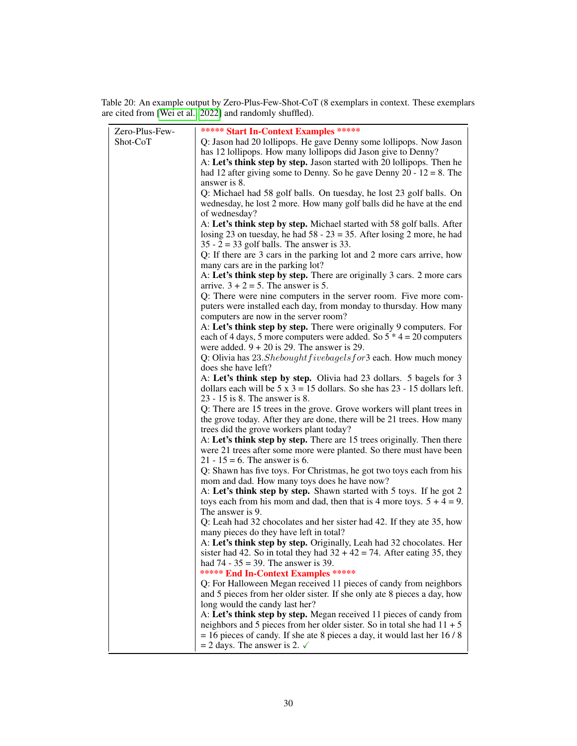<span id="page-29-0"></span>Table 20: An example output by Zero-Plus-Few-Shot-CoT (8 exemplars in context. These exemplars are cited from [\[Wei et al., 2022\]](#page-13-1) and randomly shuffled).

| Zero-Plus-Few- | ***** Start In-Context Examples *****                                              |
|----------------|------------------------------------------------------------------------------------|
| Shot-CoT       | Q: Jason had 20 lollipops. He gave Denny some lollipops. Now Jason                 |
|                | has 12 lollipops. How many lollipops did Jason give to Denny?                      |
|                | A: Let's think step by step. Jason started with 20 lollipops. Then he              |
|                | had 12 after giving some to Denny. So he gave Denny $20 - 12 = 8$ . The            |
|                | answer is 8.                                                                       |
|                | Q: Michael had 58 golf balls. On tuesday, he lost 23 golf balls. On                |
|                | wednesday, he lost 2 more. How many golf balls did he have at the end              |
|                | of wednesday?                                                                      |
|                | A: Let's think step by step. Michael started with 58 golf balls. After             |
|                | losing 23 on tuesday, he had $58 - 23 = 35$ . After losing 2 more, he had          |
|                | $35 - 2 = 33$ golf balls. The answer is 33.                                        |
|                | Q: If there are 3 cars in the parking lot and 2 more cars arrive, how              |
|                | many cars are in the parking lot?                                                  |
|                | A: Let's think step by step. There are originally 3 cars. 2 more cars              |
|                | arrive. $3 + 2 = 5$ . The answer is 5.                                             |
|                | Q: There were nine computers in the server room. Five more com-                    |
|                | puters were installed each day, from monday to thursday. How many                  |
|                | computers are now in the server room?                                              |
|                | A: Let's think step by step. There were originally 9 computers. For                |
|                | each of 4 days, 5 more computers were added. So $5 * 4 = 20$ computers             |
|                | were added. $9 + 20$ is 29. The answer is 29.                                      |
|                | Q: Olivia has 23. Shebought fivebagels for 3 each. How much money                  |
|                | does she have left?                                                                |
|                | A: Let's think step by step. Olivia had 23 dollars. 5 bagels for 3                 |
|                | dollars each will be $5 \times 3 = 15$ dollars. So she has $23 - 15$ dollars left. |
|                | 23 - 15 is 8. The answer is 8.                                                     |
|                | Q: There are 15 trees in the grove. Grove workers will plant trees in              |
|                | the grove today. After they are done, there will be 21 trees. How many             |
|                | trees did the grove workers plant today?                                           |
|                | A: Let's think step by step. There are 15 trees originally. Then there             |
|                | were 21 trees after some more were planted. So there must have been                |
|                | $21 - 15 = 6$ . The answer is 6.                                                   |
|                | Q: Shawn has five toys. For Christmas, he got two toys each from his               |
|                | mom and dad. How many toys does he have now?                                       |
|                | A: Let's think step by step. Shawn started with 5 toys. If he got 2                |
|                | toys each from his mom and dad, then that is 4 more toys. $5 + 4 = 9$ .            |
|                | The answer is 9.                                                                   |
|                | Q: Leah had 32 chocolates and her sister had 42. If they ate 35, how               |
|                | many pieces do they have left in total?                                            |
|                | A: Let's think step by step. Originally, Leah had 32 chocolates. Her               |
|                | sister had 42. So in total they had $32 + 42 = 74$ . After eating 35, they         |
|                | had $74 - 35 = 39$ . The answer is 39.                                             |
|                | ***** End In-Context Examples *****                                                |
|                | Q: For Halloween Megan received 11 pieces of candy from neighbors                  |
|                | and 5 pieces from her older sister. If she only ate 8 pieces a day, how            |
|                | long would the candy last her?                                                     |
|                | A: Let's think step by step. Megan received 11 pieces of candy from                |
|                | neighbors and 5 pieces from her older sister. So in total she had $11 + 5$         |
|                | $= 16$ pieces of candy. If she ate 8 pieces a day, it would last her 16/8          |
|                | $= 2$ days. The answer is 2. $\checkmark$                                          |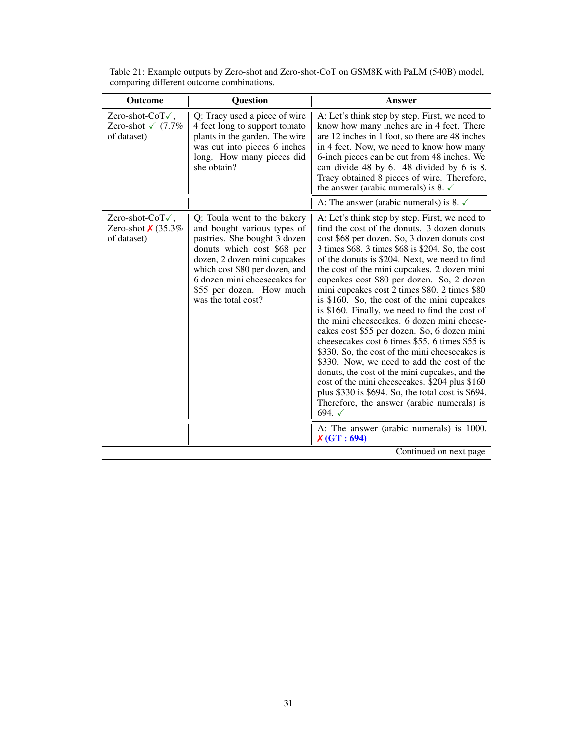| Outcome                                                      | <b>Question</b>                                                                                                                                                                                                                                                               | <b>Answer</b>                                                                                                                                                                                                                                                                                                                                                                                                                                                                                                                                                                                                                                                                                                                                                                                                                                                                                                                                                                                                                          |
|--------------------------------------------------------------|-------------------------------------------------------------------------------------------------------------------------------------------------------------------------------------------------------------------------------------------------------------------------------|----------------------------------------------------------------------------------------------------------------------------------------------------------------------------------------------------------------------------------------------------------------------------------------------------------------------------------------------------------------------------------------------------------------------------------------------------------------------------------------------------------------------------------------------------------------------------------------------------------------------------------------------------------------------------------------------------------------------------------------------------------------------------------------------------------------------------------------------------------------------------------------------------------------------------------------------------------------------------------------------------------------------------------------|
| Zero-shot-CoT√,<br>Zero-shot $\sqrt{(7.7\%)}$<br>of dataset) | Q: Tracy used a piece of wire<br>4 feet long to support tomato<br>plants in the garden. The wire<br>was cut into pieces 6 inches<br>long. How many pieces did<br>she obtain?                                                                                                  | A: Let's think step by step. First, we need to<br>know how many inches are in 4 feet. There<br>are 12 inches in 1 foot, so there are 48 inches<br>in 4 feet. Now, we need to know how many<br>6-inch pieces can be cut from 48 inches. We<br>can divide 48 by 6. 48 divided by 6 is 8.<br>Tracy obtained 8 pieces of wire. Therefore,<br>the answer (arabic numerals) is 8. $\checkmark$                                                                                                                                                                                                                                                                                                                                                                                                                                                                                                                                                                                                                                               |
|                                                              |                                                                                                                                                                                                                                                                               | A: The answer (arabic numerals) is 8. $\checkmark$                                                                                                                                                                                                                                                                                                                                                                                                                                                                                                                                                                                                                                                                                                                                                                                                                                                                                                                                                                                     |
| Zero-shot-CoT√,<br>Zero-shot $\times$ (35.3%)<br>of dataset) | Q: Toula went to the bakery<br>and bought various types of<br>pastries. She bought 3 dozen<br>donuts which cost \$68 per<br>dozen, 2 dozen mini cupcakes<br>which cost \$80 per dozen, and<br>6 dozen mini cheesecakes for<br>\$55 per dozen. How much<br>was the total cost? | A: Let's think step by step. First, we need to<br>find the cost of the donuts. 3 dozen donuts<br>cost \$68 per dozen. So, 3 dozen donuts cost<br>3 times \$68. 3 times \$68 is \$204. So, the cost<br>of the donuts is \$204. Next, we need to find<br>the cost of the mini cupcakes. 2 dozen mini<br>cupcakes cost \$80 per dozen. So, 2 dozen<br>mini cupcakes cost 2 times \$80. 2 times \$80<br>is \$160. So, the cost of the mini cupcakes<br>is \$160. Finally, we need to find the cost of<br>the mini cheesecakes. 6 dozen mini cheese-<br>cakes cost \$55 per dozen. So, 6 dozen mini<br>cheesecakes cost 6 times \$55. 6 times \$55 is<br>\$330. So, the cost of the mini cheesecakes is<br>\$330. Now, we need to add the cost of the<br>donuts, the cost of the mini cupcakes, and the<br>cost of the mini cheesecakes. \$204 plus \$160<br>plus \$330 is \$694. So, the total cost is \$694.<br>Therefore, the answer (arabic numerals) is<br>694. $\checkmark$<br>A: The answer (arabic numerals) is 1000.<br>X(GT: 694) |
|                                                              |                                                                                                                                                                                                                                                                               | Continued on next page                                                                                                                                                                                                                                                                                                                                                                                                                                                                                                                                                                                                                                                                                                                                                                                                                                                                                                                                                                                                                 |

<span id="page-30-0"></span>Table 21: Example outputs by Zero-shot and Zero-shot-CoT on GSM8K with PaLM (540B) model, comparing different outcome combinations.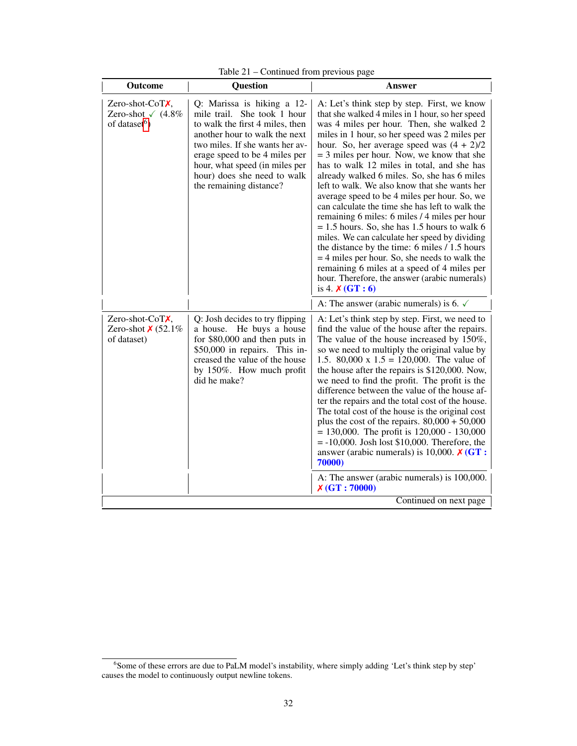| Outcome                                                                           | <b>Question</b>                                                                                                                                                                                                                                                                               | Answer                                                                                                                                                                                                                                                                                                                                                                                                                                                                                                                                                                                                                                                                                                                                                                                                                                                                                                                         |
|-----------------------------------------------------------------------------------|-----------------------------------------------------------------------------------------------------------------------------------------------------------------------------------------------------------------------------------------------------------------------------------------------|--------------------------------------------------------------------------------------------------------------------------------------------------------------------------------------------------------------------------------------------------------------------------------------------------------------------------------------------------------------------------------------------------------------------------------------------------------------------------------------------------------------------------------------------------------------------------------------------------------------------------------------------------------------------------------------------------------------------------------------------------------------------------------------------------------------------------------------------------------------------------------------------------------------------------------|
| Zero-shot-CoT $\chi$ ,<br>Zero-shot $\sqrt{(4.8\%)}$<br>of dataset <sup>6</sup> ) | Q: Marissa is hiking a 12-<br>mile trail. She took 1 hour<br>to walk the first 4 miles, then<br>another hour to walk the next<br>two miles. If she wants her av-<br>erage speed to be 4 miles per<br>hour, what speed (in miles per<br>hour) does she need to walk<br>the remaining distance? | A: Let's think step by step. First, we know<br>that she walked 4 miles in 1 hour, so her speed<br>was 4 miles per hour. Then, she walked 2<br>miles in 1 hour, so her speed was 2 miles per<br>hour. So, her average speed was $(4 + 2)/2$<br>$=$ 3 miles per hour. Now, we know that she<br>has to walk 12 miles in total, and she has<br>already walked 6 miles. So, she has 6 miles<br>left to walk. We also know that she wants her<br>average speed to be 4 miles per hour. So, we<br>can calculate the time she has left to walk the<br>remaining 6 miles: 6 miles / 4 miles per hour<br>$= 1.5$ hours. So, she has 1.5 hours to walk 6<br>miles. We can calculate her speed by dividing<br>the distance by the time: 6 miles / 1.5 hours<br>$=$ 4 miles per hour. So, she needs to walk the<br>remaining 6 miles at a speed of 4 miles per<br>hour. Therefore, the answer (arabic numerals)<br>is 4. $\mathsf{X}(GT:6)$ |
|                                                                                   |                                                                                                                                                                                                                                                                                               | A: The answer (arabic numerals) is 6. $\checkmark$                                                                                                                                                                                                                                                                                                                                                                                                                                                                                                                                                                                                                                                                                                                                                                                                                                                                             |
| Zero-shot-CoT $\chi$ ,<br>Zero-shot $\times$ (52.1%)<br>of dataset)               | Q: Josh decides to try flipping<br>a house. He buys a house<br>for $$80,000$ and then puts in<br>\$50,000 in repairs. This in-<br>creased the value of the house<br>by 150%. How much profit<br>did he make?                                                                                  | A: Let's think step by step. First, we need to<br>find the value of the house after the repairs.<br>The value of the house increased by 150%,<br>so we need to multiply the original value by<br>1.5. 80,000 x $1.5 = 120,000$ . The value of<br>the house after the repairs is \$120,000. Now,<br>we need to find the profit. The profit is the<br>difference between the value of the house af-<br>ter the repairs and the total cost of the house.<br>The total cost of the house is the original cost<br>plus the cost of the repairs. $80,000 + 50,000$<br>$= 130,000$ . The profit is 120,000 - 130,000<br>$= -10,000$ . Josh lost \$10,000. Therefore, the<br>answer (arabic numerals) is 10,000. $\times$ (GT:<br>70000)                                                                                                                                                                                               |
|                                                                                   |                                                                                                                                                                                                                                                                                               | A: The answer (arabic numerals) is 100,000.<br>X(GT: 70000)                                                                                                                                                                                                                                                                                                                                                                                                                                                                                                                                                                                                                                                                                                                                                                                                                                                                    |
|                                                                                   |                                                                                                                                                                                                                                                                                               | Continued on next page                                                                                                                                                                                                                                                                                                                                                                                                                                                                                                                                                                                                                                                                                                                                                                                                                                                                                                         |

Table 21 – Continued from previous page

<sup>&</sup>lt;sup>6</sup> Some of these errors are due to PaLM model's instability, where simply adding 'Let's think step by step' causes the model to continuously output newline tokens.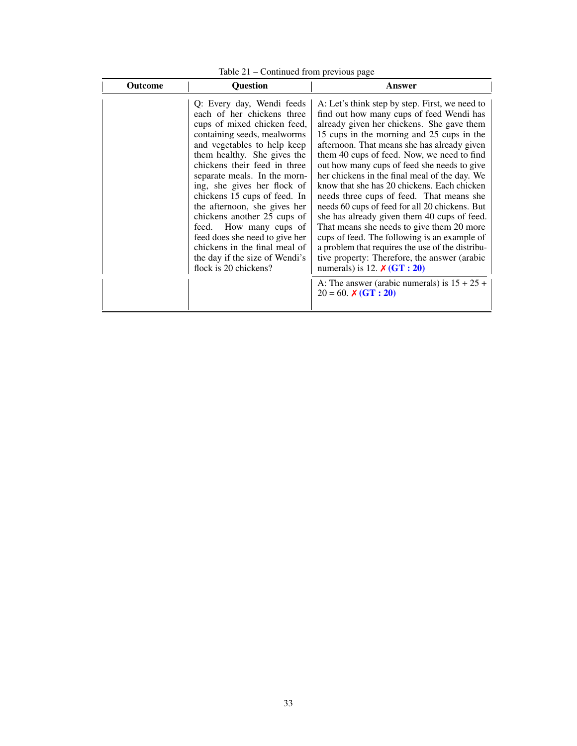| Table 21 – Continued from previous page |  |  |
|-----------------------------------------|--|--|
|                                         |  |  |
|                                         |  |  |

| <b>Outcome</b> | <b>Ouestion</b>                                                                                                                                                                                                                                                                                                                                                                                                                                                                                                                           | Answer                                                                                                                                                                                                                                                                                                                                                                                                                                                                                                                                                                                                                                                                                                                                                                                                                                                                                          |  |
|----------------|-------------------------------------------------------------------------------------------------------------------------------------------------------------------------------------------------------------------------------------------------------------------------------------------------------------------------------------------------------------------------------------------------------------------------------------------------------------------------------------------------------------------------------------------|-------------------------------------------------------------------------------------------------------------------------------------------------------------------------------------------------------------------------------------------------------------------------------------------------------------------------------------------------------------------------------------------------------------------------------------------------------------------------------------------------------------------------------------------------------------------------------------------------------------------------------------------------------------------------------------------------------------------------------------------------------------------------------------------------------------------------------------------------------------------------------------------------|--|
|                | Q: Every day, Wendi feeds<br>each of her chickens three<br>cups of mixed chicken feed,<br>containing seeds, mealworms<br>and vegetables to help keep<br>them healthy. She gives the<br>chickens their feed in three<br>separate meals. In the morn-<br>ing, she gives her flock of<br>chickens 15 cups of feed. In<br>the afternoon, she gives her<br>chickens another 25 cups of<br>feed. How many cups of<br>feed does she need to give her<br>chickens in the final meal of<br>the day if the size of Wendi's<br>flock is 20 chickens? | A: Let's think step by step. First, we need to<br>find out how many cups of feed Wendi has<br>already given her chickens. She gave them<br>15 cups in the morning and 25 cups in the<br>afternoon. That means she has already given<br>them 40 cups of feed. Now, we need to find<br>out how many cups of feed she needs to give<br>her chickens in the final meal of the day. We<br>know that she has 20 chickens. Each chicken<br>needs three cups of feed. That means she<br>needs 60 cups of feed for all 20 chickens. But<br>she has already given them 40 cups of feed.<br>That means she needs to give them 20 more<br>cups of feed. The following is an example of<br>a problem that requires the use of the distribu-<br>tive property: Therefore, the answer (arabic<br>numerals) is 12. $\chi$ (GT : 20)<br>A: The answer (arabic numerals) is $15 + 25 +$<br>$20 = 60.$ X (GT : 20) |  |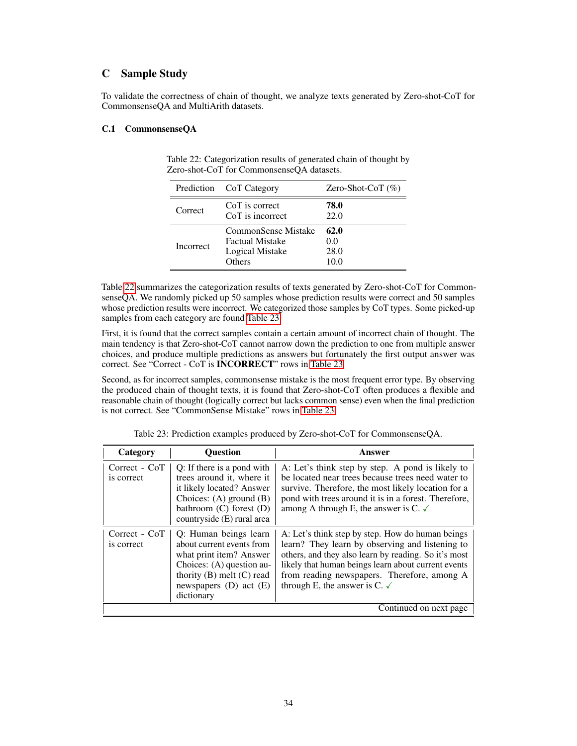# <span id="page-33-0"></span>C Sample Study

To validate the correctness of chain of thought, we analyze texts generated by Zero-shot-CoT for CommonsenseQA and MultiArith datasets.

## <span id="page-33-1"></span>C.1 CommonsenseQA

|           | Prediction CoT Category                                                           | Zero-Shot-CoT $(\%)$        |
|-----------|-----------------------------------------------------------------------------------|-----------------------------|
| Correct   | CoT is correct<br>CoT is incorrect                                                | 78.0<br>22.0                |
| Incorrect | CommonSense Mistake<br><b>Factual Mistake</b><br><b>Logical Mistake</b><br>Others | 62.0<br>0.0<br>28.0<br>10.0 |

Table 22: Categorization results of generated chain of thought by Zero-shot-CoT for CommonsenseQA datasets.

Table [22](#page-33-1) summarizes the categorization results of texts generated by Zero-shot-CoT for CommonsenseQA. We randomly picked up 50 samples whose prediction results were correct and 50 samples whose prediction results were incorrect. We categorized those samples by CoT types. Some picked-up samples from each category are found [Table 23.](#page-33-2)

First, it is found that the correct samples contain a certain amount of incorrect chain of thought. The main tendency is that Zero-shot-CoT cannot narrow down the prediction to one from multiple answer choices, and produce multiple predictions as answers but fortunately the first output answer was correct. See "Correct - CoT is INCORRECT" rows in [Table 23](#page-33-2)

Second, as for incorrect samples, commonsense mistake is the most frequent error type. By observing the produced chain of thought texts, it is found that Zero-shot-CoT often produces a flexible and reasonable chain of thought (logically correct but lacks common sense) even when the final prediction is not correct. See "CommonSense Mistake" rows in [Table 23](#page-33-2)

<span id="page-33-2"></span>

| Category                    | <b>Question</b>                                                                                                                                                                         | Answer                                                                                                                                                                                                                                                                                                        |
|-----------------------------|-----------------------------------------------------------------------------------------------------------------------------------------------------------------------------------------|---------------------------------------------------------------------------------------------------------------------------------------------------------------------------------------------------------------------------------------------------------------------------------------------------------------|
| Correct - CoT<br>is correct | Q: If there is a pond with<br>trees around it, where it<br>it likely located? Answer<br>Choices: $(A)$ ground $(B)$<br>bathroom $(C)$ forest $(D)$<br>countryside (E) rural area        | A: Let's think step by step. A pond is likely to<br>be located near trees because trees need water to<br>survive. Therefore, the most likely location for a<br>pond with trees around it is in a forest. Therefore,<br>among A through E, the answer is C. $\checkmark$                                       |
| Correct - CoT<br>is correct | Q: Human beings learn<br>about current events from<br>what print item? Answer<br>Choices: (A) question au-<br>thority $(B)$ melt $(C)$ read<br>newspapers $(D)$ act $(E)$<br>dictionary | A: Let's think step by step. How do human beings<br>learn? They learn by observing and listening to<br>others, and they also learn by reading. So it's most<br>likely that human beings learn about current events<br>from reading newspapers. Therefore, among A<br>through E, the answer is C. $\checkmark$ |
|                             |                                                                                                                                                                                         | Continued on next page                                                                                                                                                                                                                                                                                        |

Table 23: Prediction examples produced by Zero-shot-CoT for CommonsenseQA.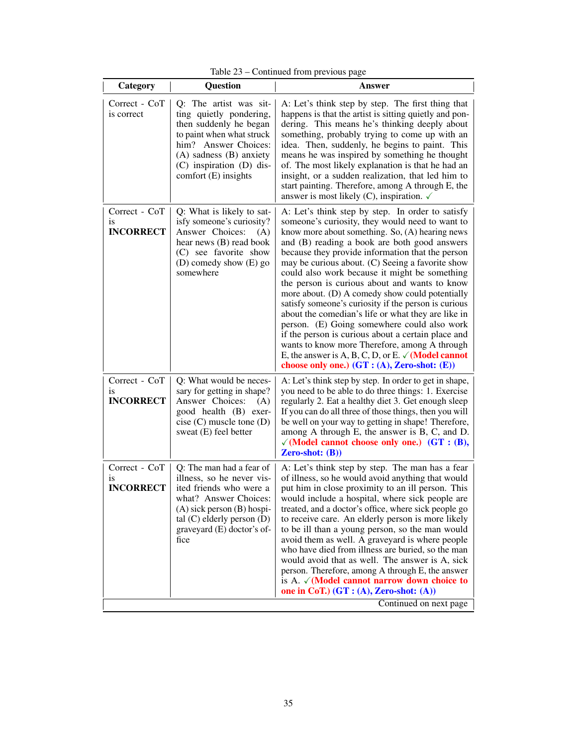| Category                                | Question                                                                                                                                                                                                            | Answer                                                                                                                                                                                                                                                                                                                                                                                                                                                                                                                                                                                                                                                                                                                                                                                                                                                     |
|-----------------------------------------|---------------------------------------------------------------------------------------------------------------------------------------------------------------------------------------------------------------------|------------------------------------------------------------------------------------------------------------------------------------------------------------------------------------------------------------------------------------------------------------------------------------------------------------------------------------------------------------------------------------------------------------------------------------------------------------------------------------------------------------------------------------------------------------------------------------------------------------------------------------------------------------------------------------------------------------------------------------------------------------------------------------------------------------------------------------------------------------|
| Correct - CoT<br>is correct             | Q: The artist was sit-<br>ting quietly pondering,<br>then suddenly he began<br>to paint when what struck<br>him? Answer Choices:<br>$(A)$ sadness $(B)$ anxiety<br>(C) inspiration (D) dis-<br>comfort (E) insights | A: Let's think step by step. The first thing that<br>happens is that the artist is sitting quietly and pon-<br>dering. This means he's thinking deeply about<br>something, probably trying to come up with an<br>idea. Then, suddenly, he begins to paint. This<br>means he was inspired by something he thought<br>of. The most likely explanation is that he had an<br>insight, or a sudden realization, that led him to<br>start painting. Therefore, among A through E, the<br>answer is most likely (C), inspiration. $\checkmark$                                                                                                                                                                                                                                                                                                                    |
| Correct - CoT<br>is<br><b>INCORRECT</b> | Q: What is likely to sat-<br>isfy someone's curiosity?<br>Answer Choices:<br>(A)<br>hear news (B) read book<br>(C) see favorite show<br>(D) comedy show (E) go<br>somewhere                                         | A: Let's think step by step. In order to satisfy<br>someone's curiosity, they would need to want to<br>know more about something. So, (A) hearing news<br>and (B) reading a book are both good answers<br>because they provide information that the person<br>may be curious about. (C) Seeing a favorite show<br>could also work because it might be something<br>the person is curious about and wants to know<br>more about. (D) A comedy show could potentially<br>satisfy someone's curiosity if the person is curious<br>about the comedian's life or what they are like in<br>person. (E) Going somewhere could also work<br>if the person is curious about a certain place and<br>wants to know more Therefore, among A through<br>E, the answer is A, B, C, D, or E. $\checkmark$ (Model cannot<br>choose only one.) $(GT : (A), Zero-shot: (E))$ |
| Correct - CoT<br>is<br><b>INCORRECT</b> | Q: What would be neces-<br>sary for getting in shape?<br>Answer Choices:<br>(A)<br>good health (B) exer-<br>cise $(C)$ muscle tone $(D)$<br>sweat (E) feel better                                                   | A: Let's think step by step. In order to get in shape,<br>you need to be able to do three things: 1. Exercise<br>regularly 2. Eat a healthy diet 3. Get enough sleep<br>If you can do all three of those things, then you will<br>be well on your way to getting in shape! Therefore,<br>among A through E, the answer is B, C, and D.<br>$\sqrt{M_{\rm o}}$ (Model cannot choose only one.) (GT : (B),<br>Zero-shot: $(B)$ )                                                                                                                                                                                                                                                                                                                                                                                                                              |
| Correct - CoT<br>is<br><b>INCORRECT</b> | Q: The man had a fear of<br>illness, so he never vis-<br>ited friends who were a<br>what? Answer Choices:<br>$(A)$ sick person $(B)$ hospi-<br>$tal(C)$ elderly person $(D)$<br>graveyard (E) doctor's of-<br>fice  | A: Let's think step by step. The man has a fear<br>of illness, so he would avoid anything that would<br>put him in close proximity to an ill person. This<br>would include a hospital, where sick people are<br>treated, and a doctor's office, where sick people go<br>to receive care. An elderly person is more likely<br>to be ill than a young person, so the man would<br>avoid them as well. A graveyard is where people<br>who have died from illness are buried, so the man<br>would avoid that as well. The answer is A, sick<br>person. Therefore, among A through E, the answer<br>is A. $\sqrt{M_{\odot}}$ (Model cannot narrow down choice to<br>one in CoT.) $(GT : (A), Zero-shot: (A))$                                                                                                                                                   |
| Continued on next page                  |                                                                                                                                                                                                                     |                                                                                                                                                                                                                                                                                                                                                                                                                                                                                                                                                                                                                                                                                                                                                                                                                                                            |

Table 23 – Continued from previous page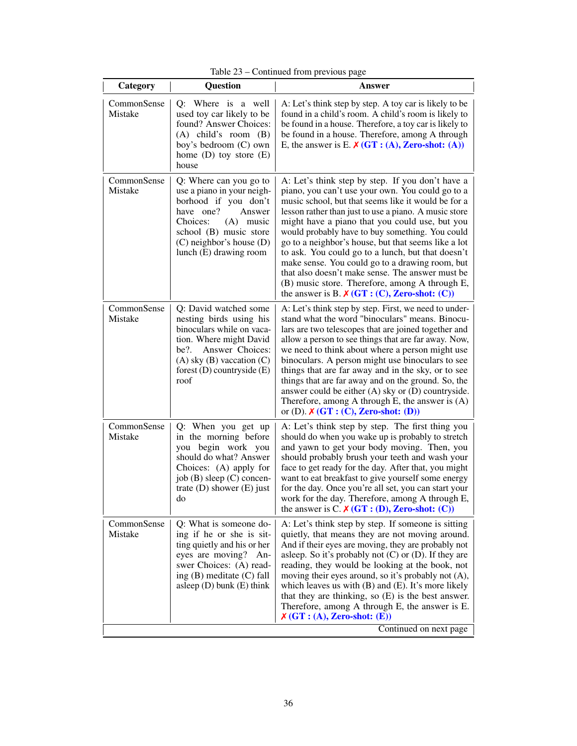| Category               | Question                                                                                                                                                                                                            | Answer                                                                                                                                                                                                                                                                                                                                                                                                                                                                                                                                                                                                                                               |
|------------------------|---------------------------------------------------------------------------------------------------------------------------------------------------------------------------------------------------------------------|------------------------------------------------------------------------------------------------------------------------------------------------------------------------------------------------------------------------------------------------------------------------------------------------------------------------------------------------------------------------------------------------------------------------------------------------------------------------------------------------------------------------------------------------------------------------------------------------------------------------------------------------------|
| CommonSense<br>Mistake | Q: Where is a well<br>used toy car likely to be<br>found? Answer Choices:<br>$(A)$ child's room $(B)$<br>boy's bedroom (C) own<br>home $(D)$ toy store $(E)$<br>house                                               | A: Let's think step by step. A toy car is likely to be<br>found in a child's room. A child's room is likely to<br>be found in a house. Therefore, a toy car is likely to<br>be found in a house. Therefore, among A through<br>E, the answer is E. $\chi$ (GT : (A), Zero-shot: (A))                                                                                                                                                                                                                                                                                                                                                                 |
| CommonSense<br>Mistake | Q: Where can you go to<br>use a piano in your neigh-<br>borhood if you don't<br>have one?<br>Answer<br>Choices:<br>$(A)$ music<br>school (B) music store<br>(C) neighbor's house (D)<br>lunch (E) drawing room      | A: Let's think step by step. If you don't have a<br>piano, you can't use your own. You could go to a<br>music school, but that seems like it would be for a<br>lesson rather than just to use a piano. A music store<br>might have a piano that you could use, but you<br>would probably have to buy something. You could<br>go to a neighbor's house, but that seems like a lot<br>to ask. You could go to a lunch, but that doesn't<br>make sense. You could go to a drawing room, but<br>that also doesn't make sense. The answer must be<br>(B) music store. Therefore, among A through E,<br>the answer is B. $\chi$ (GT : (C), Zero-shot: (C)) |
| CommonSense<br>Mistake | Q: David watched some<br>nesting birds using his<br>binoculars while on vaca-<br>tion. Where might David<br>Answer Choices:<br>$be?$ .<br>$(A)$ sky $(B)$ vaccation $(C)$<br>forest $(D)$ countryside $(E)$<br>roof | A: Let's think step by step. First, we need to under-<br>stand what the word "binoculars" means. Binocu-<br>lars are two telescopes that are joined together and<br>allow a person to see things that are far away. Now,<br>we need to think about where a person might use<br>binoculars. A person might use binoculars to see<br>things that are far away and in the sky, or to see<br>things that are far away and on the ground. So, the<br>answer could be either (A) sky or (D) countryside.<br>Therefore, among A through E, the answer is $(A)$<br>or (D). $X(GT:(C), Zero-shot:(D))$                                                        |
| CommonSense<br>Mistake | Q: When you get up<br>in the morning before<br>you begin work you<br>should do what? Answer<br>Choices: (A) apply for<br>job (B) sleep (C) concen-<br>trate $(D)$ shower $(E)$ just<br>do                           | A: Let's think step by step. The first thing you<br>should do when you wake up is probably to stretch<br>and yawn to get your body moving. Then, you<br>should probably brush your teeth and wash your<br>face to get ready for the day. After that, you might<br>want to eat breakfast to give yourself some energy<br>for the day. Once you're all set, you can start your<br>work for the day. Therefore, among A through E,<br>the answer is C. $X(GT:(D), Zero-shot:(C))$                                                                                                                                                                       |
| CommonSense<br>Mistake | Q: What is someone do-<br>ing if he or she is sit-<br>ting quietly and his or her<br>eyes are moving? An-<br>swer Choices: (A) read-<br>ing $(B)$ meditate $(C)$ fall<br>asleep $(D)$ bunk $(E)$ think              | A: Let's think step by step. If someone is sitting<br>quietly, that means they are not moving around.<br>And if their eyes are moving, they are probably not<br>asleep. So it's probably not $(C)$ or $(D)$ . If they are<br>reading, they would be looking at the book, not<br>moving their eyes around, so it's probably not (A),<br>which leaves us with $(B)$ and $(E)$ . It's more likely<br>that they are thinking, so (E) is the best answer.<br>Therefore, among A through E, the answer is E.<br>$X(GT:(A), Zero-shot: (E))$                                                                                                                |
|                        |                                                                                                                                                                                                                     | Continued on next page                                                                                                                                                                                                                                                                                                                                                                                                                                                                                                                                                                                                                               |

Table 23 – Continued from previous page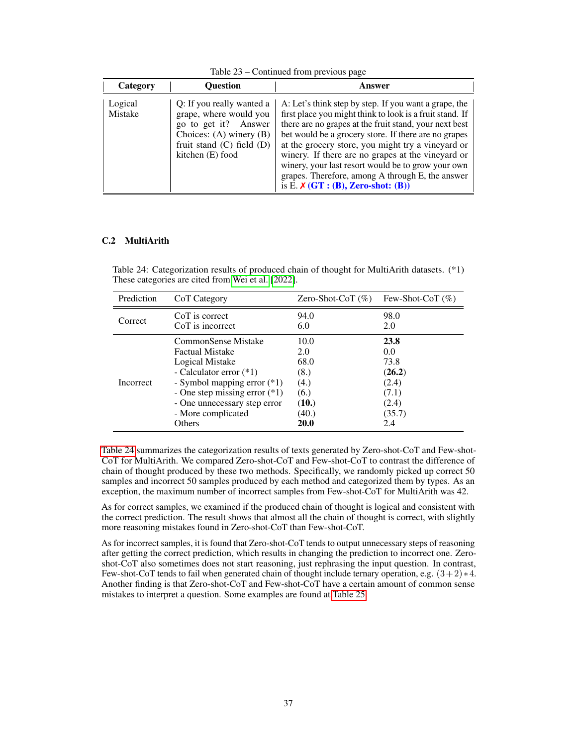| Category           | <b>Ouestion</b>                                                                                                                                                 | Answer                                                                                                                                                                                                                                                                                                                                                                                                                                                                                                  |
|--------------------|-----------------------------------------------------------------------------------------------------------------------------------------------------------------|---------------------------------------------------------------------------------------------------------------------------------------------------------------------------------------------------------------------------------------------------------------------------------------------------------------------------------------------------------------------------------------------------------------------------------------------------------------------------------------------------------|
| Logical<br>Mistake | Q: If you really wanted a<br>grape, where would you<br>go to get it? Answer<br>Choices: $(A)$ winery $(B)$<br>fruit stand $(C)$ field $(D)$<br>kitchen (E) food | A: Let's think step by step. If you want a grape, the<br>first place you might think to look is a fruit stand. If<br>there are no grapes at the fruit stand, your next best<br>bet would be a grocery store. If there are no grapes<br>at the grocery store, you might try a vineyard or<br>winery. If there are no grapes at the vineyard or<br>winery, your last resort would be to grow your own<br>grapes. Therefore, among A through E, the answer<br>is E. $\mathsf{X}(GT : (B), Zero-shot: (B))$ |

Table 23 – Continued from previous page

## C.2 MultiArith

<span id="page-36-0"></span>Table 24: Categorization results of produced chain of thought for MultiArith datasets. (\*1) These categories are cited from [Wei et al.](#page-13-1) [\[2022\]](#page-13-1).

| Prediction | CoT Category                    | Zero-Shot-CoT $(\%)$ | Few-Shot-CoT $(\% )$ |
|------------|---------------------------------|----------------------|----------------------|
| Correct    | CoT is correct                  | 94.0                 | 98.0                 |
|            | CoT is incorrect                | 6.0                  | 2.0                  |
| Incorrect  | CommonSense Mistake             | 10.0                 | 23.8                 |
|            | <b>Factual Mistake</b>          | 2.0                  | 0.0                  |
|            | Logical Mistake                 | 68.0                 | 73.8                 |
|            | - Calculator error (*1)         | (8.)                 | (26.2)               |
|            | - Symbol mapping error (*1)     | (4.)                 | (2.4)                |
|            | - One step missing error $(*1)$ | (6.)                 | (7.1)                |
|            | - One unnecessary step error    | (10.)                | (2.4)                |
|            | - More complicated              | (40.)                | (35.7)               |
|            | Others                          | <b>20.0</b>          | 2.4                  |

[Table 24](#page-36-0) summarizes the categorization results of texts generated by Zero-shot-CoT and Few-shot-CoT for MultiArith. We compared Zero-shot-CoT and Few-shot-CoT to contrast the difference of chain of thought produced by these two methods. Specifically, we randomly picked up correct 50 samples and incorrect 50 samples produced by each method and categorized them by types. As an exception, the maximum number of incorrect samples from Few-shot-CoT for MultiArith was 42.

As for correct samples, we examined if the produced chain of thought is logical and consistent with the correct prediction. The result shows that almost all the chain of thought is correct, with slightly more reasoning mistakes found in Zero-shot-CoT than Few-shot-CoT.

<span id="page-36-1"></span>As for incorrect samples, it is found that Zero-shot-CoT tends to output unnecessary steps of reasoning after getting the correct prediction, which results in changing the prediction to incorrect one. Zeroshot-CoT also sometimes does not start reasoning, just rephrasing the input question. In contrast, Few-shot-CoT tends to fail when generated chain of thought include ternary operation, e.g.  $(3+2)*4$ . Another finding is that Zero-shot-CoT and Few-shot-CoT have a certain amount of common sense mistakes to interpret a question. Some examples are found at [Table 25.](#page-36-1)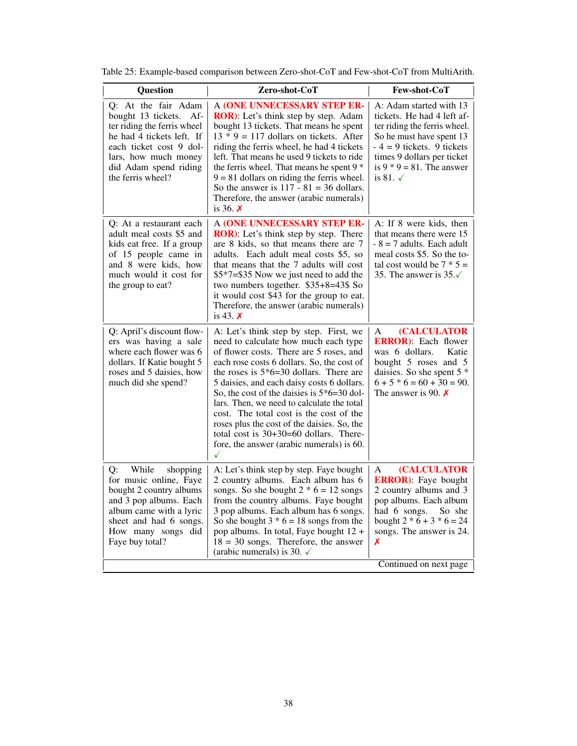| Question                                                                                                                                                                                                      | Zero-shot-CoT                                                                                                                                                                                                                                                                                                                                                                                                                                                                                                                                           | Few-shot-CoT                                                                                                                                                                                                                          |  |
|---------------------------------------------------------------------------------------------------------------------------------------------------------------------------------------------------------------|---------------------------------------------------------------------------------------------------------------------------------------------------------------------------------------------------------------------------------------------------------------------------------------------------------------------------------------------------------------------------------------------------------------------------------------------------------------------------------------------------------------------------------------------------------|---------------------------------------------------------------------------------------------------------------------------------------------------------------------------------------------------------------------------------------|--|
| Q: At the fair Adam<br>bought 13 tickets.<br>Af-<br>ter riding the ferris wheel<br>he had 4 tickets left. If<br>each ticket cost 9 dol-<br>lars, how much money<br>did Adam spend riding<br>the ferris wheel? | A (ONE UNNECESSARY STEP ER-<br>ROR): Let's think step by step. Adam<br>bought 13 tickets. That means he spent<br>$13 * 9 = 117$ dollars on tickets. After<br>riding the ferris wheel, he had 4 tickets<br>left. That means he used 9 tickets to ride<br>the ferris wheel. That means he spent 9 *<br>$9 = 81$ dollars on riding the ferris wheel.<br>So the answer is $117 - 81 = 36$ dollars.<br>Therefore, the answer (arabic numerals)<br>is 36. $\chi$                                                                                              | A: Adam started with 13<br>tickets. He had 4 left af-<br>ter riding the ferris wheel.<br>So he must have spent 13<br>$-4 = 9$ tickets. 9 tickets<br>times 9 dollars per ticket<br>is $9 * 9 = 81$ . The answer<br>is 81. $\checkmark$ |  |
| Q: At a restaurant each<br>adult meal costs \$5 and<br>kids eat free. If a group<br>of 15 people came in<br>and 8 were kids, how<br>much would it cost for<br>the group to eat?                               | A (ONE UNNECESSARY STEP ER-<br><b>ROR</b> ): Let's think step by step. There<br>are 8 kids, so that means there are 7<br>adults. Each adult meal costs \$5, so<br>that means that the 7 adults will cost<br>\$5*7=\$35 Now we just need to add the<br>two numbers together. \$35+8=43\$ So<br>it would cost \$43 for the group to eat.<br>Therefore, the answer (arabic numerals)<br>is 43. $\chi$                                                                                                                                                      | A: If 8 were kids, then<br>that means there were 15<br>$-8 = 7$ adults. Each adult<br>meal costs \$5. So the to-<br>tal cost would be $7 * 5 =$<br>35. The answer is $35.\checkmark$                                                  |  |
| Q: April's discount flow-<br>ers was having a sale<br>where each flower was 6<br>dollars. If Katie bought 5<br>roses and 5 daisies, how<br>much did she spend?                                                | A: Let's think step by step. First, we<br>need to calculate how much each type<br>of flower costs. There are 5 roses, and<br>each rose costs 6 dollars. So, the cost of<br>the roses is $5*6=30$ dollars. There are<br>5 daisies, and each daisy costs 6 dollars.<br>So, the cost of the daisies is $5*6=30$ dol-<br>lars. Then, we need to calculate the total<br>cost. The total cost is the cost of the<br>roses plus the cost of the daisies. So, the<br>total cost is $30+30=60$ dollars. There-<br>fore, the answer (arabic numerals) is 60.<br>✓ | <b>(CALCULATOR</b><br>A<br><b>ERROR</b> ): Each flower<br>was 6 dollars.<br>Katie<br>bought 5 roses and 5<br>daisies. So she spent 5 *<br>$6 + 5 * 6 = 60 + 30 = 90.$<br>The answer is 90. $\times$                                   |  |
| While<br>shopping<br>Q:<br>for music online, Faye<br>bought 2 country albums<br>and 3 pop albums. Each<br>album came with a lyric<br>sheet and had 6 songs.<br>How many songs did<br>Faye buy total?          | A: Let's think step by step. Faye bought<br>2 country albums. Each album has 6<br>songs. So she bought $2 * 6 = 12$ songs<br>from the country albums. Faye bought<br>3 pop albums. Each album has 6 songs.<br>So she bought $3 * 6 = 18$ songs from the<br>pop albums. In total, Faye bought 12 +<br>$18 = 30$ songs. Therefore, the answer<br>(arabic numerals) is 30. $\checkmark$                                                                                                                                                                    | <b>(CALCULATOR</b><br>A<br><b>ERROR</b> ): Faye bought<br>2 country albums and 3<br>pop albums. Each album<br>had 6 songs.<br>So she<br>bought $2 * 6 + 3 * 6 = 24$<br>songs. The answer is 24.<br>Х<br>Continued on next page        |  |

Table 25: Example-based comparison between Zero-shot-CoT and Few-shot-CoT from MultiArith.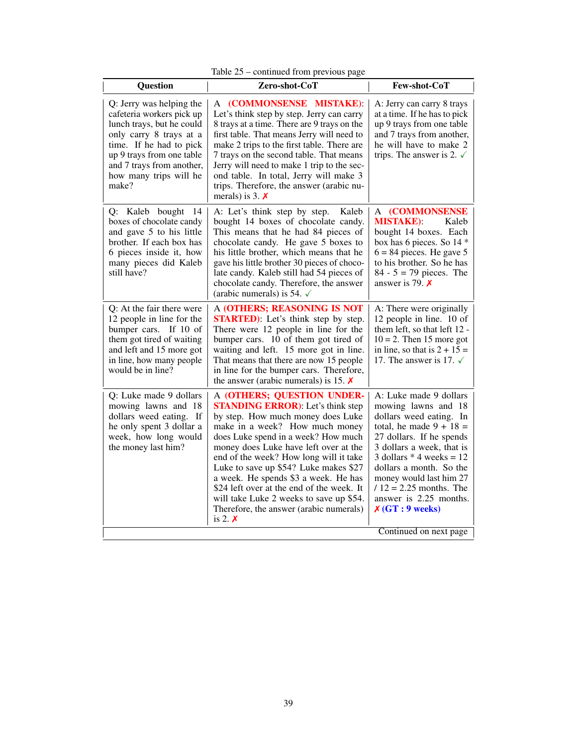| <b>Question</b>                                                                                                                                                                                                                       | Zero-shot-CoT                                                                                                                                                                                                                                                                                                                                                                                                                                                                                                                   | Few-shot-CoT                                                                                                                                                                                                                                                                                                                  |  |
|---------------------------------------------------------------------------------------------------------------------------------------------------------------------------------------------------------------------------------------|---------------------------------------------------------------------------------------------------------------------------------------------------------------------------------------------------------------------------------------------------------------------------------------------------------------------------------------------------------------------------------------------------------------------------------------------------------------------------------------------------------------------------------|-------------------------------------------------------------------------------------------------------------------------------------------------------------------------------------------------------------------------------------------------------------------------------------------------------------------------------|--|
| Q: Jerry was helping the<br>cafeteria workers pick up<br>lunch trays, but he could<br>only carry 8 trays at a<br>time. If he had to pick<br>up 9 trays from one table<br>and 7 trays from another,<br>how many trips will he<br>make? | A (COMMONSENSE MISTAKE):<br>Let's think step by step. Jerry can carry<br>8 trays at a time. There are 9 trays on the<br>first table. That means Jerry will need to<br>make 2 trips to the first table. There are<br>7 trays on the second table. That means<br>Jerry will need to make 1 trip to the sec-<br>ond table. In total, Jerry will make 3<br>trips. Therefore, the answer (arabic nu-<br>merals) is 3. $\times$                                                                                                       | A: Jerry can carry 8 trays<br>at a time. If he has to pick<br>up 9 trays from one table<br>and 7 trays from another,<br>he will have to make 2<br>trips. The answer is 2. $\checkmark$                                                                                                                                        |  |
| Q: Kaleb bought<br>14<br>boxes of chocolate candy<br>and gave 5 to his little<br>brother. If each box has<br>6 pieces inside it, how<br>many pieces did Kaleb<br>still have?                                                          | A: Let's think step by step.<br>Kaleb<br>bought 14 boxes of chocolate candy.<br>This means that he had 84 pieces of<br>chocolate candy. He gave 5 boxes to<br>his little brother, which means that he<br>gave his little brother 30 pieces of choco-<br>late candy. Kaleb still had 54 pieces of<br>chocolate candy. Therefore, the answer<br>(arabic numerals) is 54. $\checkmark$                                                                                                                                             | A (COMMONSENSE<br><b>MISTAKE</b> ):<br>Kaleb<br>bought 14 boxes. Each<br>box has 6 pieces. So 14 *<br>$6 = 84$ pieces. He gave 5<br>to his brother. So he has<br>$84 - 5 = 79$ pieces. The<br>answer is 79. $\times$                                                                                                          |  |
| Q: At the fair there were<br>12 people in line for the<br>bumper cars. If 10 of<br>them got tired of waiting<br>and left and 15 more got<br>in line, how many people<br>would be in line?                                             | A (OTHERS; REASONING IS NOT<br><b>STARTED</b> ): Let's think step by step.<br>There were 12 people in line for the<br>bumper cars. 10 of them got tired of<br>waiting and left. 15 more got in line.<br>That means that there are now 15 people<br>in line for the bumper cars. Therefore,<br>the answer (arabic numerals) is 15. $\times$                                                                                                                                                                                      | A: There were originally<br>12 people in line. 10 of<br>them left, so that left 12 -<br>$10 = 2$ . Then 15 more got<br>in line, so that is $2 + 15 =$<br>17. The answer is 17. $\checkmark$                                                                                                                                   |  |
| Q: Luke made 9 dollars<br>mowing lawns and 18<br>dollars weed eating. If<br>he only spent 3 dollar a<br>week, how long would<br>the money last him?                                                                                   | A (OTHERS; QUESTION UNDER-<br><b>STANDING ERROR</b> ): Let's think step<br>by step. How much money does Luke<br>make in a week? How much money<br>does Luke spend in a week? How much<br>money does Luke have left over at the<br>end of the week? How long will it take<br>Luke to save up \$54? Luke makes \$27<br>a week. He spends \$3 a week. He has<br>\$24 left over at the end of the week. It<br>will take Luke 2 weeks to save up \$54.<br>Therefore, the answer (arabic numerals)<br>is 2. $\boldsymbol{\mathsf{X}}$ | A: Luke made 9 dollars<br>mowing lawns and 18<br>dollars weed eating. In<br>total, he made $9 + 18 =$<br>27 dollars. If he spends<br>3 dollars a week, that is<br>3 dollars $*$ 4 weeks = 12<br>dollars a month. So the<br>money would last him 27<br>$/ 12 = 2.25$ months. The<br>answer is 2.25 months.<br>$X(GT: 9$ weeks) |  |
| Continued on next page                                                                                                                                                                                                                |                                                                                                                                                                                                                                                                                                                                                                                                                                                                                                                                 |                                                                                                                                                                                                                                                                                                                               |  |